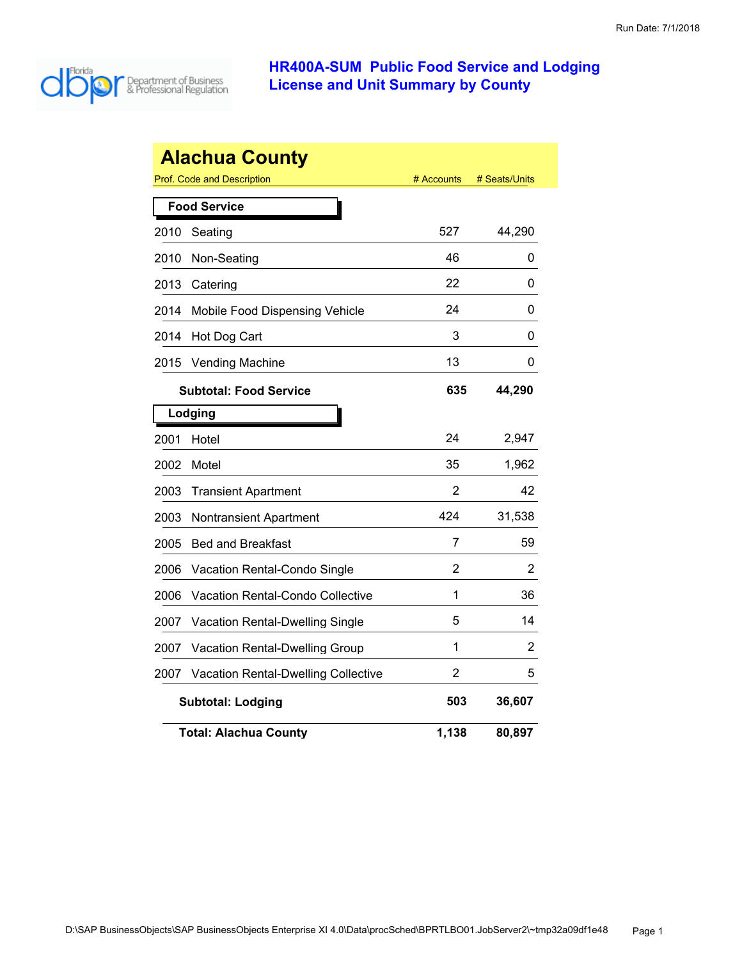

| <b>Alachua County</b> |                                                                  |       |        |  |  |
|-----------------------|------------------------------------------------------------------|-------|--------|--|--|
|                       | <b>Prof. Code and Description</b><br># Seats/Units<br># Accounts |       |        |  |  |
|                       | <b>Food Service</b>                                              |       |        |  |  |
| 2010                  | Seating                                                          | 527   | 44,290 |  |  |
| 2010                  | Non-Seating                                                      | 46    | 0      |  |  |
| 2013                  | Catering                                                         | 22    | 0      |  |  |
| 2014                  | Mobile Food Dispensing Vehicle                                   | 24    | 0      |  |  |
| 2014                  | Hot Dog Cart                                                     | 3     | 0      |  |  |
| 2015                  | <b>Vending Machine</b>                                           | 13    | 0      |  |  |
|                       | <b>Subtotal: Food Service</b>                                    | 635   | 44,290 |  |  |
|                       | Lodging                                                          |       |        |  |  |
| 2001                  | Hotel                                                            | 24    | 2,947  |  |  |
| 2002                  | Motel                                                            | 35    | 1,962  |  |  |
| 2003                  | <b>Transient Apartment</b>                                       | 2     | 42     |  |  |
| 2003                  | <b>Nontransient Apartment</b>                                    | 424   | 31,538 |  |  |
| 2005                  | <b>Bed and Breakfast</b>                                         | 7     | 59     |  |  |
| 2006                  | Vacation Rental-Condo Single                                     | 2     | 2      |  |  |
| 2006                  | <b>Vacation Rental-Condo Collective</b>                          | 1     | 36     |  |  |
| 2007                  | Vacation Rental-Dwelling Single                                  | 5     | 14     |  |  |
| 2007                  | Vacation Rental-Dwelling Group                                   | 1     | 2      |  |  |
| 2007                  | <b>Vacation Rental-Dwelling Collective</b>                       | 2     | 5      |  |  |
|                       | 503<br>36,607<br><b>Subtotal: Lodging</b>                        |       |        |  |  |
|                       | <b>Total: Alachua County</b>                                     | 1,138 | 80,897 |  |  |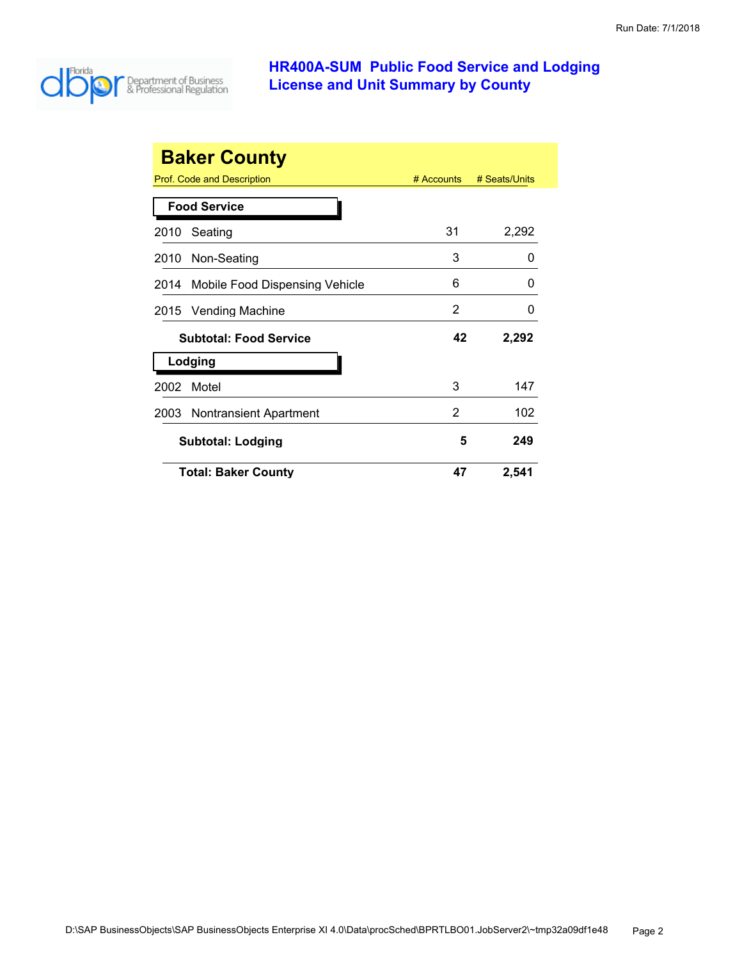

|      | <b>Baker County</b>                               |            |               |
|------|---------------------------------------------------|------------|---------------|
|      | Prof. Code and Description<br><b>Food Service</b> | # Accounts | # Seats/Units |
|      |                                                   |            |               |
| 2010 | Seating                                           | 31         | 2,292         |
| 2010 | Non-Seating                                       | 3          | 0             |
| 2014 | Mobile Food Dispensing Vehicle                    | 6          | 0             |
|      | 2015 Vending Machine                              | 2          | O             |
|      | <b>Subtotal: Food Service</b>                     | 42         | 2,292         |
|      | Lodging                                           |            |               |
| 2002 | Motel                                             | 3          | 147           |
| 2003 | <b>Nontransient Apartment</b>                     | 2          | 102           |
|      | <b>Subtotal: Lodging</b>                          | 5          | 249           |
|      | <b>Total: Baker County</b>                        | 47         | 2,541         |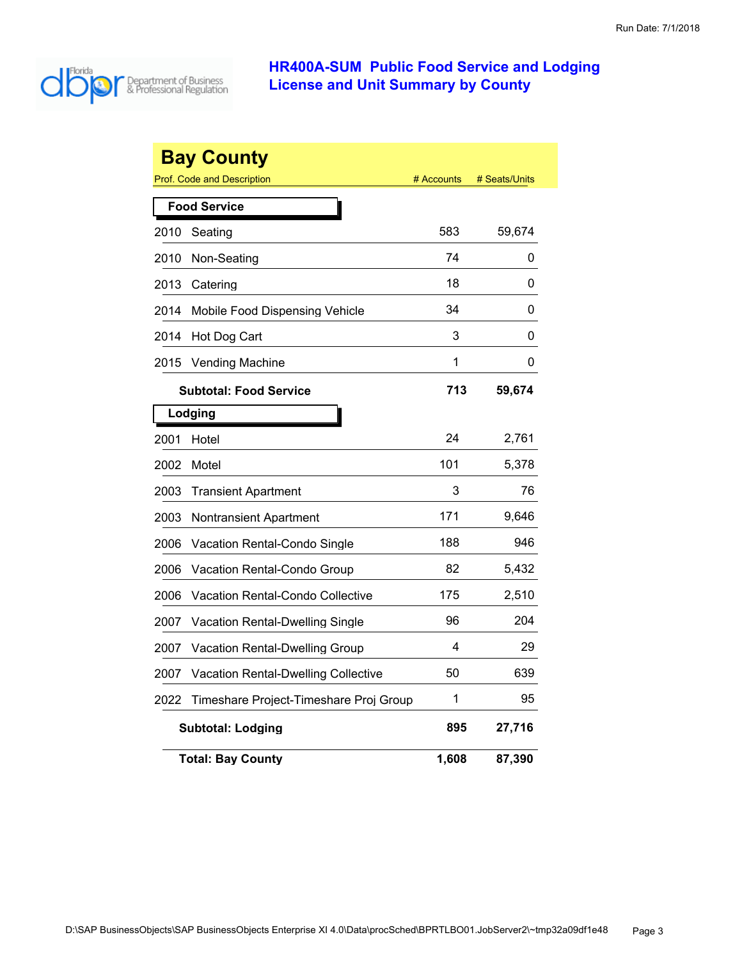

|      | <b>Bay County</b>                          |            |               |
|------|--------------------------------------------|------------|---------------|
|      | <b>Prof. Code and Description</b>          | # Accounts | # Seats/Units |
|      | <b>Food Service</b>                        |            |               |
| 2010 | Seating                                    | 583        | 59,674        |
| 2010 | Non-Seating                                | 74         | 0             |
| 2013 | Catering                                   | 18         | 0             |
| 2014 | Mobile Food Dispensing Vehicle             | 34         | 0             |
| 2014 | Hot Dog Cart                               | 3          | 0             |
| 2015 | <b>Vending Machine</b>                     | 1          | 0             |
|      | <b>Subtotal: Food Service</b>              | 713        | 59,674        |
|      | Lodging                                    |            |               |
| 2001 | Hotel                                      | 24         | 2,761         |
| 2002 | Motel                                      | 101        | 5,378         |
| 2003 | <b>Transient Apartment</b>                 | 3          | 76            |
| 2003 | Nontransient Apartment                     | 171        | 9,646         |
| 2006 | Vacation Rental-Condo Single               | 188        | 946           |
| 2006 | Vacation Rental-Condo Group                | 82         | 5,432         |
| 2006 | <b>Vacation Rental-Condo Collective</b>    | 175        | 2,510         |
| 2007 | <b>Vacation Rental-Dwelling Single</b>     | 96         | 204           |
| 2007 | Vacation Rental-Dwelling Group             | 4          | 29            |
| 2007 | <b>Vacation Rental-Dwelling Collective</b> | 50         | 639           |
| 2022 | Timeshare Project-Timeshare Proj Group     | 1          | 95            |
|      | <b>Subtotal: Lodging</b>                   | 895        | 27,716        |
|      | <b>Total: Bay County</b>                   | 1,608      | 87,390        |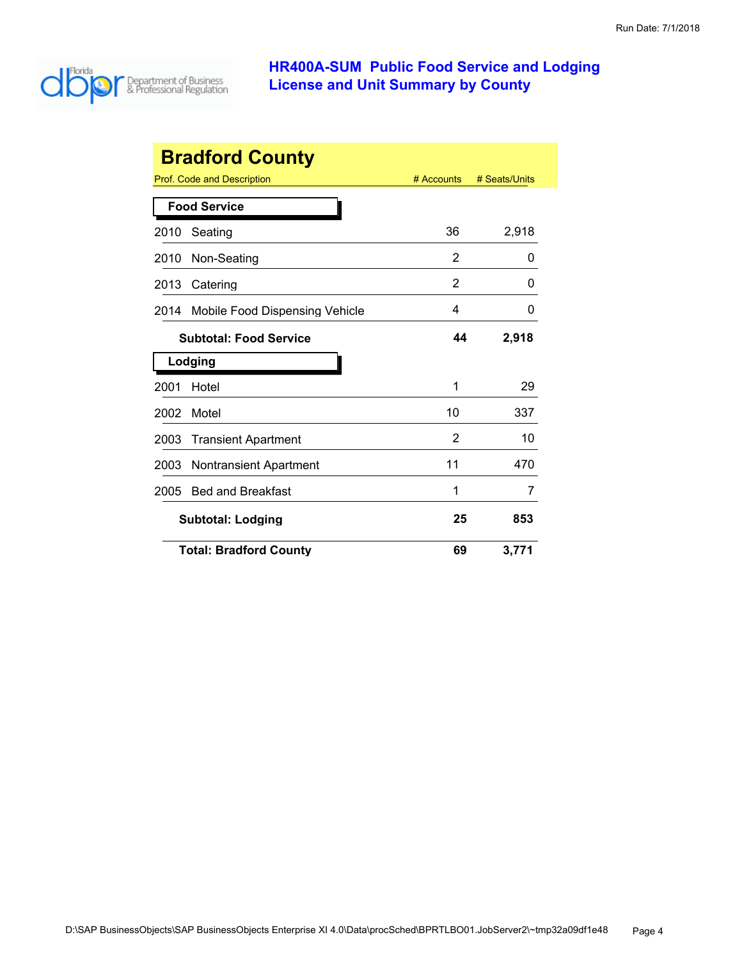

| <b>Bradford County</b>              |                                                                  |    |       |  |  |
|-------------------------------------|------------------------------------------------------------------|----|-------|--|--|
|                                     | <b>Prof. Code and Description</b><br># Accounts<br># Seats/Units |    |       |  |  |
|                                     | <b>Food Service</b>                                              |    |       |  |  |
| 2010                                | Seating                                                          | 36 | 2,918 |  |  |
| 2010                                | Non-Seating                                                      | 2  | 0     |  |  |
| 2013                                | Catering                                                         | 2  | O     |  |  |
| 2014                                | Mobile Food Dispensing Vehicle                                   | 4  | 0     |  |  |
|                                     | <b>Subtotal: Food Service</b>                                    | 44 | 2,918 |  |  |
|                                     | Lodging                                                          |    |       |  |  |
| 2001                                | Hotel                                                            | 1  | 29    |  |  |
| 2002                                | Motel                                                            | 10 | 337   |  |  |
| 2003                                | <b>Transient Apartment</b>                                       | 2  | 10    |  |  |
| 2003                                | <b>Nontransient Apartment</b>                                    | 11 | 470   |  |  |
| 2005                                | <b>Bed and Breakfast</b>                                         | 1  | 7     |  |  |
|                                     | 25<br>853<br><b>Subtotal: Lodging</b>                            |    |       |  |  |
| <b>Total: Bradford County</b><br>69 |                                                                  |    | 3,771 |  |  |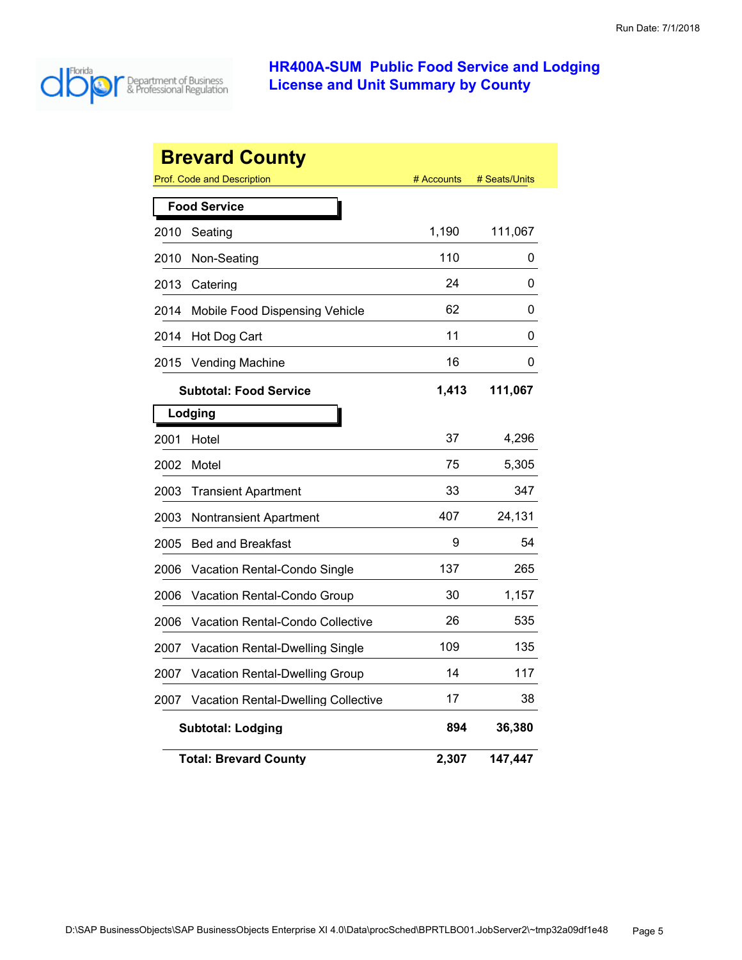

|      | <b>Brevard County</b>                      |            |               |
|------|--------------------------------------------|------------|---------------|
|      | <b>Prof. Code and Description</b>          | # Accounts | # Seats/Units |
|      | <b>Food Service</b>                        |            |               |
| 2010 | Seating                                    | 1,190      | 111,067       |
| 2010 | Non-Seating                                | 110        | 0             |
| 2013 | Catering                                   | 24         | 0             |
| 2014 | Mobile Food Dispensing Vehicle             | 62         | 0             |
| 2014 | Hot Dog Cart                               | 11         | 0             |
| 2015 | <b>Vending Machine</b>                     | 16         | 0             |
|      | <b>Subtotal: Food Service</b>              | 1,413      | 111,067       |
|      | Lodging                                    |            |               |
| 2001 | Hotel                                      | 37         | 4,296         |
| 2002 | Motel                                      | 75         | 5,305         |
| 2003 | <b>Transient Apartment</b>                 | 33         | 347           |
| 2003 | Nontransient Apartment                     | 407        | 24,131        |
| 2005 | <b>Bed and Breakfast</b>                   | 9          | 54            |
| 2006 | Vacation Rental-Condo Single               | 137        | 265           |
| 2006 | Vacation Rental-Condo Group                | 30         | 1,157         |
| 2006 | Vacation Rental-Condo Collective           | 26         | 535           |
| 2007 | Vacation Rental-Dwelling Single            | 109        | 135           |
| 2007 | <b>Vacation Rental-Dwelling Group</b>      | 14         | 117           |
| 2007 | <b>Vacation Rental-Dwelling Collective</b> | 17         | 38            |
|      | <b>Subtotal: Lodging</b>                   | 894        | 36,380        |
|      | <b>Total: Brevard County</b>               | 2,307      | 147,447       |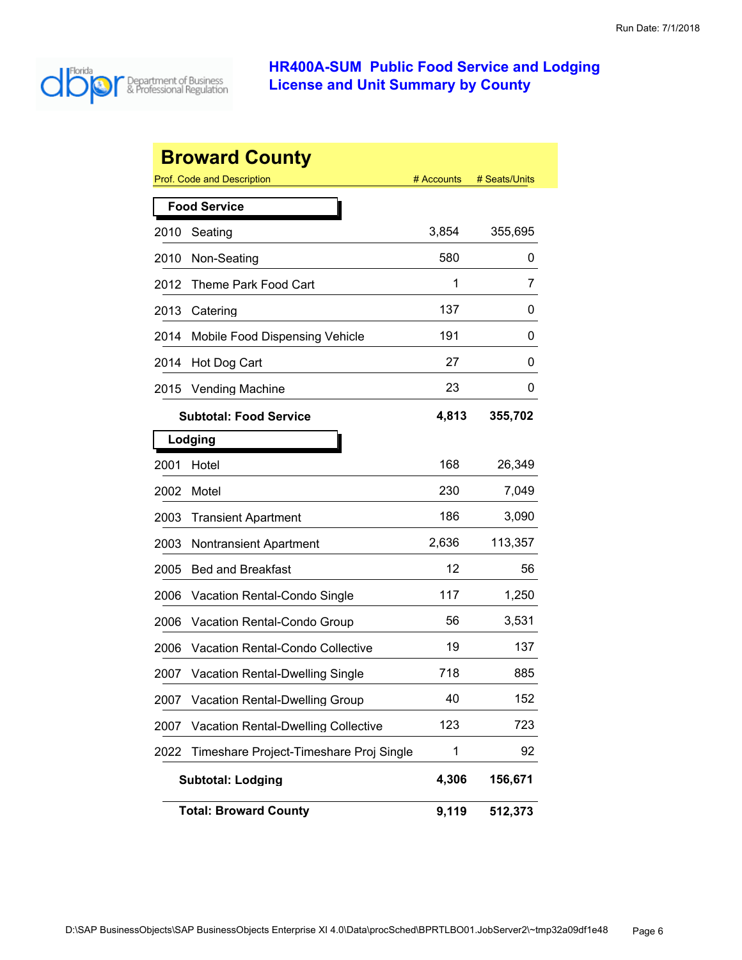

|      | <b>Broward County</b>                      |            |               |
|------|--------------------------------------------|------------|---------------|
|      | <b>Prof. Code and Description</b>          | # Accounts | # Seats/Units |
|      | <b>Food Service</b>                        |            |               |
| 2010 | Seating                                    | 3,854      | 355,695       |
| 2010 | Non-Seating                                | 580        | 0             |
| 2012 | Theme Park Food Cart                       | 1          | 7             |
| 2013 | Catering                                   | 137        | 0             |
| 2014 | Mobile Food Dispensing Vehicle             | 191        | 0             |
| 2014 | Hot Dog Cart                               | 27         | O             |
| 2015 | <b>Vending Machine</b>                     | 23         | 0             |
|      | <b>Subtotal: Food Service</b>              | 4,813      | 355,702       |
|      | Lodging                                    |            |               |
| 2001 | Hotel                                      | 168        | 26,349        |
| 2002 | Motel                                      | 230        | 7,049         |
| 2003 | <b>Transient Apartment</b>                 | 186        | 3,090         |
| 2003 | <b>Nontransient Apartment</b>              | 2,636      | 113,357       |
| 2005 | <b>Bed and Breakfast</b>                   | 12         | 56            |
| 2006 | Vacation Rental-Condo Single               | 117        | 1,250         |
| 2006 | Vacation Rental-Condo Group                | 56         | 3,531         |
| 2006 | Vacation Rental-Condo Collective           | 19         | 137           |
| 2007 | <b>Vacation Rental-Dwelling Single</b>     | 718        | 885           |
| 2007 | Vacation Rental-Dwelling Group             | 40         | 152           |
| 2007 | <b>Vacation Rental-Dwelling Collective</b> | 123        | 723           |
| 2022 | Timeshare Project-Timeshare Proj Single    | 1          | 92            |
|      | <b>Subtotal: Lodging</b>                   | 4,306      | 156,671       |
|      | <b>Total: Broward County</b>               | 9,119      | 512,373       |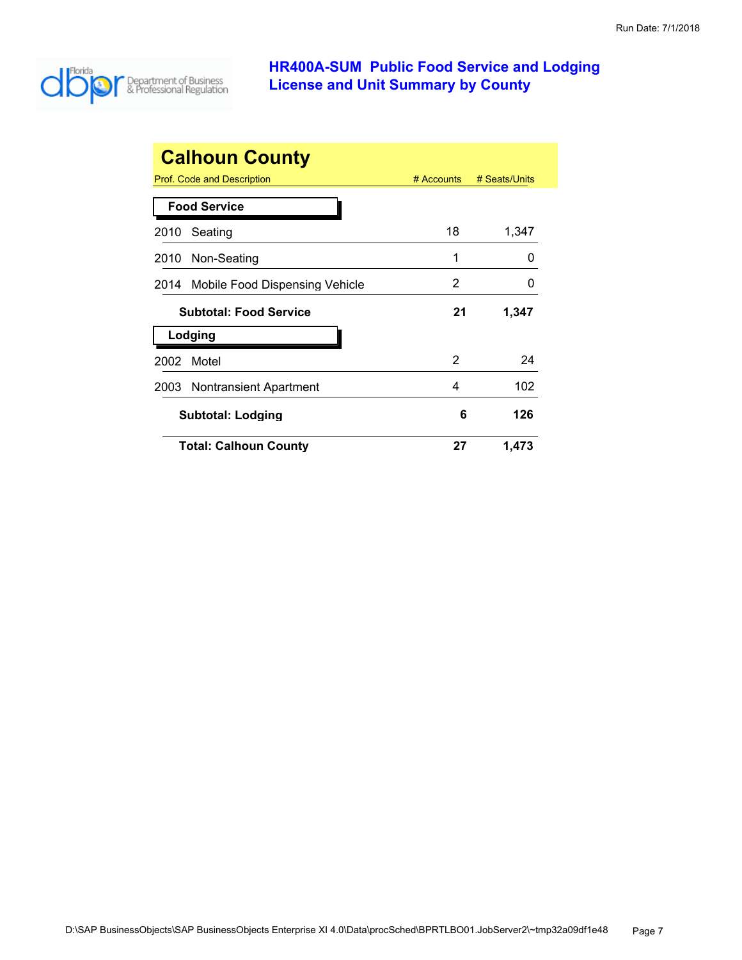

| <b>Calhoun County</b>                  |              |               |  |  |
|----------------------------------------|--------------|---------------|--|--|
| Prof. Code and Description             | $#$ Accounts | # Seats/Units |  |  |
| <b>Food Service</b>                    |              |               |  |  |
| Seating<br>2010                        | 18           | 1,347         |  |  |
| Non-Seating<br>2010                    | 1            | $\Omega$      |  |  |
| Mobile Food Dispensing Vehicle<br>2014 | 2            | 0             |  |  |
| <b>Subtotal: Food Service</b>          | 21           | 1,347         |  |  |
| Lodging                                |              |               |  |  |
| Motel<br>2002                          | 2            | 24            |  |  |
| Nontransient Apartment<br>2003         | 4            | 102           |  |  |
| <b>Subtotal: Lodging</b>               | 6            | 126           |  |  |
| <b>Total: Calhoun County</b>           | 27           | 1,473         |  |  |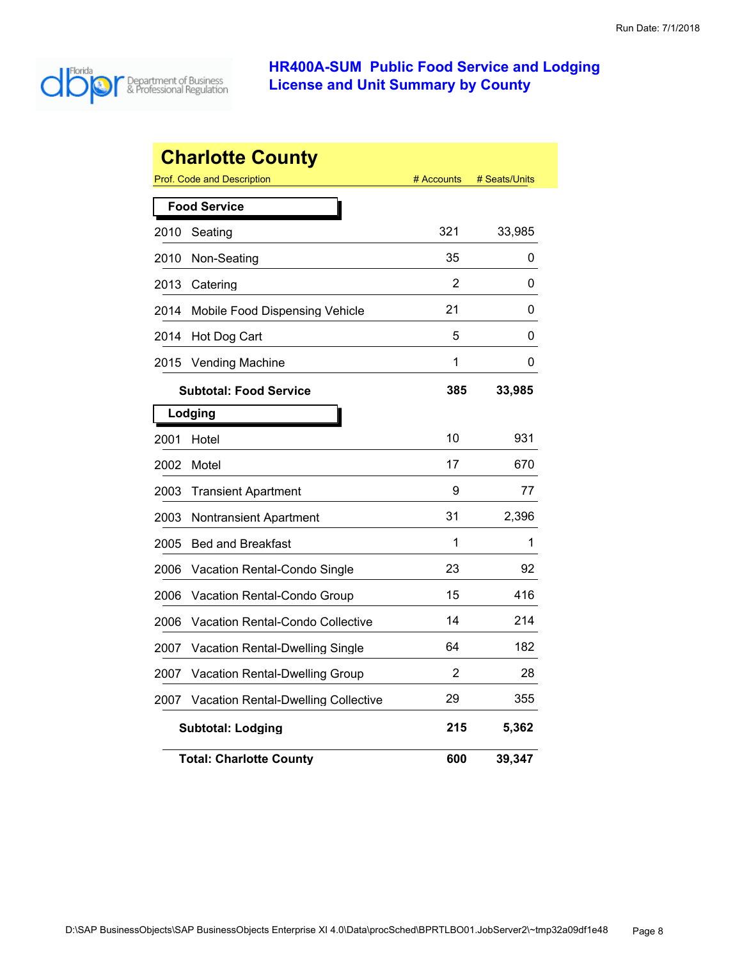

|      | <b>Charlotte County</b>                    |            |               |
|------|--------------------------------------------|------------|---------------|
|      | Prof. Code and Description                 | # Accounts | # Seats/Units |
|      | <b>Food Service</b>                        |            |               |
| 2010 | Seating                                    | 321        | 33,985        |
| 2010 | Non-Seating                                | 35         | 0             |
| 2013 | Catering                                   | 2          | 0             |
| 2014 | Mobile Food Dispensing Vehicle             | 21         | 0             |
| 2014 | Hot Dog Cart                               | 5          | 0             |
| 2015 | <b>Vending Machine</b>                     | 1          | 0             |
|      | <b>Subtotal: Food Service</b>              | 385        | 33,985        |
|      | Lodging                                    |            |               |
| 2001 | Hotel                                      | 10         | 931           |
| 2002 | Motel                                      | 17         | 670           |
| 2003 | <b>Transient Apartment</b>                 | 9          | 77            |
| 2003 | Nontransient Apartment                     | 31         | 2,396         |
| 2005 | <b>Bed and Breakfast</b>                   | 1          | 1             |
| 2006 | <b>Vacation Rental-Condo Single</b>        | 23         | 92            |
| 2006 | Vacation Rental-Condo Group                | 15         | 416           |
| 2006 | Vacation Rental-Condo Collective           | 14         | 214           |
| 2007 | Vacation Rental-Dwelling Single            | 64         | 182           |
| 2007 | <b>Vacation Rental-Dwelling Group</b>      | 2          | 28            |
| 2007 | <b>Vacation Rental-Dwelling Collective</b> | 29         | 355           |
|      | <b>Subtotal: Lodging</b>                   | 215        | 5,362         |
|      | <b>Total: Charlotte County</b>             | 600        | 39,347        |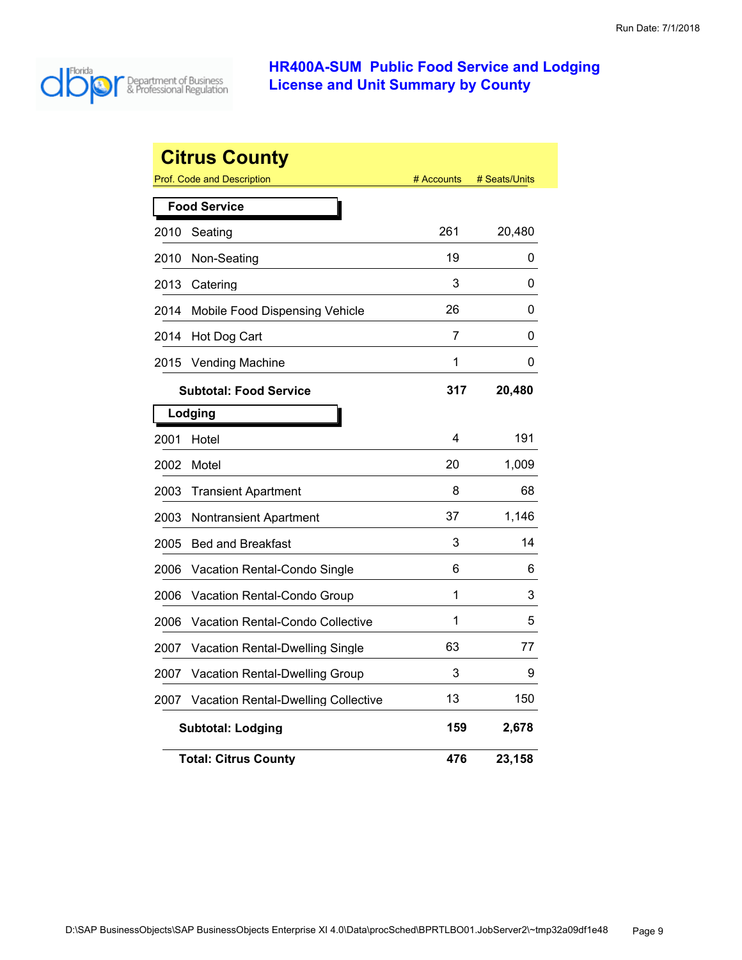

|      | <b>Citrus County</b><br><b>Prof. Code and Description</b> | # Accounts | # Seats/Units |  |
|------|-----------------------------------------------------------|------------|---------------|--|
|      |                                                           |            |               |  |
|      | <b>Food Service</b>                                       |            |               |  |
| 2010 | Seating                                                   | 261        | 20,480        |  |
| 2010 | Non-Seating                                               | 19         | 0             |  |
| 2013 | Catering                                                  | 3          | 0             |  |
| 2014 | Mobile Food Dispensing Vehicle                            | 26         | 0             |  |
| 2014 | Hot Dog Cart                                              | 7          | 0             |  |
| 2015 | <b>Vending Machine</b>                                    | 1          | 0             |  |
|      | <b>Subtotal: Food Service</b>                             | 317        | 20,480        |  |
|      | Lodging                                                   |            |               |  |
| 2001 | Hotel                                                     | 4          | 191           |  |
| 2002 | Motel                                                     | 20         | 1,009         |  |
| 2003 | <b>Transient Apartment</b>                                | 8          | 68            |  |
| 2003 | <b>Nontransient Apartment</b>                             | 37         | 1,146         |  |
| 2005 | <b>Bed and Breakfast</b>                                  | 3          | 14            |  |
| 2006 | Vacation Rental-Condo Single                              | 6          | 6             |  |
| 2006 | Vacation Rental-Condo Group                               | 1          | 3             |  |
| 2006 | Vacation Rental-Condo Collective                          | 1          | 5             |  |
| 2007 | Vacation Rental-Dwelling Single                           | 63         | 77            |  |
| 2007 | Vacation Rental-Dwelling Group                            | 3          | 9             |  |
| 2007 | <b>Vacation Rental-Dwelling Collective</b>                | 13         | 150           |  |
|      | <b>Subtotal: Lodging</b>                                  | 159        | 2,678         |  |
|      | <b>Total: Citrus County</b>                               | 476        | 23,158        |  |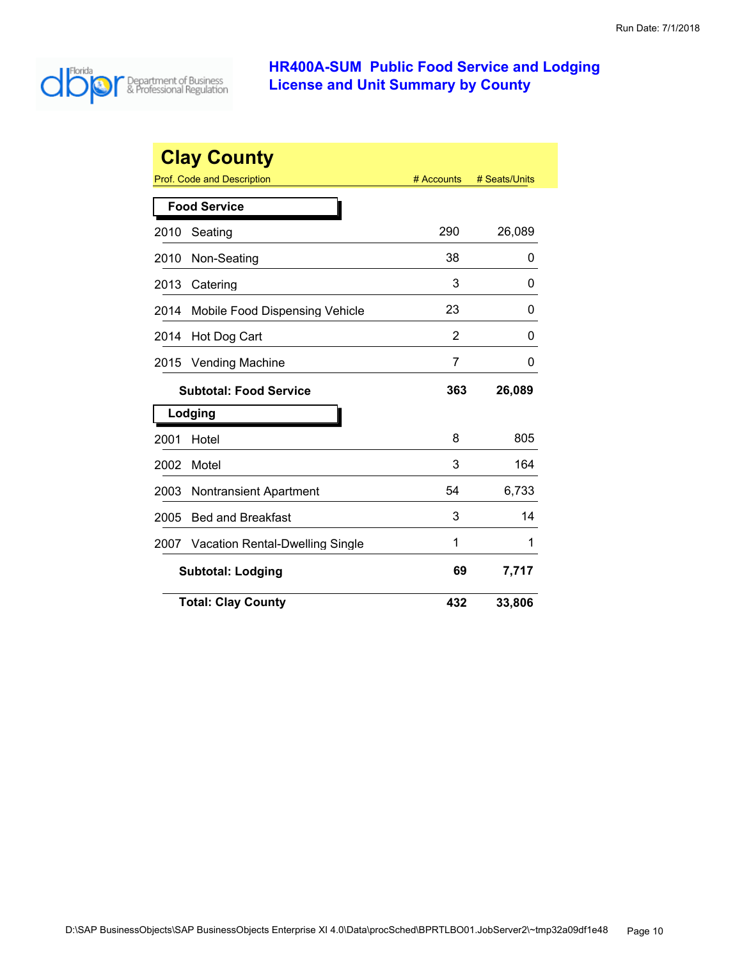

| <b>Clay County</b> |                                        |            |               |  |
|--------------------|----------------------------------------|------------|---------------|--|
|                    | <b>Prof. Code and Description</b>      | # Accounts | # Seats/Units |  |
|                    | <b>Food Service</b>                    |            |               |  |
| 2010               | Seating                                | 290        | 26,089        |  |
| 2010               | Non-Seating                            | 38         | 0             |  |
| 2013               | Catering                               | 3          | 0             |  |
| 2014               | Mobile Food Dispensing Vehicle         | 23         | 0             |  |
| 2014               | Hot Dog Cart                           | 2          | 0             |  |
| 2015               | <b>Vending Machine</b>                 | 7          | 0             |  |
|                    | <b>Subtotal: Food Service</b>          | 363        | 26,089        |  |
|                    | Lodging                                |            |               |  |
| 2001               | Hotel                                  | 8          | 805           |  |
| 2002               | Motel                                  | 3          | 164           |  |
| 2003               | <b>Nontransient Apartment</b>          | 54         | 6,733         |  |
| 2005               | <b>Bed and Breakfast</b>               | 3          | 14            |  |
| 2007               | <b>Vacation Rental-Dwelling Single</b> | 1          | 1             |  |
|                    | <b>Subtotal: Lodging</b>               | 69         | 7,717         |  |
|                    | <b>Total: Clay County</b>              | 432        | 33,806        |  |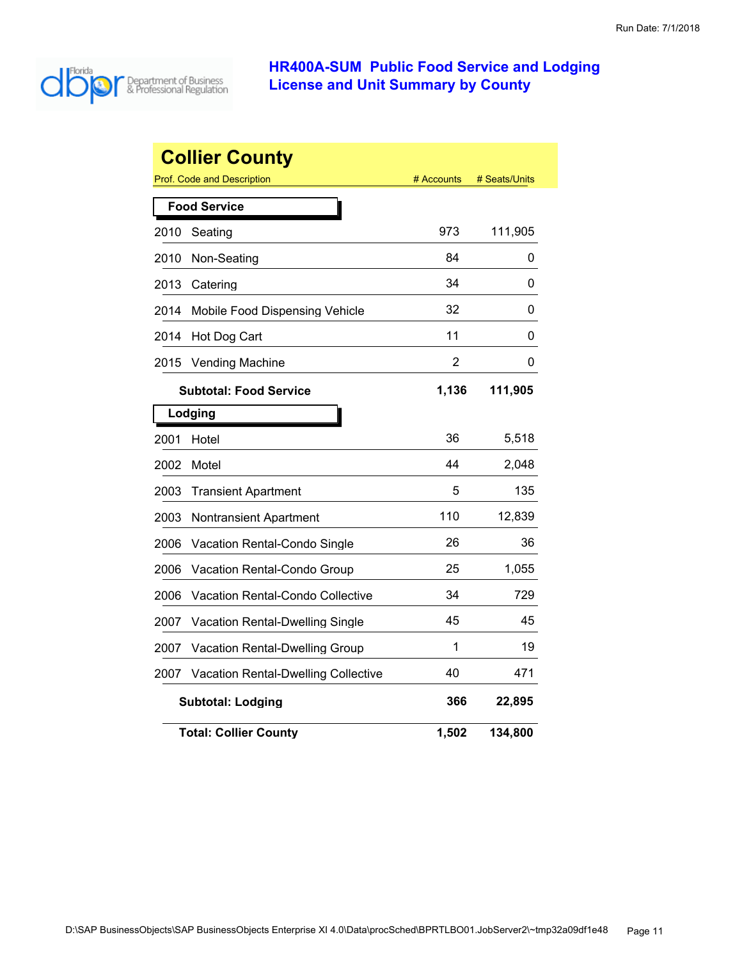

| <b>Collier County</b> |                                                  |            |               |  |  |
|-----------------------|--------------------------------------------------|------------|---------------|--|--|
|                       | <b>Prof. Code and Description</b>                | # Accounts | # Seats/Units |  |  |
|                       | <b>Food Service</b>                              |            |               |  |  |
| 2010                  | Seating                                          | 973        | 111,905       |  |  |
| 2010                  | Non-Seating                                      | 84         | 0             |  |  |
| 2013                  | Catering                                         | 34         | 0             |  |  |
| 2014                  | Mobile Food Dispensing Vehicle                   | 32         | 0             |  |  |
| 2014                  | Hot Dog Cart                                     | 11         | 0             |  |  |
| 2015                  | <b>Vending Machine</b>                           | 2          | 0             |  |  |
|                       | <b>Subtotal: Food Service</b>                    | 1,136      | 111,905       |  |  |
|                       | Lodging                                          |            |               |  |  |
| 2001                  | Hotel                                            | 36         | 5,518         |  |  |
| 2002                  | Motel                                            | 44         | 2,048         |  |  |
| 2003                  | <b>Transient Apartment</b>                       | 5          | 135           |  |  |
| 2003                  | Nontransient Apartment                           | 110        | 12,839        |  |  |
| 2006                  | Vacation Rental-Condo Single                     | 26         | 36            |  |  |
| 2006                  | Vacation Rental-Condo Group                      | 25         | 1,055         |  |  |
| 2006                  | Vacation Rental-Condo Collective                 | 34         | 729           |  |  |
| 2007                  | Vacation Rental-Dwelling Single                  | 45         | 45            |  |  |
| 2007                  | Vacation Rental-Dwelling Group                   | 1          | 19            |  |  |
| 2007                  | <b>Vacation Rental-Dwelling Collective</b>       | 40         | 471           |  |  |
|                       | 366<br>22,895<br><b>Subtotal: Lodging</b>        |            |               |  |  |
|                       | <b>Total: Collier County</b><br>1,502<br>134,800 |            |               |  |  |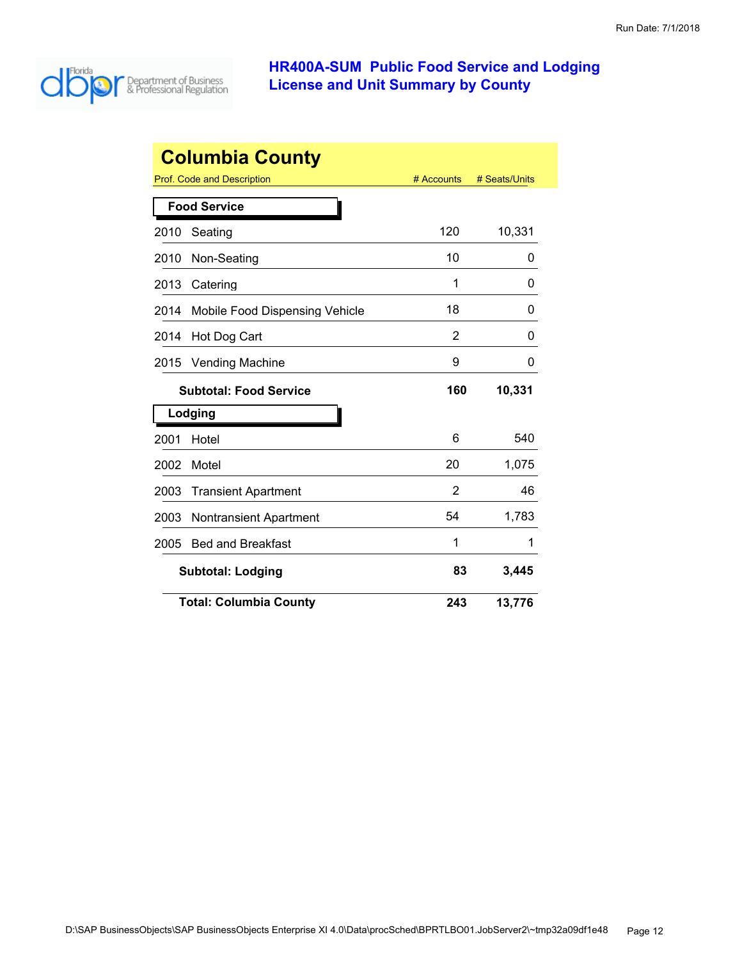

|      | <b>Columbia County</b>         |            |               |
|------|--------------------------------|------------|---------------|
|      | Prof. Code and Description     | # Accounts | # Seats/Units |
|      | <b>Food Service</b>            |            |               |
| 2010 | Seating                        | 120        | 10,331        |
| 2010 | Non-Seating                    | 10         | 0             |
| 2013 | Catering                       | 1          | 0             |
| 2014 | Mobile Food Dispensing Vehicle | 18         | 0             |
| 2014 | Hot Dog Cart                   | 2          | 0             |
| 2015 | <b>Vending Machine</b>         | 9          | 0             |
|      | <b>Subtotal: Food Service</b>  | 160        | 10,331        |
|      | Lodging                        |            |               |
| 2001 | Hotel                          | 6          | 540           |
| 2002 | Motel                          | 20         | 1,075         |
| 2003 | <b>Transient Apartment</b>     | 2          | 46            |
| 2003 | <b>Nontransient Apartment</b>  | 54         | 1,783         |
| 2005 | <b>Bed and Breakfast</b>       | 1          | 1             |
|      | <b>Subtotal: Lodging</b>       | 83         | 3,445         |
|      | <b>Total: Columbia County</b>  | 243        | 13,776        |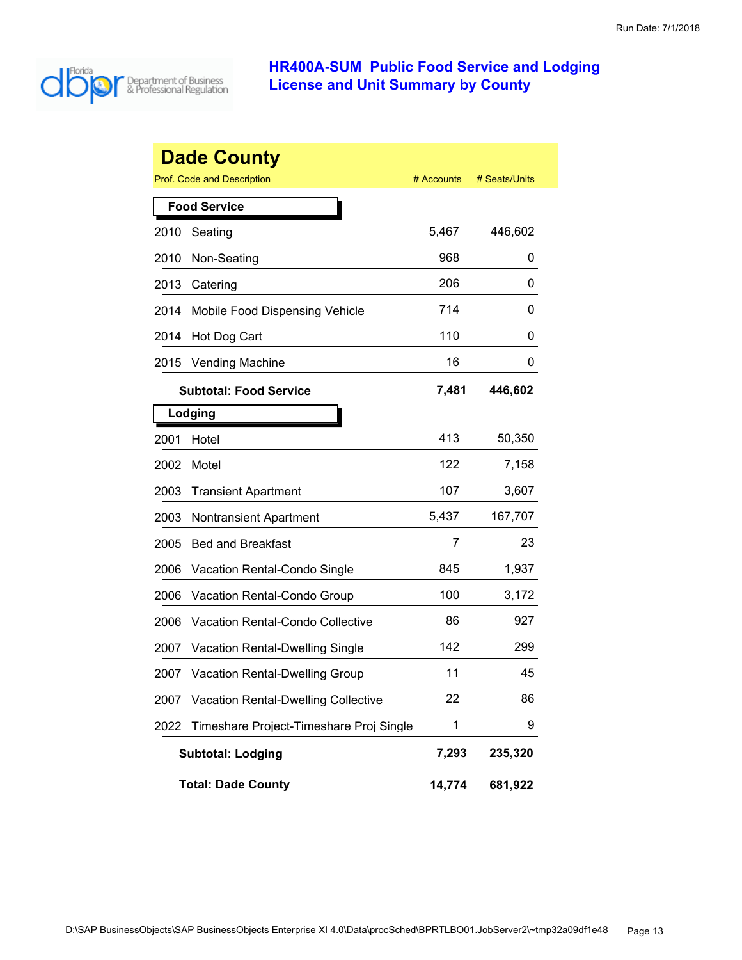

|      | <b>Dade County</b>                         |            |               |
|------|--------------------------------------------|------------|---------------|
|      | Prof. Code and Description                 | # Accounts | # Seats/Units |
|      | <b>Food Service</b>                        |            |               |
| 2010 | Seating                                    | 5,467      | 446,602       |
| 2010 | Non-Seating                                | 968        | 0             |
| 2013 | Catering                                   | 206        | 0             |
| 2014 | Mobile Food Dispensing Vehicle             | 714        | 0             |
| 2014 | Hot Dog Cart                               | 110        | 0             |
| 2015 | <b>Vending Machine</b>                     | 16         | 0             |
|      | <b>Subtotal: Food Service</b>              | 7,481      | 446,602       |
|      | Lodging                                    |            |               |
| 2001 | Hotel                                      | 413        | 50,350        |
| 2002 | Motel                                      | 122        | 7,158         |
| 2003 | <b>Transient Apartment</b>                 | 107        | 3,607         |
| 2003 | <b>Nontransient Apartment</b>              | 5,437      | 167,707       |
| 2005 | <b>Bed and Breakfast</b>                   | 7          | 23            |
| 2006 | Vacation Rental-Condo Single               | 845        | 1,937         |
| 2006 | Vacation Rental-Condo Group                | 100        | 3,172         |
| 2006 | <b>Vacation Rental-Condo Collective</b>    | 86         | 927           |
| 2007 | <b>Vacation Rental-Dwelling Single</b>     | 142        | 299           |
| 2007 | <b>Vacation Rental-Dwelling Group</b>      | 11         | 45            |
| 2007 | <b>Vacation Rental-Dwelling Collective</b> | 22         | 86            |
| 2022 | Timeshare Project-Timeshare Proj Single    | 1          | 9             |
|      | <b>Subtotal: Lodging</b>                   | 7,293      | 235,320       |
|      | <b>Total: Dade County</b>                  | 14,774     | 681,922       |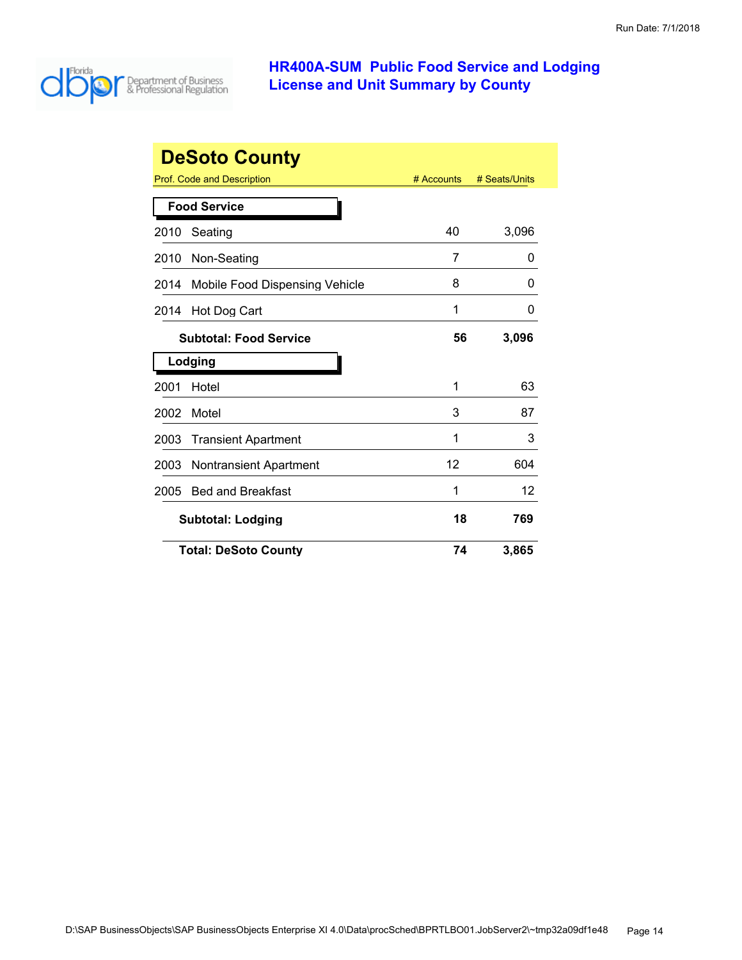

| <b>DeSoto County</b>                  |                                                                  |    |       |  |  |
|---------------------------------------|------------------------------------------------------------------|----|-------|--|--|
|                                       | <b>Prof. Code and Description</b><br># Accounts<br># Seats/Units |    |       |  |  |
|                                       | <b>Food Service</b>                                              |    |       |  |  |
| 2010                                  | Seating                                                          | 40 | 3,096 |  |  |
| 2010                                  | Non-Seating                                                      | 7  | 0     |  |  |
| 2014                                  | Mobile Food Dispensing Vehicle                                   | 8  | 0     |  |  |
| 2014                                  | Hot Dog Cart                                                     | 1  | 0     |  |  |
|                                       | <b>Subtotal: Food Service</b>                                    | 56 | 3,096 |  |  |
|                                       | Lodging                                                          |    |       |  |  |
| 2001                                  | Hotel                                                            | 1  | 63    |  |  |
| 2002                                  | Motel                                                            | 3  | 87    |  |  |
| 2003                                  | <b>Transient Apartment</b>                                       | 1  | 3     |  |  |
| 2003                                  | <b>Nontransient Apartment</b>                                    | 12 | 604   |  |  |
| 2005                                  | <b>Bed and Breakfast</b>                                         | 1  | 12    |  |  |
| 18<br>769<br><b>Subtotal: Lodging</b> |                                                                  |    |       |  |  |
|                                       | <b>Total: DeSoto County</b>                                      | 74 | 3,865 |  |  |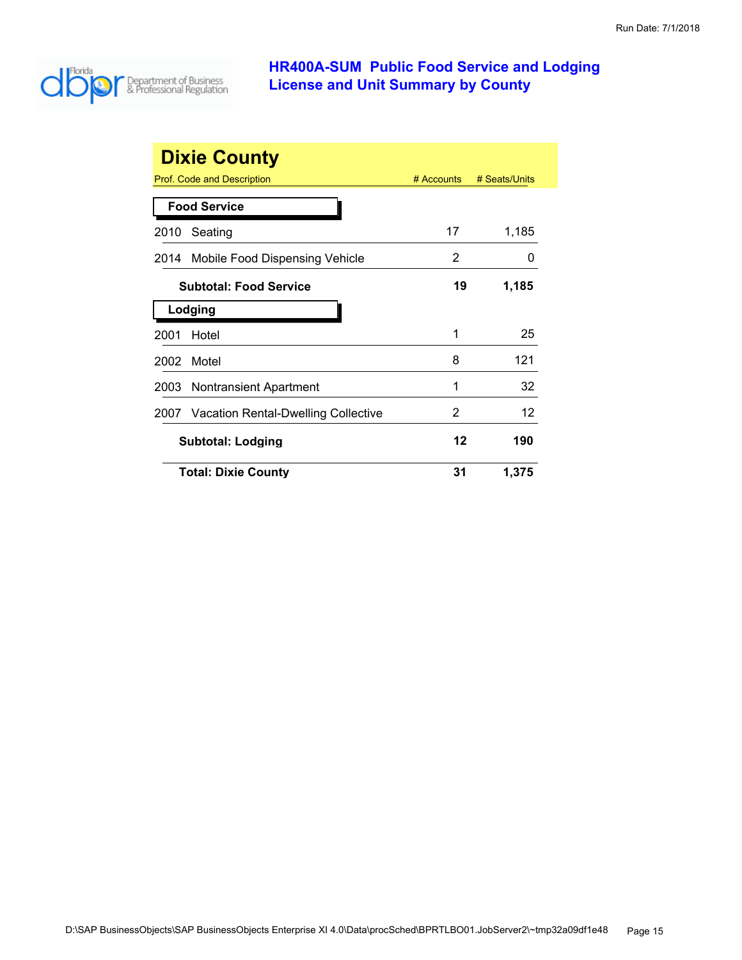

| <b>Dixie County</b> |                                          |            |               |  |
|---------------------|------------------------------------------|------------|---------------|--|
|                     | Prof. Code and Description               | # Accounts | # Seats/Units |  |
|                     | <b>Food Service</b>                      |            |               |  |
| 2010                | Seating                                  | 17         | 1,185         |  |
|                     | 2014 Mobile Food Dispensing Vehicle      | 2          | O             |  |
|                     | <b>Subtotal: Food Service</b>            | 19         | 1,185         |  |
|                     | Lodging                                  |            |               |  |
| 2001                | Hotel                                    | 1          | 25            |  |
| 2002                | Motel                                    | 8          | 121           |  |
| 2003                | Nontransient Apartment                   | 1          | 32            |  |
|                     | 2007 Vacation Rental-Dwelling Collective | 2          | 12            |  |
|                     | <b>Subtotal: Lodging</b>                 |            | 190           |  |
|                     | <b>Total: Dixie County</b>               | 31         | 1,375         |  |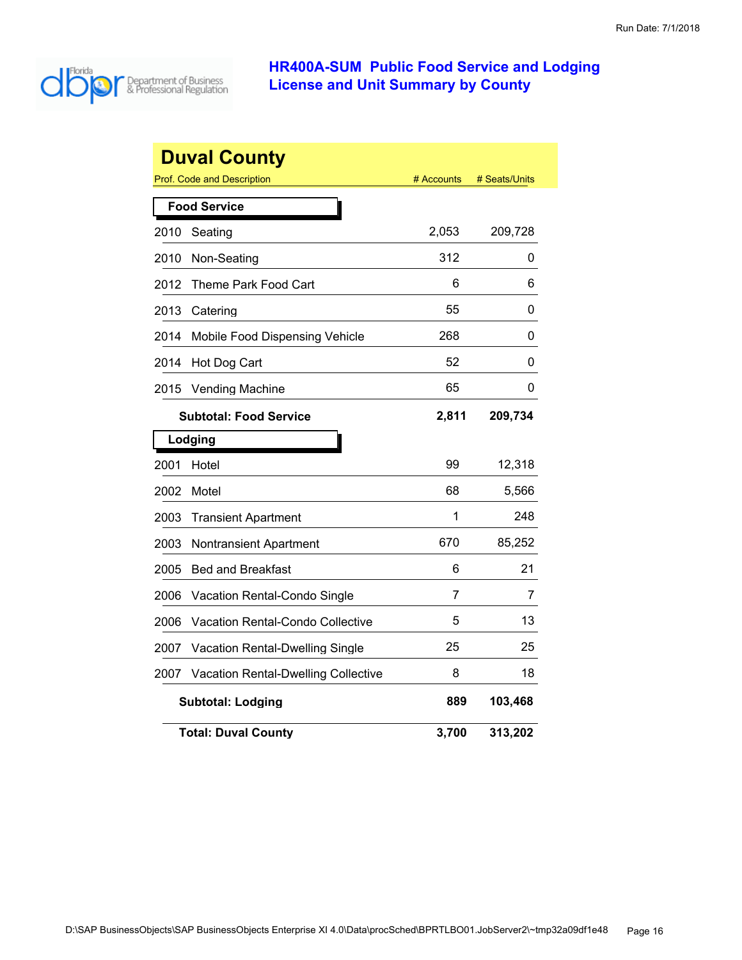

| <b>Duval County</b>                    |                                            |            |               |  |
|----------------------------------------|--------------------------------------------|------------|---------------|--|
|                                        | <b>Prof. Code and Description</b>          | # Accounts | # Seats/Units |  |
|                                        | <b>Food Service</b>                        |            |               |  |
| 2010                                   | Seating                                    | 2,053      | 209,728       |  |
| 2010                                   | Non-Seating                                | 312        | 0             |  |
| 2012                                   | Theme Park Food Cart                       | 6          | 6             |  |
| 2013                                   | Catering                                   | 55         | 0             |  |
| 2014                                   | Mobile Food Dispensing Vehicle             | 268        | 0             |  |
| 2014                                   | Hot Dog Cart                               | 52         | 0             |  |
| 2015                                   | <b>Vending Machine</b>                     | 65         | 0             |  |
| 2,811<br><b>Subtotal: Food Service</b> |                                            |            | 209,734       |  |
|                                        | Lodging                                    |            |               |  |
| 2001                                   | Hotel                                      | 99         | 12,318        |  |
| 2002                                   | Motel                                      | 68         | 5,566         |  |
| 2003                                   | <b>Transient Apartment</b>                 | 1          | 248           |  |
| 2003                                   | <b>Nontransient Apartment</b>              | 670        | 85,252        |  |
| 2005                                   | <b>Bed and Breakfast</b>                   | 6          | 21            |  |
| 2006                                   | Vacation Rental-Condo Single               | 7          | 7             |  |
| 2006                                   | Vacation Rental-Condo Collective           | 5          | 13            |  |
| 2007                                   | Vacation Rental-Dwelling Single            | 25         | 25            |  |
| 2007                                   | <b>Vacation Rental-Dwelling Collective</b> | 8          | 18            |  |
|                                        | <b>Subtotal: Lodging</b>                   | 889        | 103,468       |  |
|                                        | <b>Total: Duval County</b>                 | 3,700      | 313,202       |  |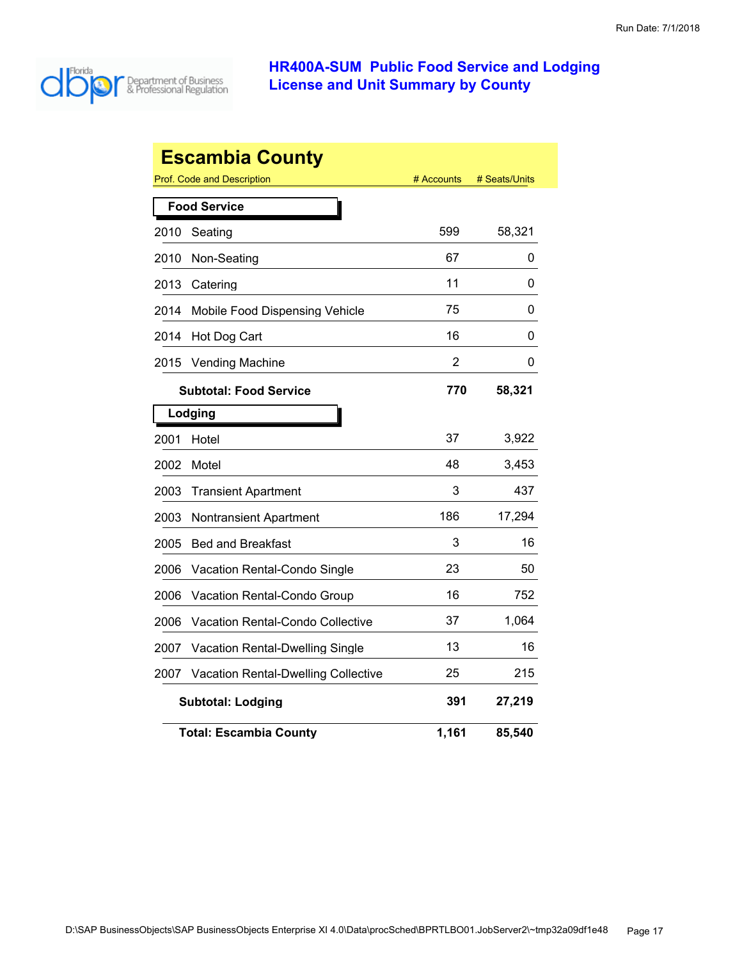

| <b>Escambia County</b> |                                                           |                |        |  |  |
|------------------------|-----------------------------------------------------------|----------------|--------|--|--|
|                        | Prof. Code and Description<br># Seats/Units<br># Accounts |                |        |  |  |
|                        | <b>Food Service</b>                                       |                |        |  |  |
| 2010                   | Seating                                                   | 599            | 58,321 |  |  |
| 2010                   | Non-Seating                                               | 67             | 0      |  |  |
| 2013                   | Catering                                                  | 11             | 0      |  |  |
| 2014                   | Mobile Food Dispensing Vehicle                            | 75             | 0      |  |  |
| 2014                   | Hot Dog Cart                                              | 16             | 0      |  |  |
| 2015                   | <b>Vending Machine</b>                                    | $\overline{2}$ | 0      |  |  |
|                        | <b>Subtotal: Food Service</b>                             | 770            | 58,321 |  |  |
|                        | Lodging                                                   |                |        |  |  |
| 2001                   | Hotel                                                     | 37             | 3,922  |  |  |
| 2002                   | Motel                                                     | 48             | 3,453  |  |  |
| 2003                   | <b>Transient Apartment</b>                                | 3              | 437    |  |  |
| 2003                   | <b>Nontransient Apartment</b>                             | 186            | 17,294 |  |  |
| 2005                   | <b>Bed and Breakfast</b>                                  | 3              | 16     |  |  |
| 2006                   | Vacation Rental-Condo Single                              | 23             | 50     |  |  |
| 2006                   | Vacation Rental-Condo Group                               | 16             | 752    |  |  |
| 2006                   | Vacation Rental-Condo Collective                          | 37             | 1,064  |  |  |
| 2007                   | <b>Vacation Rental-Dwelling Single</b>                    | 13             | 16     |  |  |
| 2007                   | Vacation Rental-Dwelling Collective                       | 25             | 215    |  |  |
|                        | <b>Subtotal: Lodging</b>                                  | 391            | 27,219 |  |  |
|                        | <b>Total: Escambia County</b>                             | 1,161          | 85,540 |  |  |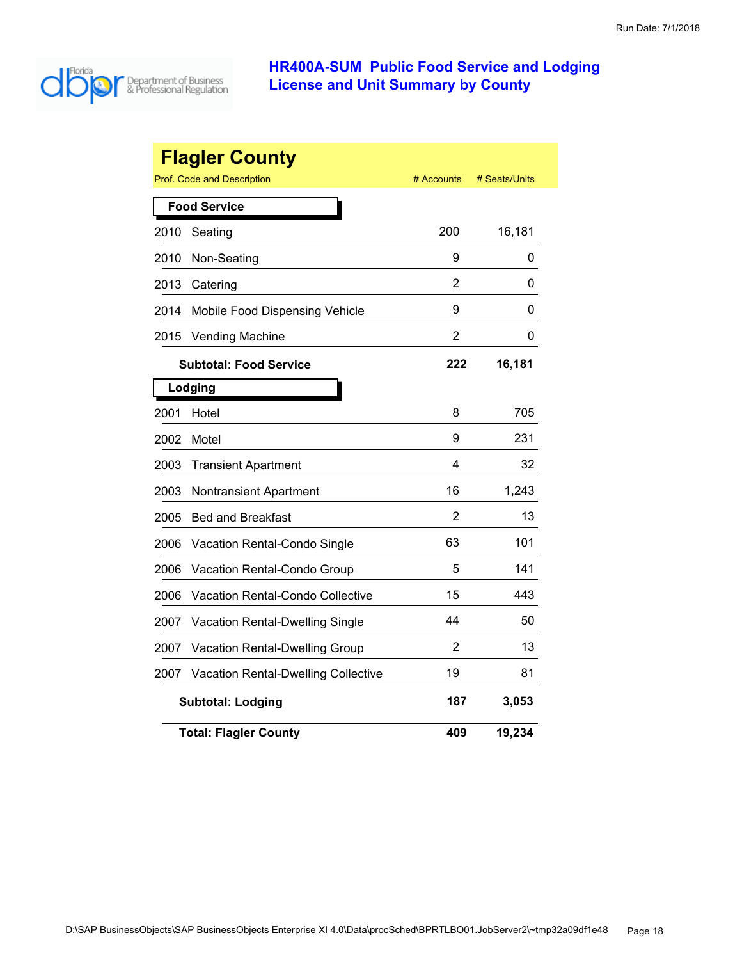

|      | <b>Flagler County</b><br><b>Prof. Code and Description</b> | # Accounts     | # Seats/Units |
|------|------------------------------------------------------------|----------------|---------------|
|      | <b>Food Service</b>                                        |                |               |
| 2010 | Seating                                                    | 200            | 16,181        |
| 2010 | Non-Seating                                                | 9              | 0             |
| 2013 | Catering                                                   | 2              | 0             |
| 2014 | Mobile Food Dispensing Vehicle                             | 9              | 0             |
| 2015 | <b>Vending Machine</b>                                     | $\overline{2}$ | 0             |
|      | <b>Subtotal: Food Service</b>                              | 222            | 16,181        |
|      | Lodging                                                    |                |               |
| 2001 | Hotel                                                      | 8              | 705           |
| 2002 | Motel                                                      | 9              | 231           |
| 2003 | <b>Transient Apartment</b>                                 | 4              | 32            |
| 2003 | <b>Nontransient Apartment</b>                              | 16             | 1,243         |
| 2005 | <b>Bed and Breakfast</b>                                   | 2              | 13            |
| 2006 | Vacation Rental-Condo Single                               | 63             | 101           |
| 2006 | Vacation Rental-Condo Group                                | 5              | 141           |
| 2006 | Vacation Rental-Condo Collective                           | 15             | 443           |
| 2007 | Vacation Rental-Dwelling Single                            | 44             | 50            |
| 2007 | Vacation Rental-Dwelling Group                             | 2              | 13            |
| 2007 | <b>Vacation Rental-Dwelling Collective</b>                 | 19             | 81            |
|      | <b>Subtotal: Lodging</b>                                   | 187            | 3,053         |
|      | <b>Total: Flagler County</b>                               | 409            | 19,234        |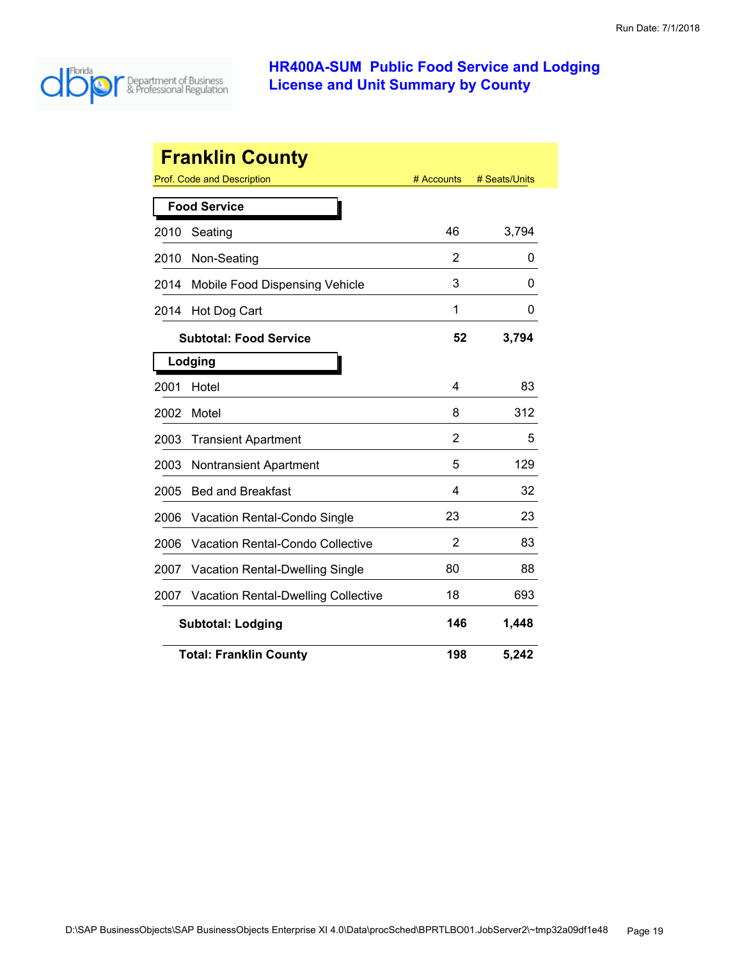

|      | <b>Franklin County</b>                     |            |               |
|------|--------------------------------------------|------------|---------------|
|      | Prof. Code and Description                 | # Accounts | # Seats/Units |
|      | <b>Food Service</b>                        |            |               |
| 2010 | Seating                                    | 46         | 3,794         |
| 2010 | Non-Seating                                | 2          | 0             |
| 2014 | Mobile Food Dispensing Vehicle             | 3          | 0             |
| 2014 | Hot Dog Cart                               | 1          | 0             |
|      | <b>Subtotal: Food Service</b>              | 52         | 3,794         |
|      | Lodging                                    |            |               |
| 2001 | Hotel                                      | 4          | 83            |
| 2002 | Motel                                      | 8          | 312           |
| 2003 | <b>Transient Apartment</b>                 | 2          | 5             |
| 2003 | Nontransient Apartment                     | 5          | 129           |
| 2005 | <b>Bed and Breakfast</b>                   | 4          | 32            |
| 2006 | Vacation Rental-Condo Single               | 23         | 23            |
| 2006 | Vacation Rental-Condo Collective           | 2          | 83            |
| 2007 | <b>Vacation Rental-Dwelling Single</b>     | 80         | 88            |
| 2007 | <b>Vacation Rental-Dwelling Collective</b> | 18         | 693           |
|      | <b>Subtotal: Lodging</b>                   | 146        | 1,448         |
|      | <b>Total: Franklin County</b>              | 198        | 5,242         |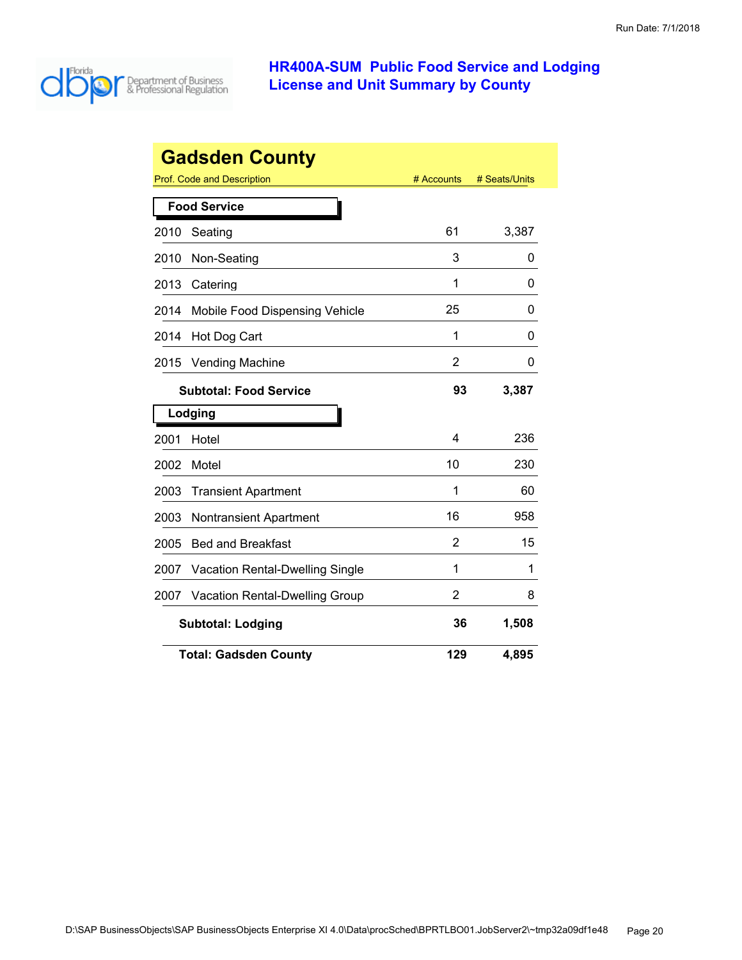

| <b>Gadsden County</b> |                                 |            |               |
|-----------------------|---------------------------------|------------|---------------|
|                       | Prof. Code and Description      | # Accounts | # Seats/Units |
|                       | <b>Food Service</b>             |            |               |
| 2010                  | Seating                         | 61         | 3,387         |
| 2010                  | Non-Seating                     | 3          | 0             |
| 2013                  | Catering                        | 1          | 0             |
| 2014                  | Mobile Food Dispensing Vehicle  | 25         | 0             |
| 2014                  | Hot Dog Cart                    | 1          | 0             |
| 2015                  | <b>Vending Machine</b>          | 2          | 0             |
|                       | <b>Subtotal: Food Service</b>   | 93         | 3,387         |
|                       | Lodging                         |            |               |
| 2001                  | Hotel                           | 4          | 236           |
| 2002                  | Motel                           | 10         | 230           |
| 2003                  | <b>Transient Apartment</b>      | 1          | 60            |
| 2003                  | <b>Nontransient Apartment</b>   | 16         | 958           |
| 2005                  | <b>Bed and Breakfast</b>        | 2          | 15            |
| 2007                  | Vacation Rental-Dwelling Single | 1          | 1             |
| 2007                  | Vacation Rental-Dwelling Group  | 2          | 8             |
|                       | <b>Subtotal: Lodging</b>        | 36         | 1,508         |
|                       | <b>Total: Gadsden County</b>    | 129        | 4,895         |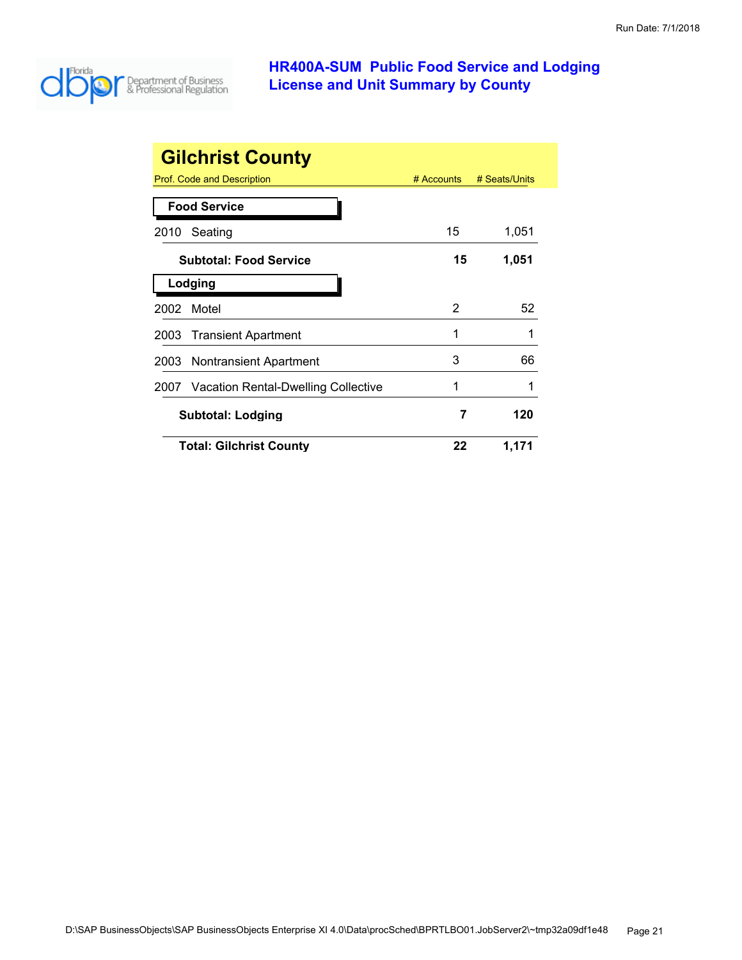

| <b>Gilchrist County</b>                  |              |               |
|------------------------------------------|--------------|---------------|
| Prof. Code and Description               | $#$ Accounts | # Seats/Units |
| <b>Food Service</b>                      |              |               |
| Seating<br>2010                          | 15           | 1,051         |
| <b>Subtotal: Food Service</b>            | 15           | 1,051         |
| Lodging                                  |              |               |
| Motel<br>2002                            | 2            | 52            |
| 2003 Transient Apartment                 | 1            |               |
| 2003 Nontransient Apartment              | 3            | 66            |
| 2007 Vacation Rental-Dwelling Collective | 1            |               |
| <b>Subtotal: Lodging</b>                 | 7            | 120           |
| <b>Total: Gilchrist County</b>           | 22           | 1,171         |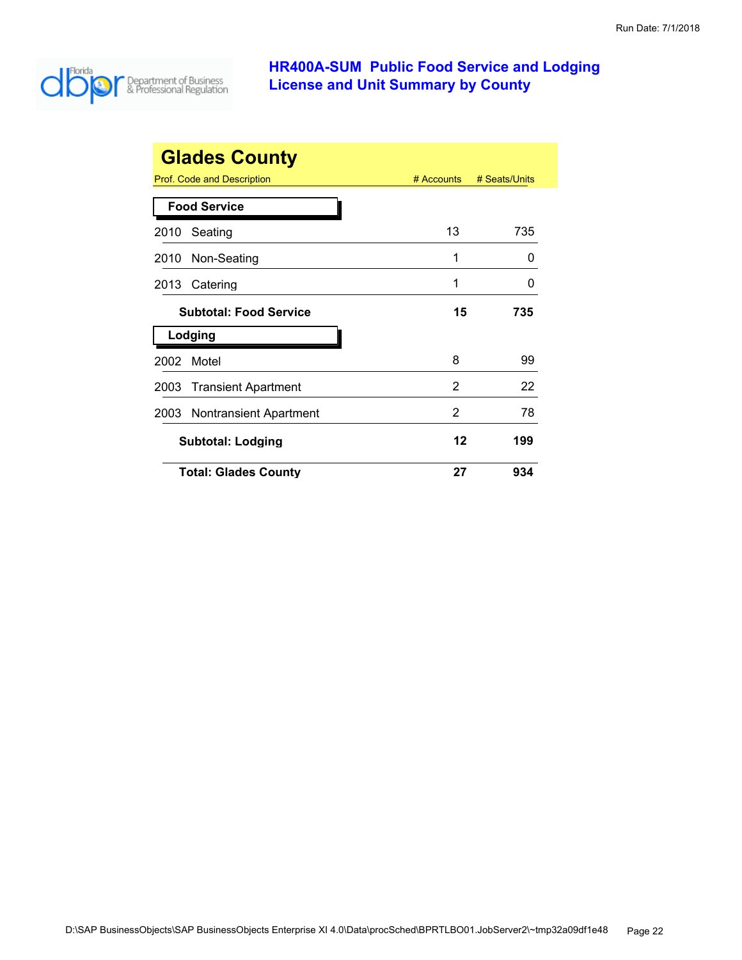

|      | <b>Glades County</b>          |              |               |
|------|-------------------------------|--------------|---------------|
|      | Prof. Code and Description    | $#$ Accounts | # Seats/Units |
|      | <b>Food Service</b>           |              |               |
| 2010 | Seating                       | 13           | 735           |
| 2010 | Non-Seating                   | 1            | 0             |
| 2013 | Catering                      | 1            | ი             |
|      | <b>Subtotal: Food Service</b> | 15           | 735           |
|      | Lodging                       |              |               |
| 2002 | Motel                         | 8            | 99            |
| 2003 | <b>Transient Apartment</b>    | 2            | 22            |
| 2003 | <b>Nontransient Apartment</b> | 2            | 78            |
|      | <b>Subtotal: Lodging</b>      | 12           | 199           |
|      | <b>Total: Glades County</b>   | 27           | 934           |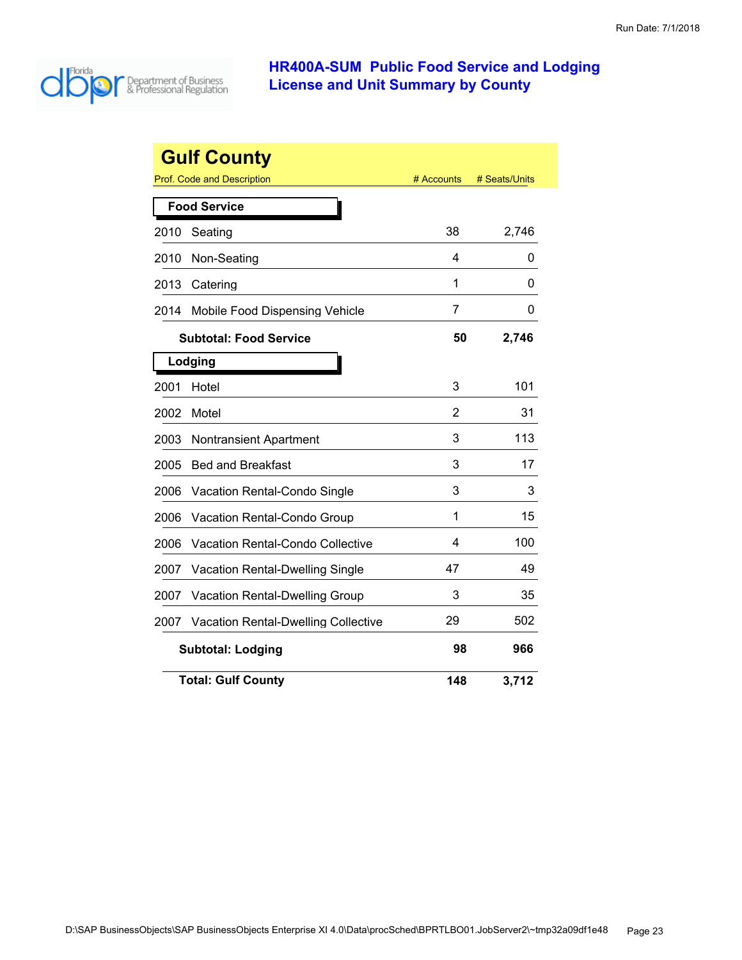

|      | <b>Gulf County</b>                      |            |               |
|------|-----------------------------------------|------------|---------------|
|      | Prof. Code and Description              | # Accounts | # Seats/Units |
|      | <b>Food Service</b>                     |            |               |
| 2010 | Seating                                 | 38         | 2,746         |
| 2010 | Non-Seating                             | 4          | 0             |
| 2013 | Catering                                | 1          | 0             |
| 2014 | Mobile Food Dispensing Vehicle          | 7          | 0             |
|      | <b>Subtotal: Food Service</b>           | 50         | 2,746         |
|      | Lodging                                 |            |               |
| 2001 | Hotel                                   | 3          | 101           |
| 2002 | Motel                                   | 2          | 31            |
| 2003 | <b>Nontransient Apartment</b>           | 3          | 113           |
| 2005 | <b>Bed and Breakfast</b>                | 3          | 17            |
| 2006 | Vacation Rental-Condo Single            | 3          | 3             |
| 2006 | Vacation Rental-Condo Group             | 1          | 15            |
| 2006 | <b>Vacation Rental-Condo Collective</b> | 4          | 100           |
| 2007 | <b>Vacation Rental-Dwelling Single</b>  | 47         | 49            |
| 2007 | Vacation Rental-Dwelling Group          | 3          | 35            |
| 2007 | Vacation Rental-Dwelling Collective     | 29         | 502           |
|      | <b>Subtotal: Lodging</b>                | 98         | 966           |
|      | <b>Total: Gulf County</b>               | 148        | 3,712         |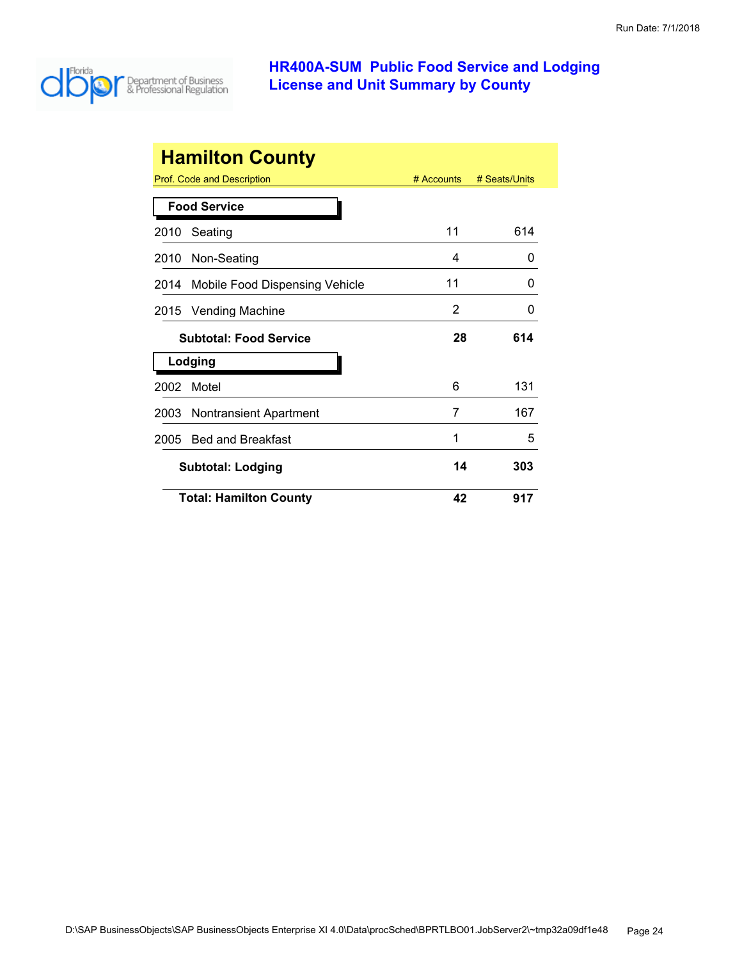

|      | <b>Hamilton County</b>            |              |               |
|------|-----------------------------------|--------------|---------------|
|      | <b>Prof. Code and Description</b> | $#$ Accounts | # Seats/Units |
|      | <b>Food Service</b>               |              |               |
| 2010 | Seating                           | 11           | 614           |
| 2010 | Non-Seating                       | 4            | 0             |
| 2014 | Mobile Food Dispensing Vehicle    | 11           | O             |
| 2015 | <b>Vending Machine</b>            | 2            | O             |
|      | <b>Subtotal: Food Service</b>     | 28           | 614           |
|      | Lodging                           |              |               |
| 2002 | Motel                             | 6            | 131           |
| 2003 | Nontransient Apartment            | 7            | 167           |
| 2005 | <b>Bed and Breakfast</b>          | 1            | 5             |
|      | <b>Subtotal: Lodging</b>          | 14           | 303           |
|      | <b>Total: Hamilton County</b>     | 42           | 917           |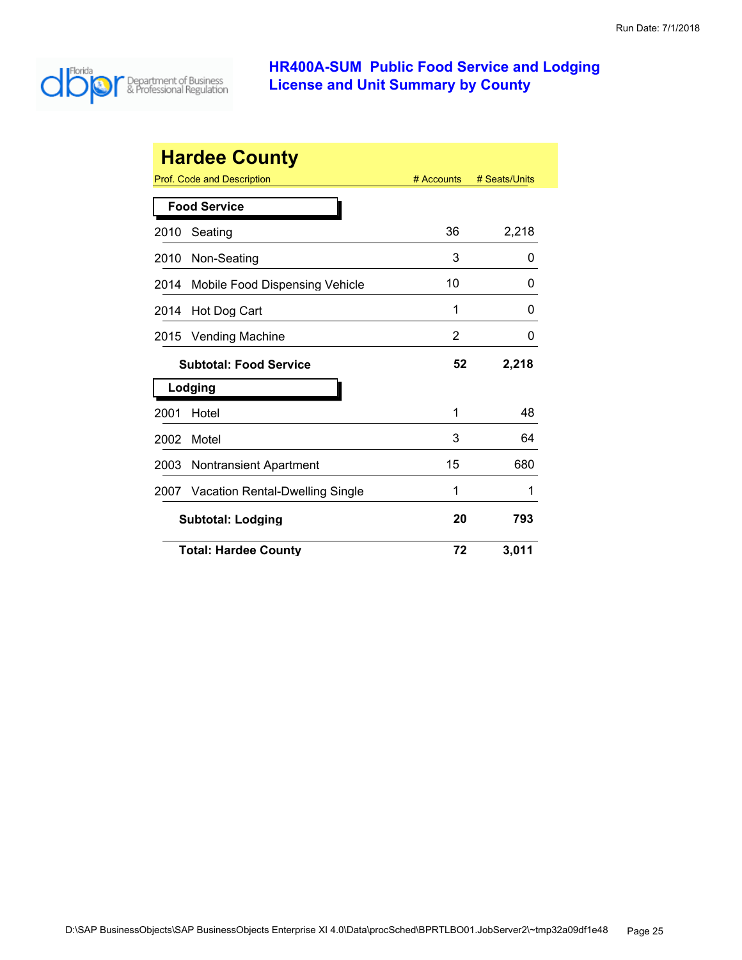

| <b>Hardee County</b> |                                       |            |               |
|----------------------|---------------------------------------|------------|---------------|
|                      | Prof. Code and Description            | # Accounts | # Seats/Units |
|                      | <b>Food Service</b>                   |            |               |
| 2010                 | Seating                               | 36         | 2,218         |
| 2010                 | Non-Seating                           | 3          | 0             |
| 2014                 | Mobile Food Dispensing Vehicle        | 10         | 0             |
| 2014                 | Hot Dog Cart                          | 1          | 0             |
| 2015                 | Vending Machine                       | 2          | 0             |
|                      | <b>Subtotal: Food Service</b>         |            | 2,218         |
|                      | Lodging                               |            |               |
| 2001                 | Hotel                                 | 1          | 48            |
| 2002                 | Motel                                 | 3          | 64            |
| 2003                 | Nontransient Apartment                | 15         | 680           |
| 2007                 | Vacation Rental-Dwelling Single       | 1          | 1             |
|                      | 20<br>793<br><b>Subtotal: Lodging</b> |            |               |
|                      | <b>Total: Hardee County</b>           | 72         | 3,011         |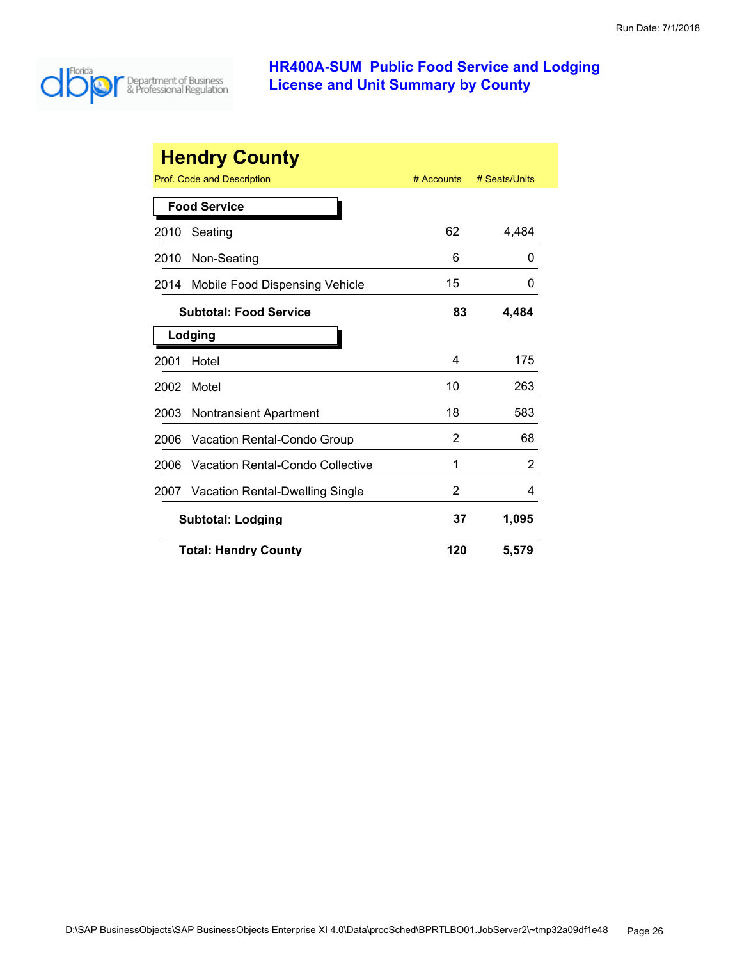

| <b>Hendry County</b> |                                  |            |               |
|----------------------|----------------------------------|------------|---------------|
|                      | Prof. Code and Description       | # Accounts | # Seats/Units |
|                      | <b>Food Service</b>              |            |               |
| 2010                 | Seating                          | 62         | 4,484         |
| 2010                 | Non-Seating                      | 6          | 0             |
| 2014                 | Mobile Food Dispensing Vehicle   | 15         | 0             |
|                      | <b>Subtotal: Food Service</b>    | 83         | 4,484         |
|                      | Lodging                          |            |               |
| 2001                 | Hotel                            | 4          | 175           |
| 2002                 | Motel                            | 10         | 263           |
| 2003                 | <b>Nontransient Apartment</b>    | 18         | 583           |
| 2006                 | Vacation Rental-Condo Group      | 2          | 68            |
| 2006                 | Vacation Rental-Condo Collective | 1          | 2             |
| 2007                 | Vacation Rental-Dwelling Single  | 2          | 4             |
|                      | <b>Subtotal: Lodging</b>         | 37         | 1,095         |
|                      | <b>Total: Hendry County</b>      | 120        | 5,579         |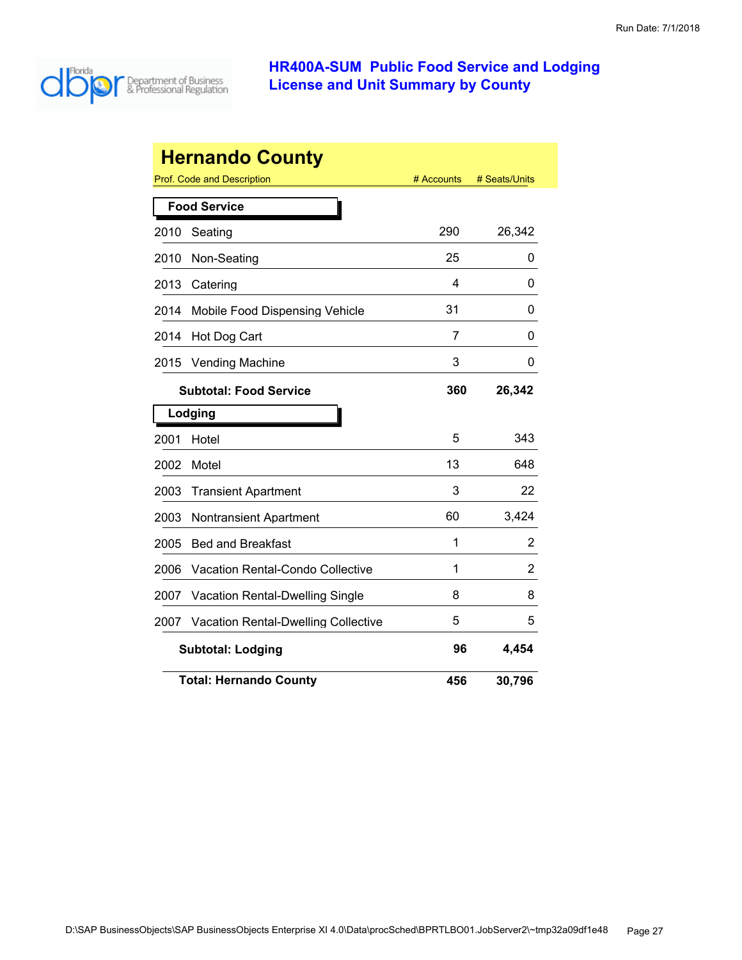

|      | <b>Hernando County</b>                     |            |               |
|------|--------------------------------------------|------------|---------------|
|      | Prof. Code and Description                 | # Accounts | # Seats/Units |
|      | <b>Food Service</b>                        |            |               |
| 2010 | Seating                                    | 290        | 26,342        |
| 2010 | Non-Seating                                | 25         | 0             |
| 2013 | Catering                                   | 4          | 0             |
| 2014 | Mobile Food Dispensing Vehicle             | 31         | 0             |
| 2014 | Hot Dog Cart                               | 7          | 0             |
| 2015 | Vending Machine                            | 3          | 0             |
|      | <b>Subtotal: Food Service</b>              | 360        | 26,342        |
|      | Lodging                                    |            |               |
| 2001 | Hotel                                      | 5          | 343           |
| 2002 | Motel                                      | 13         | 648           |
| 2003 | <b>Transient Apartment</b>                 | 3          | 22            |
| 2003 | <b>Nontransient Apartment</b>              | 60         | 3,424         |
| 2005 | <b>Bed and Breakfast</b>                   | 1          | 2             |
| 2006 | <b>Vacation Rental-Condo Collective</b>    | 1          | 2             |
| 2007 | Vacation Rental-Dwelling Single            | 8          | 8             |
| 2007 | <b>Vacation Rental-Dwelling Collective</b> | 5          | 5             |
|      | <b>Subtotal: Lodging</b>                   | 96         | 4,454         |
|      | <b>Total: Hernando County</b>              | 456        | 30,796        |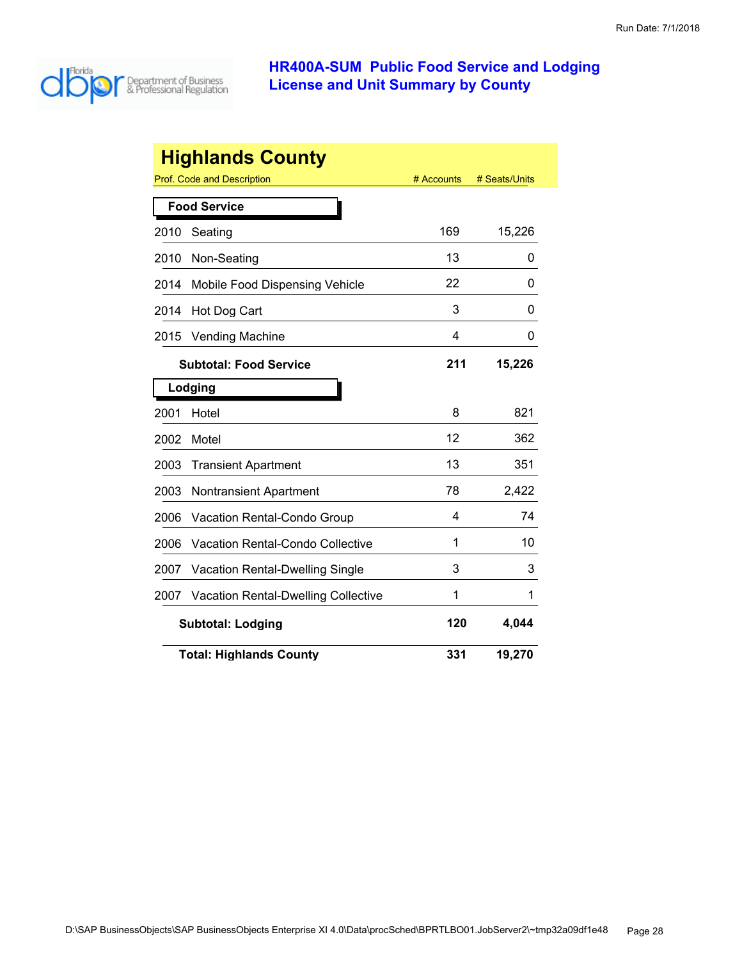

| <b>Highlands County</b> |                                            |            |               |  |
|-------------------------|--------------------------------------------|------------|---------------|--|
|                         | Prof. Code and Description                 | # Accounts | # Seats/Units |  |
|                         | <b>Food Service</b>                        |            |               |  |
| 2010                    | Seating                                    | 169        | 15,226        |  |
| 2010                    | Non-Seating                                | 13         | 0             |  |
| 2014                    | Mobile Food Dispensing Vehicle             | 22         | 0             |  |
| 2014                    | Hot Dog Cart                               | 3          | 0             |  |
| 2015                    | <b>Vending Machine</b>                     | 4          | 0             |  |
|                         | <b>Subtotal: Food Service</b>              | 211        | 15,226        |  |
|                         | Lodging                                    |            |               |  |
| 2001                    | Hotel                                      | 8          | 821           |  |
| 2002                    | Motel                                      | 12         | 362           |  |
| 2003                    | <b>Transient Apartment</b>                 | 13         | 351           |  |
| 2003                    | <b>Nontransient Apartment</b>              | 78         | 2,422         |  |
| 2006                    | Vacation Rental-Condo Group                | 4          | 74            |  |
| 2006                    | Vacation Rental-Condo Collective           | 1          | 10            |  |
| 2007                    | Vacation Rental-Dwelling Single            | 3          | 3             |  |
| 2007                    | <b>Vacation Rental-Dwelling Collective</b> | 1          | 1             |  |
|                         | 120<br>4,044<br><b>Subtotal: Lodging</b>   |            |               |  |
|                         | <b>Total: Highlands County</b>             | 331        | 19,270        |  |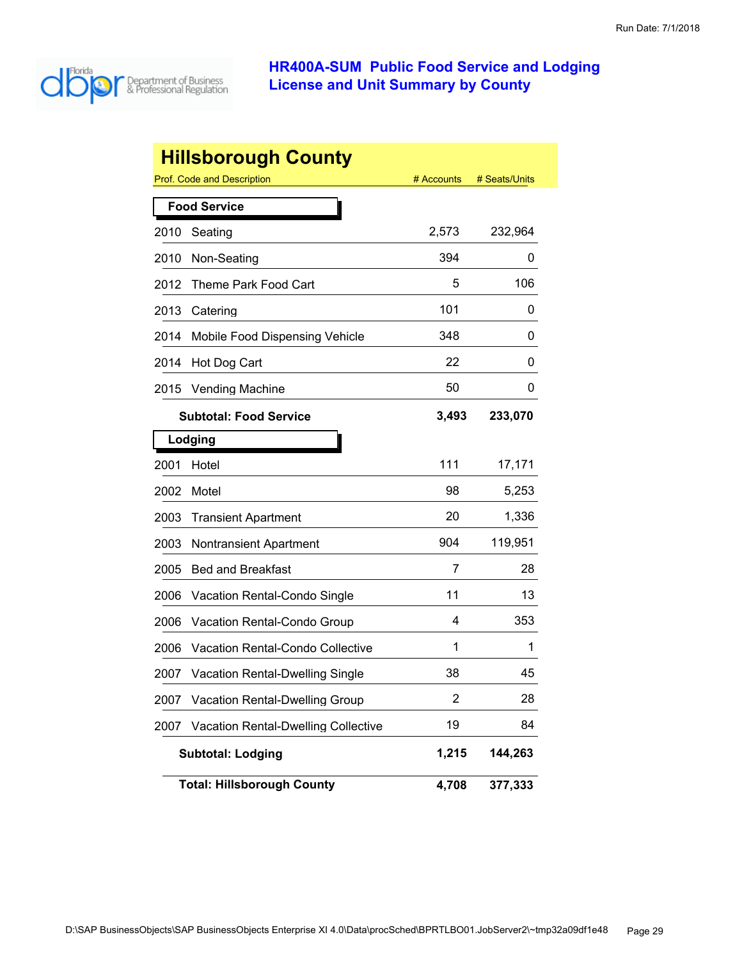

|      | <b>Hillsborough County</b>                 |                |               |
|------|--------------------------------------------|----------------|---------------|
|      | Prof. Code and Description                 | # Accounts     | # Seats/Units |
|      | <b>Food Service</b>                        |                |               |
| 2010 | Seating                                    | 2,573          | 232,964       |
| 2010 | Non-Seating                                | 394            | 0             |
| 2012 | Theme Park Food Cart                       | 5              | 106           |
| 2013 | Catering                                   | 101            | 0             |
| 2014 | Mobile Food Dispensing Vehicle             | 348            | 0             |
| 2014 | Hot Dog Cart                               | 22             | 0             |
| 2015 | <b>Vending Machine</b>                     | 50             | 0             |
|      | <b>Subtotal: Food Service</b>              | 3,493          | 233,070       |
|      | Lodging                                    |                |               |
| 2001 | Hotel                                      | 111            | 17,171        |
| 2002 | Motel                                      | 98             | 5,253         |
| 2003 | <b>Transient Apartment</b>                 | 20             | 1,336         |
| 2003 | <b>Nontransient Apartment</b>              | 904            | 119,951       |
| 2005 | <b>Bed and Breakfast</b>                   | 7              | 28            |
| 2006 | Vacation Rental-Condo Single               | 11             | 13            |
| 2006 | <b>Vacation Rental-Condo Group</b>         | 4              | 353           |
| 2006 | Vacation Rental-Condo Collective           | 1              | 1             |
| 2007 | <b>Vacation Rental-Dwelling Single</b>     | 38             | 45            |
| 2007 | Vacation Rental-Dwelling Group             | $\overline{2}$ | 28            |
| 2007 | <b>Vacation Rental-Dwelling Collective</b> | 19             | 84            |
|      | <b>Subtotal: Lodging</b>                   | 1,215          | 144,263       |
|      | <b>Total: Hillsborough County</b>          | 4,708          | 377,333       |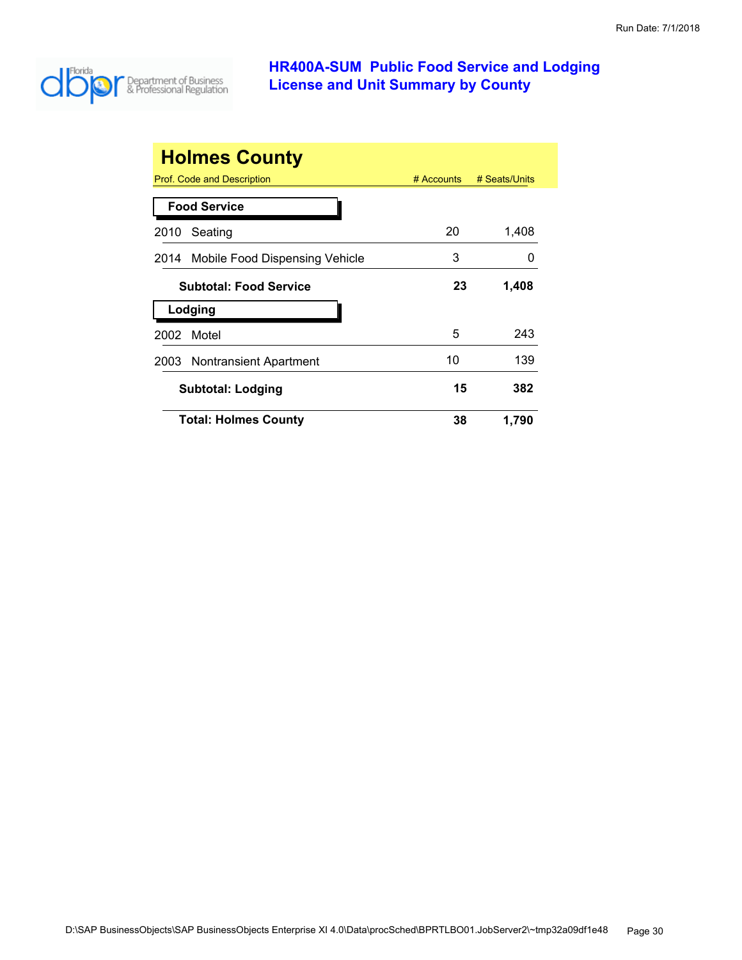

| <b>Holmes County</b>                |              |               |
|-------------------------------------|--------------|---------------|
| Prof. Code and Description          | $#$ Accounts | # Seats/Units |
| <b>Food Service</b>                 |              |               |
| Seating<br>2010                     | 20           | 1,408         |
| 2014 Mobile Food Dispensing Vehicle | 3            |               |
| <b>Subtotal: Food Service</b>       | 23           | 1,408         |
| Lodging                             |              |               |
| Motel<br>2002                       | 5            | 243           |
| 2003 Nontransient Apartment         | 10           | 139           |
| <b>Subtotal: Lodging</b>            | 15           | 382           |
| <b>Total: Holmes County</b>         | 38           | 1,790         |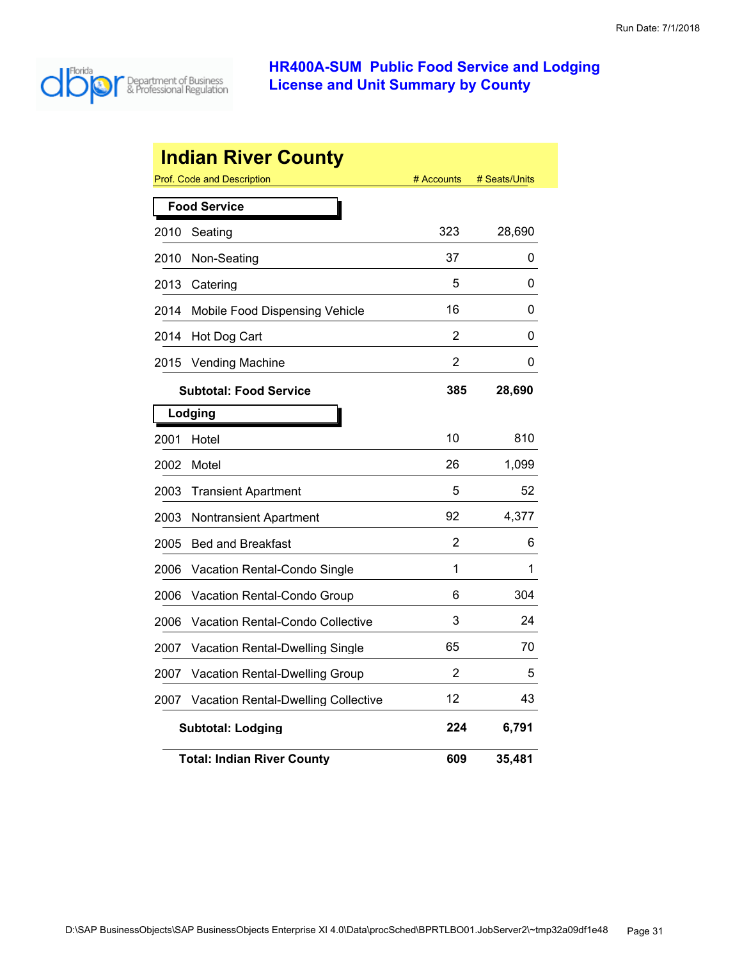

|      | <b>Indian River County</b>                 |            |               |
|------|--------------------------------------------|------------|---------------|
|      | Prof. Code and Description                 | # Accounts | # Seats/Units |
|      | <b>Food Service</b>                        |            |               |
| 2010 | Seating                                    | 323        | 28,690        |
| 2010 | Non-Seating                                | 37         | 0             |
| 2013 | Catering                                   | 5          | 0             |
| 2014 | Mobile Food Dispensing Vehicle             | 16         | 0             |
| 2014 | Hot Dog Cart                               | 2          | 0             |
| 2015 | <b>Vending Machine</b>                     | 2          | 0             |
|      | <b>Subtotal: Food Service</b>              | 385        | 28,690        |
|      | Lodging                                    |            |               |
| 2001 | Hotel                                      | 10         | 810           |
| 2002 | Motel                                      | 26         | 1,099         |
| 2003 | <b>Transient Apartment</b>                 | 5          | 52            |
| 2003 | Nontransient Apartment                     | 92         | 4,377         |
| 2005 | <b>Bed and Breakfast</b>                   | 2          | 6             |
| 2006 | Vacation Rental-Condo Single               | 1          | 1             |
| 2006 | Vacation Rental-Condo Group                | 6          | 304           |
| 2006 | Vacation Rental-Condo Collective           | 3          | 24            |
| 2007 | <b>Vacation Rental-Dwelling Single</b>     | 65         | 70            |
| 2007 | Vacation Rental-Dwelling Group             | 2          | 5             |
| 2007 | <b>Vacation Rental-Dwelling Collective</b> | 12         | 43            |
|      | <b>Subtotal: Lodging</b>                   | 224        | 6,791         |
|      | <b>Total: Indian River County</b>          | 609        | 35,481        |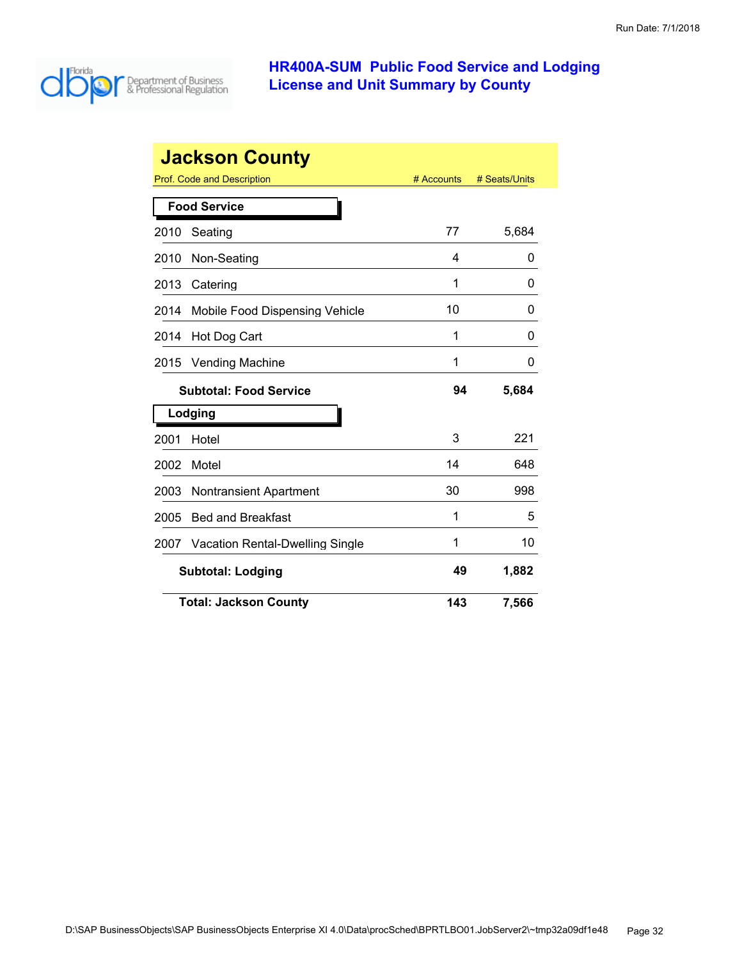

|      | <b>Jackson County</b>           |            |               |
|------|---------------------------------|------------|---------------|
|      | Prof. Code and Description      | # Accounts | # Seats/Units |
|      | <b>Food Service</b>             |            |               |
| 2010 | Seating                         | 77         | 5,684         |
| 2010 | Non-Seating                     | 4          | 0             |
| 2013 | Catering                        | 1          | 0             |
| 2014 | Mobile Food Dispensing Vehicle  | 10         | 0             |
| 2014 | Hot Dog Cart                    | 1          | 0             |
| 2015 | <b>Vending Machine</b>          | 1          | 0             |
|      | <b>Subtotal: Food Service</b>   | 94         | 5,684         |
|      | Lodging                         |            |               |
| 2001 | Hotel                           | 3          | 221           |
| 2002 | Motel                           | 14         | 648           |
| 2003 | <b>Nontransient Apartment</b>   | 30         | 998           |
| 2005 | <b>Bed and Breakfast</b>        | 1          | 5             |
| 2007 | Vacation Rental-Dwelling Single | 1          | 10            |
|      | <b>Subtotal: Lodging</b>        | 49         | 1,882         |
|      | <b>Total: Jackson County</b>    | 143        | 7,566         |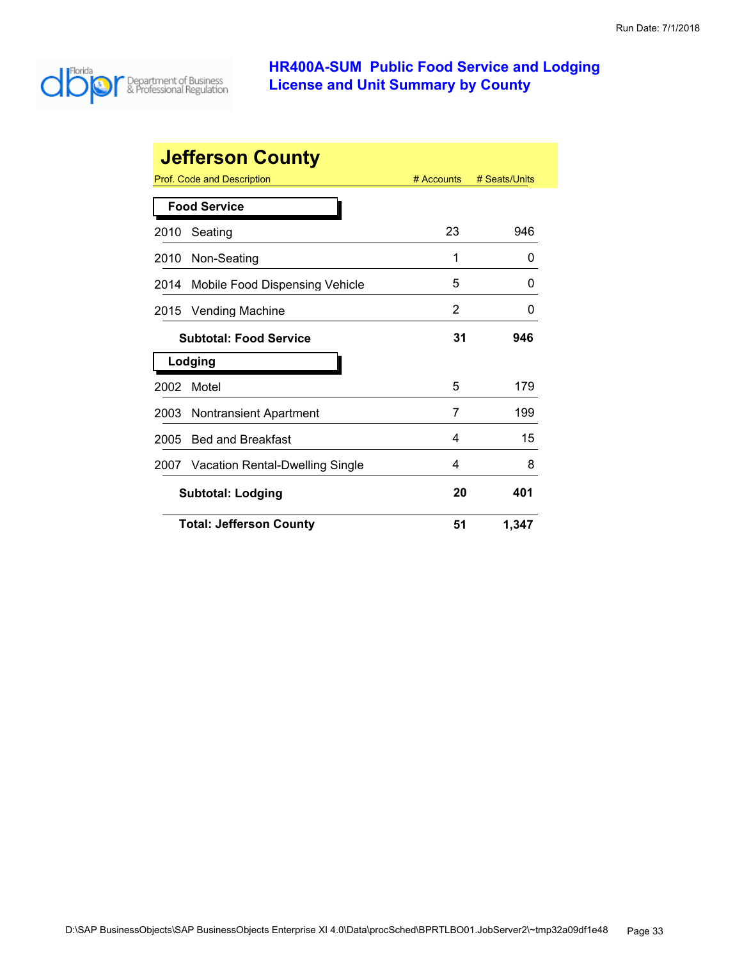

|      | <b>Jefferson County</b>              |            |               |
|------|--------------------------------------|------------|---------------|
|      | Prof. Code and Description           | # Accounts | # Seats/Units |
|      | <b>Food Service</b>                  |            |               |
| 2010 | Seating                              | 23         | 946           |
| 2010 | Non-Seating                          | 1          | 0             |
| 2014 | Mobile Food Dispensing Vehicle       | 5          | 0             |
| 2015 | <b>Vending Machine</b>               | 2          | 0             |
|      | <b>Subtotal: Food Service</b>        | 31         | 946           |
|      | Lodging                              |            |               |
| 2002 | Motel                                | 5          | 179           |
| 2003 | <b>Nontransient Apartment</b>        | 7          | 199           |
| 2005 | <b>Bed and Breakfast</b>             | 4          | 15            |
|      | 2007 Vacation Rental-Dwelling Single | 4          | 8             |
|      | <b>Subtotal: Lodging</b>             | 20         | 401           |
|      | <b>Total: Jefferson County</b>       | 51         | 1,347         |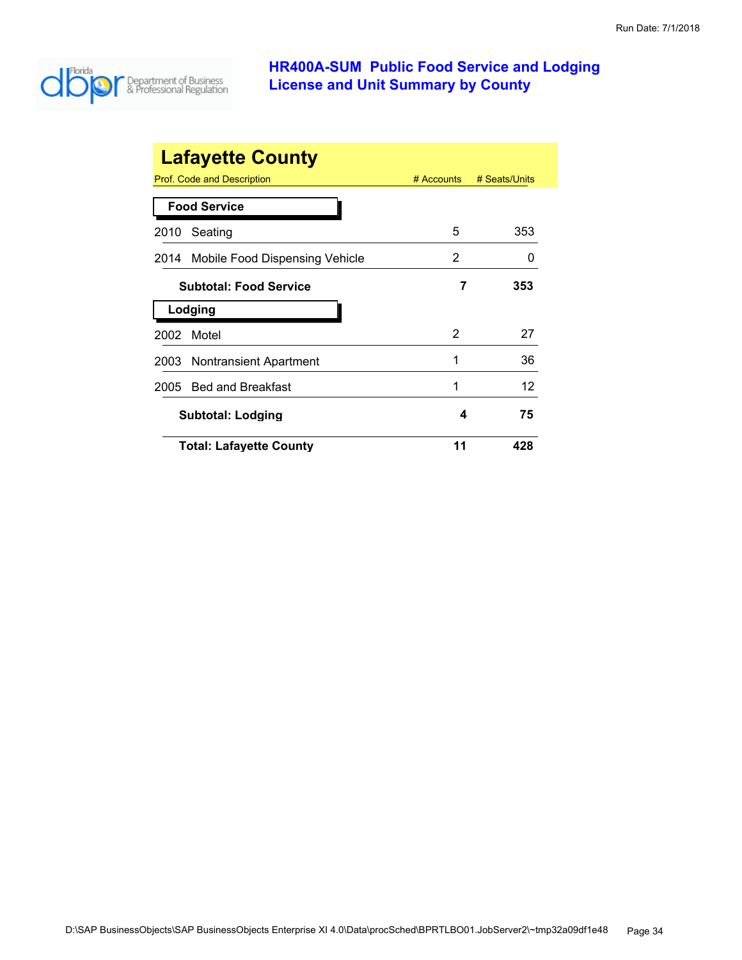

| <b>Lafayette County</b>                |                |               |
|----------------------------------------|----------------|---------------|
| Prof. Code and Description             | $#$ Accounts   | # Seats/Units |
| <b>Food Service</b>                    |                |               |
| Seating<br>2010                        | 5              | 353           |
| Mobile Food Dispensing Vehicle<br>2014 | 2              |               |
| <b>Subtotal: Food Service</b>          | 7              | 353           |
| Lodging                                |                |               |
| Motel<br>2002                          | $\overline{2}$ | 27            |
| <b>Nontransient Apartment</b><br>2003  | 1              | 36            |
| <b>Bed and Breakfast</b><br>2005       | 1              | 12            |
| <b>Subtotal: Lodging</b>               | 4              | 75            |
| <b>Total: Lafayette County</b>         | 11             | 428           |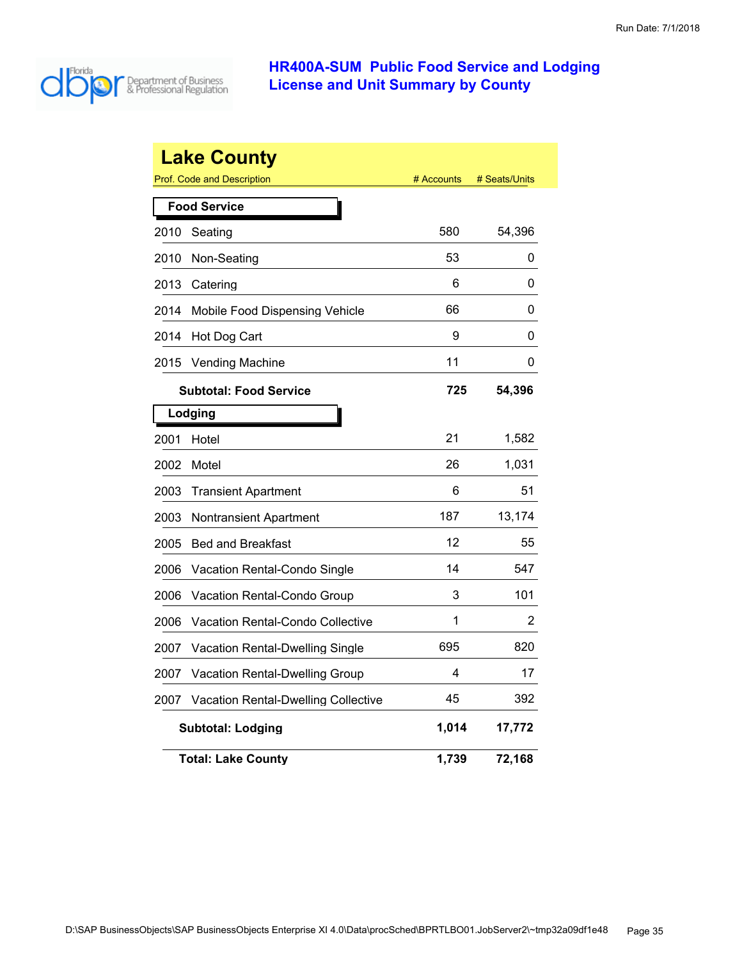

|      | <b>Lake County</b>                         |            |               |
|------|--------------------------------------------|------------|---------------|
|      | <b>Prof. Code and Description</b>          | # Accounts | # Seats/Units |
|      | <b>Food Service</b>                        |            |               |
| 2010 | Seating                                    | 580        | 54,396        |
| 2010 | Non-Seating                                | 53         | 0             |
| 2013 | Catering                                   | 6          | 0             |
| 2014 | Mobile Food Dispensing Vehicle             | 66         | 0             |
| 2014 | Hot Dog Cart                               | 9          | 0             |
| 2015 | <b>Vending Machine</b>                     | 11         | 0             |
|      | <b>Subtotal: Food Service</b>              | 725        | 54,396        |
|      | Lodging                                    |            |               |
| 2001 | Hotel                                      | 21         | 1,582         |
| 2002 | Motel                                      | 26         | 1,031         |
| 2003 | <b>Transient Apartment</b>                 | 6          | 51            |
| 2003 | Nontransient Apartment                     | 187        | 13,174        |
| 2005 | <b>Bed and Breakfast</b>                   | 12         | 55            |
| 2006 | Vacation Rental-Condo Single               | 14         | 547           |
| 2006 | Vacation Rental-Condo Group                | 3          | 101           |
| 2006 | <b>Vacation Rental-Condo Collective</b>    | 1          | 2             |
| 2007 | Vacation Rental-Dwelling Single            | 695        | 820           |
| 2007 | <b>Vacation Rental-Dwelling Group</b>      | 4          | 17            |
| 2007 | <b>Vacation Rental-Dwelling Collective</b> | 45         | 392           |
|      | <b>Subtotal: Lodging</b>                   | 1,014      | 17,772        |
|      | <b>Total: Lake County</b>                  | 1,739      | 72,168        |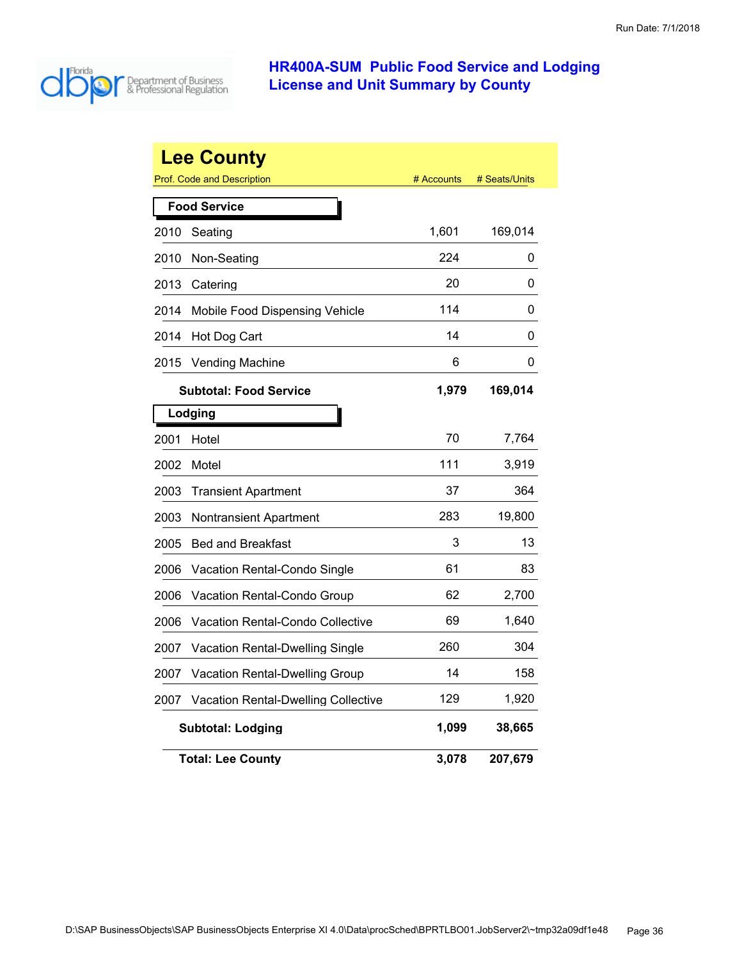

|      | <b>Lee County</b>                          |            |               |
|------|--------------------------------------------|------------|---------------|
|      | <b>Prof. Code and Description</b>          | # Accounts | # Seats/Units |
|      | <b>Food Service</b>                        |            |               |
| 2010 | Seating                                    | 1,601      | 169,014       |
| 2010 | Non-Seating                                | 224        | 0             |
| 2013 | Catering                                   | 20         | 0             |
| 2014 | Mobile Food Dispensing Vehicle             | 114        | 0             |
| 2014 | Hot Dog Cart                               | 14         | 0             |
| 2015 | <b>Vending Machine</b>                     | 6          | 0             |
|      | <b>Subtotal: Food Service</b>              | 1,979      | 169,014       |
|      | Lodging                                    |            |               |
| 2001 | Hotel                                      | 70         | 7,764         |
| 2002 | Motel                                      | 111        | 3,919         |
| 2003 | <b>Transient Apartment</b>                 | 37         | 364           |
| 2003 | Nontransient Apartment                     | 283        | 19,800        |
| 2005 | <b>Bed and Breakfast</b>                   | 3          | 13            |
| 2006 | Vacation Rental-Condo Single               | 61         | 83            |
| 2006 | Vacation Rental-Condo Group                | 62         | 2,700         |
| 2006 | Vacation Rental-Condo Collective           | 69         | 1,640         |
| 2007 | Vacation Rental-Dwelling Single            | 260        | 304           |
| 2007 | <b>Vacation Rental-Dwelling Group</b>      | 14         | 158           |
| 2007 | <b>Vacation Rental-Dwelling Collective</b> | 129        | 1,920         |
|      | <b>Subtotal: Lodging</b>                   | 1,099      | 38,665        |
|      | <b>Total: Lee County</b>                   | 3,078      | 207,679       |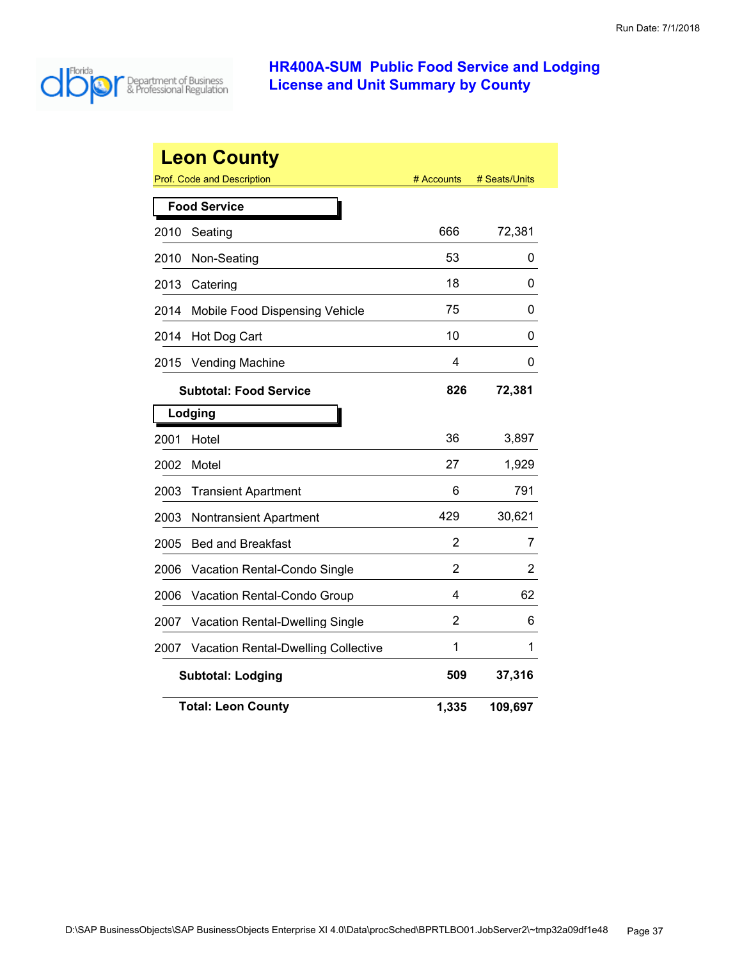

|      | <b>Leon County</b>                         |            |               |
|------|--------------------------------------------|------------|---------------|
|      | Prof. Code and Description                 | # Accounts | # Seats/Units |
|      | <b>Food Service</b>                        |            |               |
| 2010 | Seating                                    | 666        | 72,381        |
| 2010 | Non-Seating                                | 53         | 0             |
| 2013 | Catering                                   | 18         | 0             |
| 2014 | Mobile Food Dispensing Vehicle             | 75         | 0             |
| 2014 | Hot Dog Cart                               | 10         | 0             |
| 2015 | <b>Vending Machine</b>                     | 4          | 0             |
|      | <b>Subtotal: Food Service</b>              | 826        | 72,381        |
|      | Lodging                                    |            |               |
| 2001 | Hotel                                      | 36         | 3,897         |
| 2002 | Motel                                      | 27         | 1,929         |
| 2003 | <b>Transient Apartment</b>                 | 6          | 791           |
| 2003 | <b>Nontransient Apartment</b>              | 429        | 30,621        |
| 2005 | <b>Bed and Breakfast</b>                   | 2          | 7             |
| 2006 | Vacation Rental-Condo Single               | 2          | 2             |
| 2006 | Vacation Rental-Condo Group                | 4          | 62            |
| 2007 | Vacation Rental-Dwelling Single            | 2          | 6             |
| 2007 | <b>Vacation Rental-Dwelling Collective</b> | 1          | 1             |
|      | <b>Subtotal: Lodging</b>                   | 509        | 37,316        |
|      | <b>Total: Leon County</b>                  | 1,335      | 109,697       |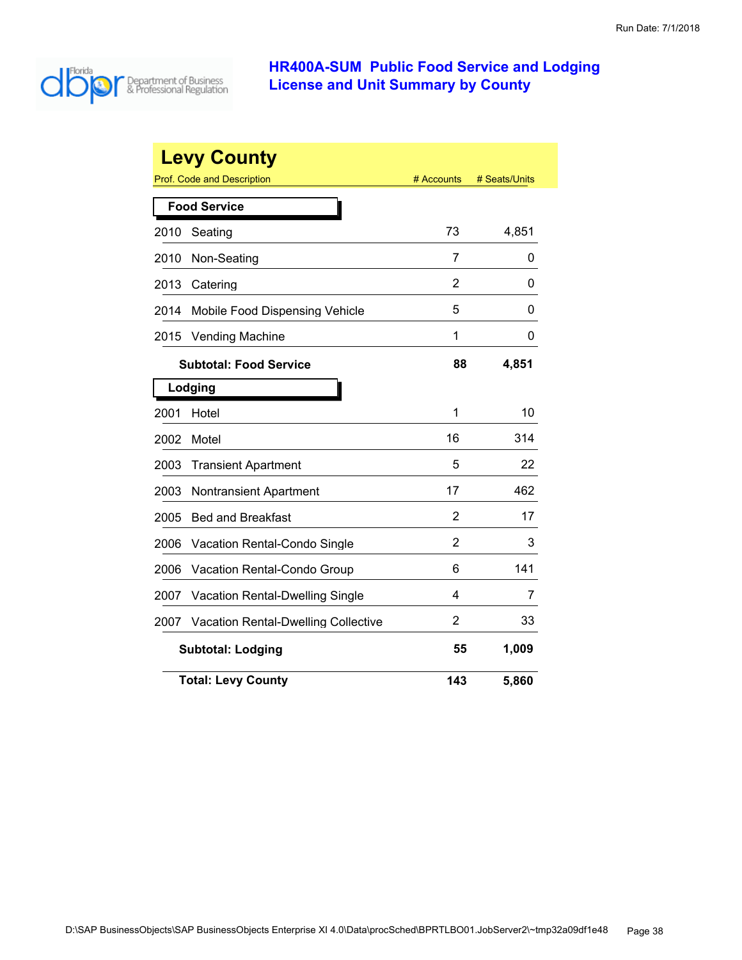

| <b>Levy County</b><br>Prof. Code and Description<br># Accounts<br># Seats/Units |                                            |     |       |  |
|---------------------------------------------------------------------------------|--------------------------------------------|-----|-------|--|
|                                                                                 |                                            |     |       |  |
|                                                                                 | <b>Food Service</b>                        |     |       |  |
| 2010                                                                            | Seating                                    | 73  | 4,851 |  |
| 2010                                                                            | Non-Seating                                | 7   | 0     |  |
| 2013                                                                            | Catering                                   | 2   | 0     |  |
| 2014                                                                            | Mobile Food Dispensing Vehicle             | 5   | 0     |  |
| 2015                                                                            | <b>Vending Machine</b>                     | 1   | 0     |  |
|                                                                                 | <b>Subtotal: Food Service</b>              | 88  | 4,851 |  |
|                                                                                 | Lodging                                    |     |       |  |
| 2001                                                                            | Hotel                                      | 1   | 10    |  |
| 2002                                                                            | Motel                                      | 16  | 314   |  |
| 2003                                                                            | <b>Transient Apartment</b>                 | 5   | 22    |  |
| 2003                                                                            | <b>Nontransient Apartment</b>              | 17  | 462   |  |
| 2005                                                                            | <b>Bed and Breakfast</b>                   | 2   | 17    |  |
| 2006                                                                            | <b>Vacation Rental-Condo Single</b>        | 2   | 3     |  |
| 2006                                                                            | Vacation Rental-Condo Group                | 6   | 141   |  |
| 2007                                                                            | Vacation Rental-Dwelling Single            | 4   | 7     |  |
| 2007                                                                            | <b>Vacation Rental-Dwelling Collective</b> | 2   | 33    |  |
|                                                                                 | <b>Subtotal: Lodging</b>                   | 55  | 1,009 |  |
|                                                                                 | <b>Total: Levy County</b>                  | 143 | 5,860 |  |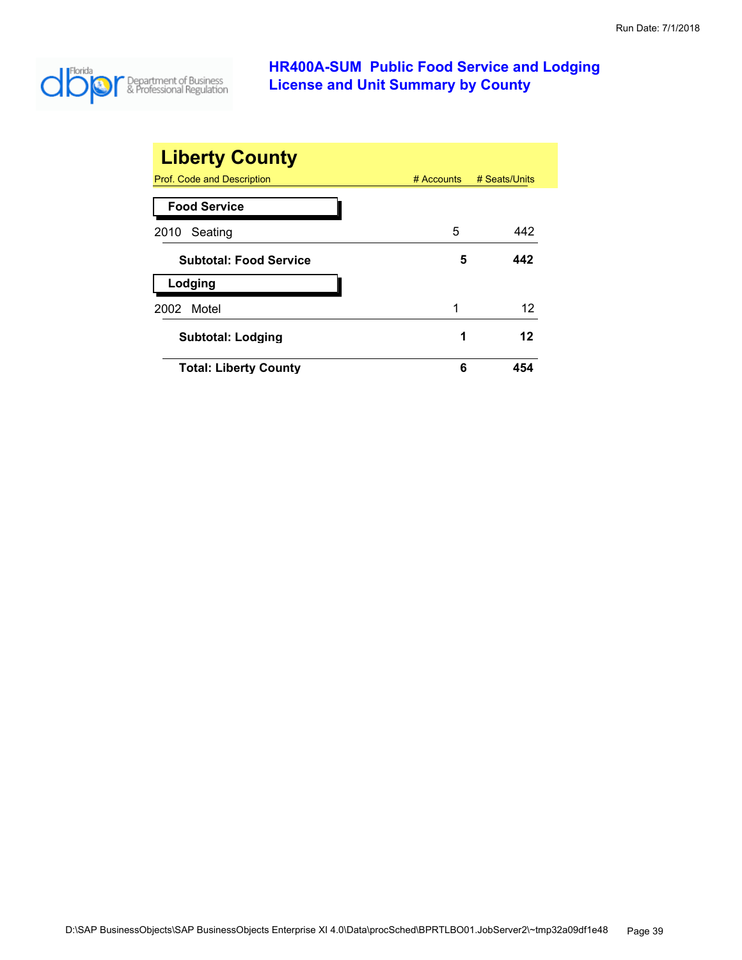

| <b>Liberty County</b>         |              |               |
|-------------------------------|--------------|---------------|
| Prof. Code and Description    | $#$ Accounts | # Seats/Units |
| <b>Food Service</b>           |              |               |
| Seating<br>2010               | 5            | 442           |
| <b>Subtotal: Food Service</b> | 5            | 442           |
| Lodging                       |              |               |
| Motel<br>2002                 | 1            | 12            |
| <b>Subtotal: Lodging</b>      | 1            | 12            |
| <b>Total: Liberty County</b>  | 6            | 454           |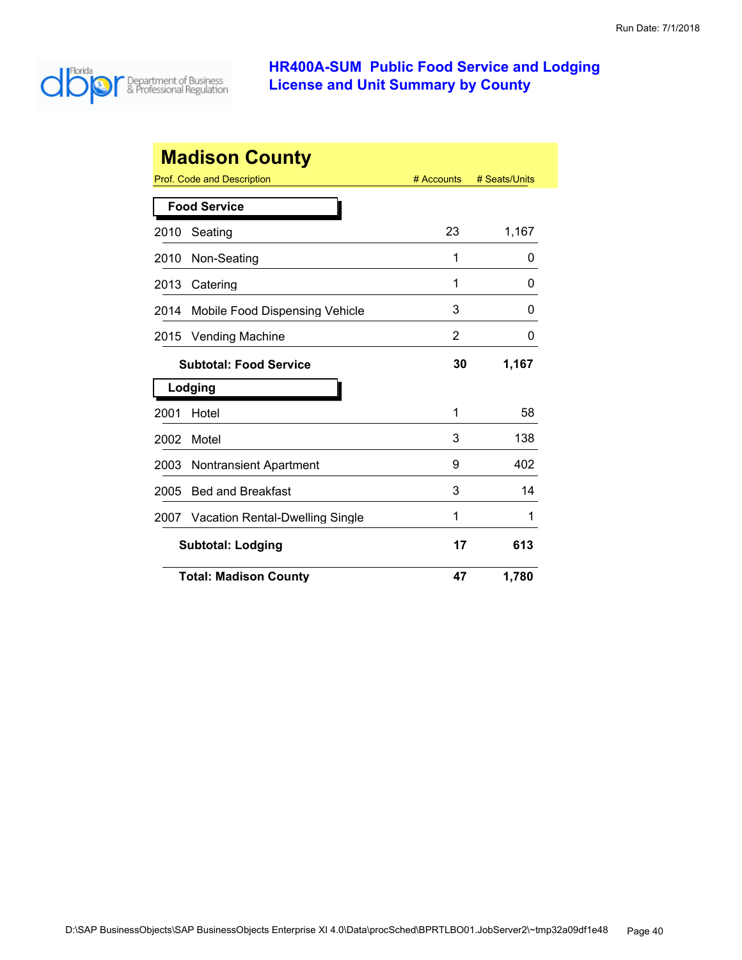

|      | <b>Madison County</b>                  |            |               |
|------|----------------------------------------|------------|---------------|
|      | Prof. Code and Description             | # Accounts | # Seats/Units |
|      | <b>Food Service</b>                    |            |               |
| 2010 | Seating                                | 23         | 1,167         |
| 2010 | Non-Seating                            | 1          | O             |
| 2013 | Catering                               | 1          | 0             |
| 2014 | Mobile Food Dispensing Vehicle         | 3          | 0             |
| 2015 | <b>Vending Machine</b>                 | 2          | 0             |
|      | <b>Subtotal: Food Service</b>          | 30         | 1,167         |
|      | Lodging                                |            |               |
| 2001 | Hotel                                  | 1          | 58            |
| 2002 | Motel                                  | 3          | 138           |
| 2003 | <b>Nontransient Apartment</b>          | 9          | 402           |
| 2005 | <b>Bed and Breakfast</b>               | 3          | 14            |
| 2007 | <b>Vacation Rental-Dwelling Single</b> | 1          | 1             |
|      | <b>Subtotal: Lodging</b>               | 17         | 613           |
|      | <b>Total: Madison County</b>           | 47         | 1,780         |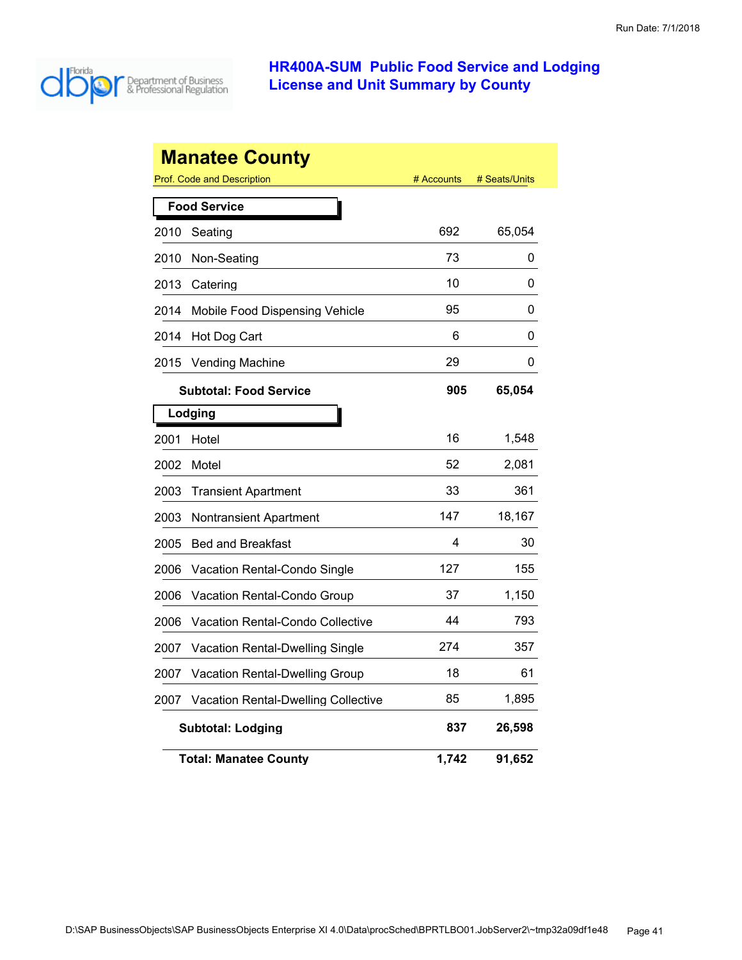

|      | <b>Manatee County</b>                      |            |               |
|------|--------------------------------------------|------------|---------------|
|      | Prof. Code and Description                 | # Accounts | # Seats/Units |
|      | <b>Food Service</b>                        |            |               |
| 2010 | Seating                                    | 692        | 65,054        |
| 2010 | Non-Seating                                | 73         | 0             |
| 2013 | Catering                                   | 10         | 0             |
| 2014 | Mobile Food Dispensing Vehicle             | 95         | 0             |
| 2014 | Hot Dog Cart                               | 6          | 0             |
| 2015 | <b>Vending Machine</b>                     | 29         | 0             |
|      | <b>Subtotal: Food Service</b>              | 905        | 65,054        |
|      | Lodging                                    |            |               |
| 2001 | Hotel                                      | 16         | 1,548         |
| 2002 | Motel                                      | 52         | 2,081         |
| 2003 | <b>Transient Apartment</b>                 | 33         | 361           |
| 2003 | Nontransient Apartment                     | 147        | 18,167        |
| 2005 | <b>Bed and Breakfast</b>                   | 4          | 30            |
| 2006 | Vacation Rental-Condo Single               | 127        | 155           |
| 2006 | Vacation Rental-Condo Group                | 37         | 1,150         |
| 2006 | Vacation Rental-Condo Collective           | 44         | 793           |
| 2007 | <b>Vacation Rental-Dwelling Single</b>     | 274        | 357           |
| 2007 | Vacation Rental-Dwelling Group             | 18         | 61            |
| 2007 | <b>Vacation Rental-Dwelling Collective</b> | 85         | 1,895         |
|      | <b>Subtotal: Lodging</b>                   | 837        | 26,598        |
|      | <b>Total: Manatee County</b>               | 1,742      | 91,652        |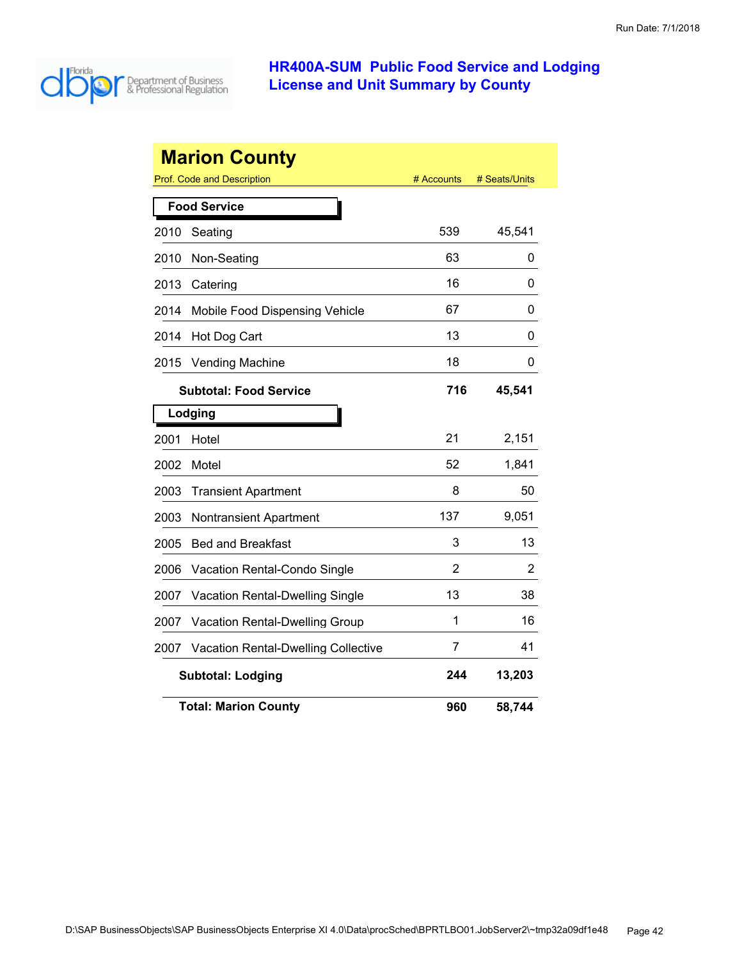

| <b>Marion County</b> |                                            |                |               |  |  |
|----------------------|--------------------------------------------|----------------|---------------|--|--|
|                      | <b>Prof. Code and Description</b>          | # Accounts     | # Seats/Units |  |  |
|                      | <b>Food Service</b>                        |                |               |  |  |
| 2010                 | Seating                                    | 539            | 45,541        |  |  |
| 2010                 | Non-Seating                                | 63             | 0             |  |  |
| 2013                 | Catering                                   | 16             | 0             |  |  |
| 2014                 | Mobile Food Dispensing Vehicle             | 67             | 0             |  |  |
| 2014                 | Hot Dog Cart                               | 13             | 0             |  |  |
| 2015                 | Vending Machine                            | 18             | 0             |  |  |
|                      | <b>Subtotal: Food Service</b>              | 716            | 45,541        |  |  |
|                      | Lodging                                    |                |               |  |  |
| 2001                 | Hotel                                      | 21             | 2,151         |  |  |
| 2002                 | Motel                                      | 52             | 1,841         |  |  |
| 2003                 | <b>Transient Apartment</b>                 | 8              | 50            |  |  |
| 2003                 | Nontransient Apartment                     | 137            | 9,051         |  |  |
| 2005                 | <b>Bed and Breakfast</b>                   | 3              | 13            |  |  |
| 2006                 | Vacation Rental-Condo Single               | $\overline{2}$ | 2             |  |  |
| 2007                 | Vacation Rental-Dwelling Single            | 13             | 38            |  |  |
| 2007                 | Vacation Rental-Dwelling Group             | 1              | 16            |  |  |
| 2007                 | <b>Vacation Rental-Dwelling Collective</b> | 7              | 41            |  |  |
|                      | <b>Subtotal: Lodging</b>                   | 244            | 13,203        |  |  |
|                      | <b>Total: Marion County</b>                | 960            | 58,744        |  |  |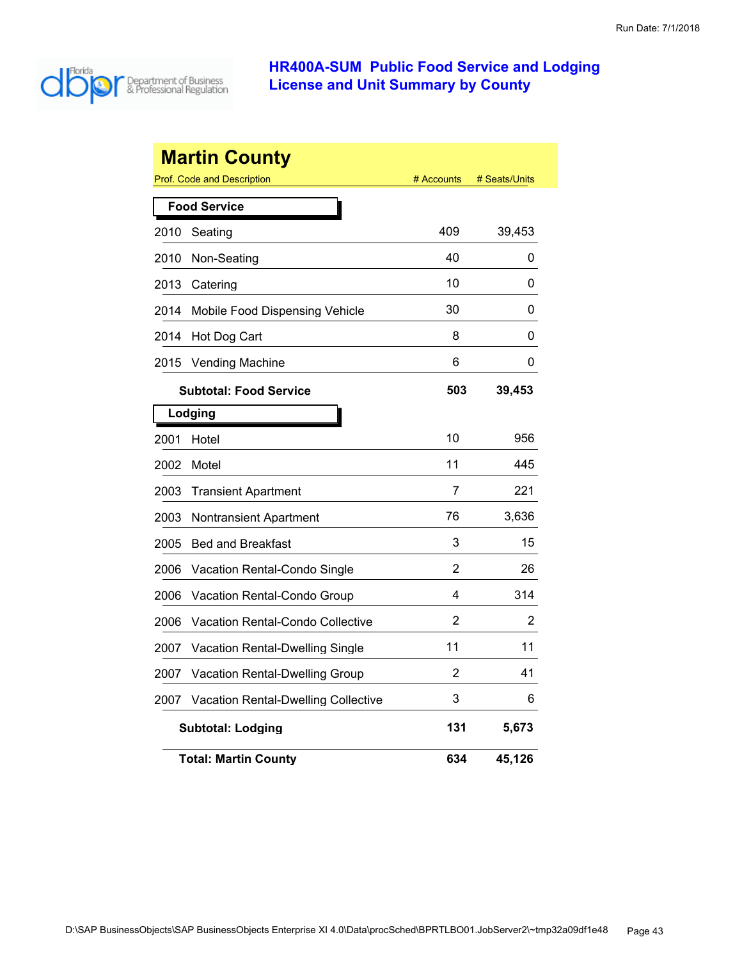

|      | <b>Martin County</b><br><b>Prof. Code and Description</b> | # Accounts | # Seats/Units |
|------|-----------------------------------------------------------|------------|---------------|
|      | <b>Food Service</b>                                       |            |               |
| 2010 | Seating                                                   | 409        | 39,453        |
| 2010 | Non-Seating                                               | 40         | 0             |
| 2013 | Catering                                                  | 10         | 0             |
| 2014 | Mobile Food Dispensing Vehicle                            | 30         | 0             |
| 2014 | Hot Dog Cart                                              | 8          | 0             |
| 2015 | <b>Vending Machine</b>                                    | 6          | 0             |
|      | <b>Subtotal: Food Service</b>                             | 503        | 39,453        |
|      | Lodging                                                   |            |               |
| 2001 | Hotel                                                     | 10         | 956           |
| 2002 | Motel                                                     | 11         | 445           |
| 2003 | <b>Transient Apartment</b>                                | 7          | 221           |
| 2003 | Nontransient Apartment                                    | 76         | 3,636         |
| 2005 | <b>Bed and Breakfast</b>                                  | 3          | 15            |
| 2006 | Vacation Rental-Condo Single                              | 2          | 26            |
| 2006 | Vacation Rental-Condo Group                               | 4          | 314           |
| 2006 | Vacation Rental-Condo Collective                          | 2          | 2             |
| 2007 | Vacation Rental-Dwelling Single                           | 11         | 11            |
| 2007 | Vacation Rental-Dwelling Group                            | 2          | 41            |
| 2007 | Vacation Rental-Dwelling Collective                       | 3          | 6             |
|      | <b>Subtotal: Lodging</b>                                  | 131        | 5,673         |
|      | <b>Total: Martin County</b>                               | 634        | 45,126        |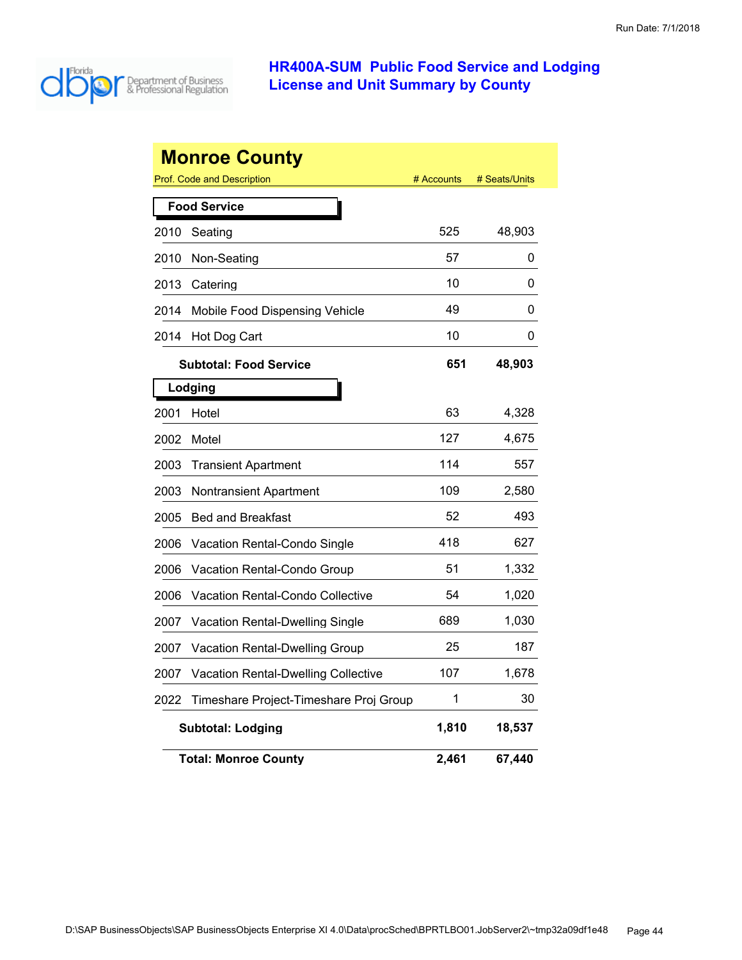

|      | <b>Monroe County</b>                       |            |               |
|------|--------------------------------------------|------------|---------------|
|      | Prof. Code and Description                 | # Accounts | # Seats/Units |
|      | <b>Food Service</b>                        |            |               |
| 2010 | Seating                                    | 525        | 48,903        |
| 2010 | Non-Seating                                | 57         | 0             |
| 2013 | Catering                                   | 10         | 0             |
| 2014 | Mobile Food Dispensing Vehicle             | 49         | 0             |
| 2014 | Hot Dog Cart                               | 10         | 0             |
|      | <b>Subtotal: Food Service</b>              | 651        | 48,903        |
|      | Lodging                                    |            |               |
| 2001 | Hotel                                      | 63         | 4,328         |
| 2002 | Motel                                      | 127        | 4,675         |
| 2003 | <b>Transient Apartment</b>                 | 114        | 557           |
| 2003 | Nontransient Apartment                     | 109        | 2,580         |
| 2005 | <b>Bed and Breakfast</b>                   | 52         | 493           |
| 2006 | Vacation Rental-Condo Single               | 418        | 627           |
| 2006 | Vacation Rental-Condo Group                | 51         | 1,332         |
| 2006 | Vacation Rental-Condo Collective           | 54         | 1,020         |
| 2007 | Vacation Rental-Dwelling Single            | 689        | 1,030         |
| 2007 | Vacation Rental-Dwelling Group             | 25         | 187           |
| 2007 | <b>Vacation Rental-Dwelling Collective</b> | 107        | 1,678         |
| 2022 | Timeshare Project-Timeshare Proj Group     | 1          | 30            |
|      | <b>Subtotal: Lodging</b>                   | 1,810      | 18,537        |
|      | <b>Total: Monroe County</b>                | 2,461      | 67,440        |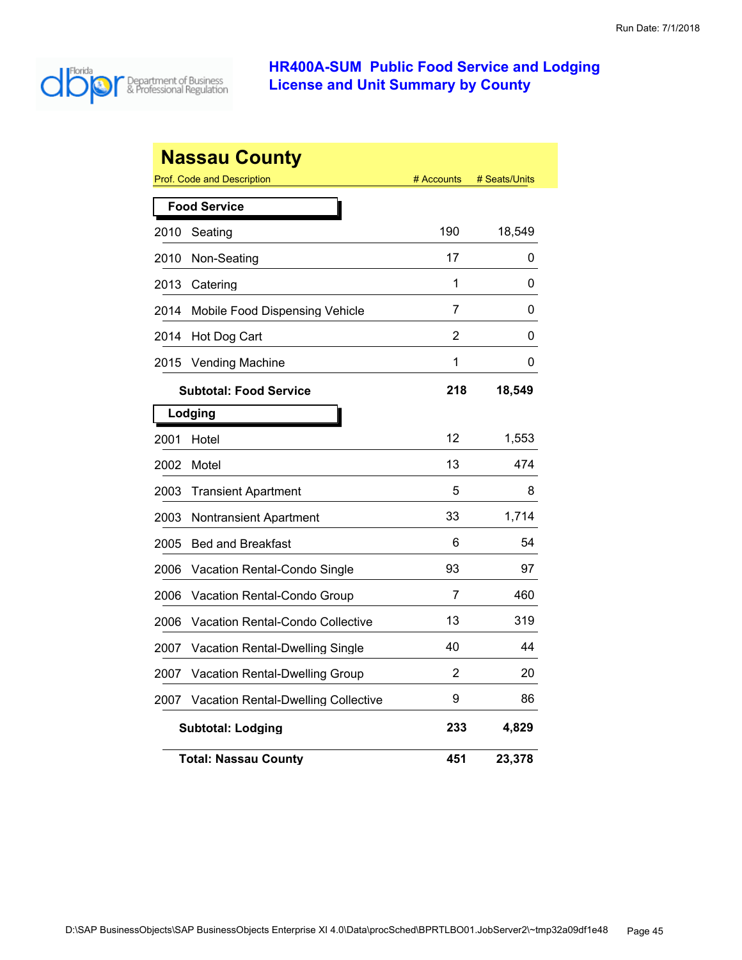

|      | <b>Nassau County</b>                              |            |               |
|------|---------------------------------------------------|------------|---------------|
|      | Prof. Code and Description<br><b>Food Service</b> | # Accounts | # Seats/Units |
|      |                                                   |            |               |
| 2010 | Seating                                           | 190        | 18,549        |
| 2010 | Non-Seating                                       | 17         | 0             |
| 2013 | Catering                                          | 1          | 0             |
| 2014 | Mobile Food Dispensing Vehicle                    | 7          | 0             |
| 2014 | Hot Dog Cart                                      | 2          | 0             |
| 2015 | <b>Vending Machine</b>                            | 1          | 0             |
|      | <b>Subtotal: Food Service</b>                     | 218        | 18,549        |
|      | Lodging                                           |            |               |
| 2001 | Hotel                                             | 12         | 1,553         |
| 2002 | Motel                                             | 13         | 474           |
| 2003 | <b>Transient Apartment</b>                        | 5          | 8             |
| 2003 | Nontransient Apartment                            | 33         | 1,714         |
| 2005 | <b>Bed and Breakfast</b>                          | 6          | 54            |
| 2006 | Vacation Rental-Condo Single                      | 93         | 97            |
| 2006 | Vacation Rental-Condo Group                       | 7          | 460           |
| 2006 | Vacation Rental-Condo Collective                  | 13         | 319           |
| 2007 | Vacation Rental-Dwelling Single                   | 40         | 44            |
| 2007 | Vacation Rental-Dwelling Group                    | 2          | 20            |
| 2007 | <b>Vacation Rental-Dwelling Collective</b>        | 9          | 86            |
|      | <b>Subtotal: Lodging</b>                          | 233        | 4,829         |
|      | <b>Total: Nassau County</b>                       | 451        | 23,378        |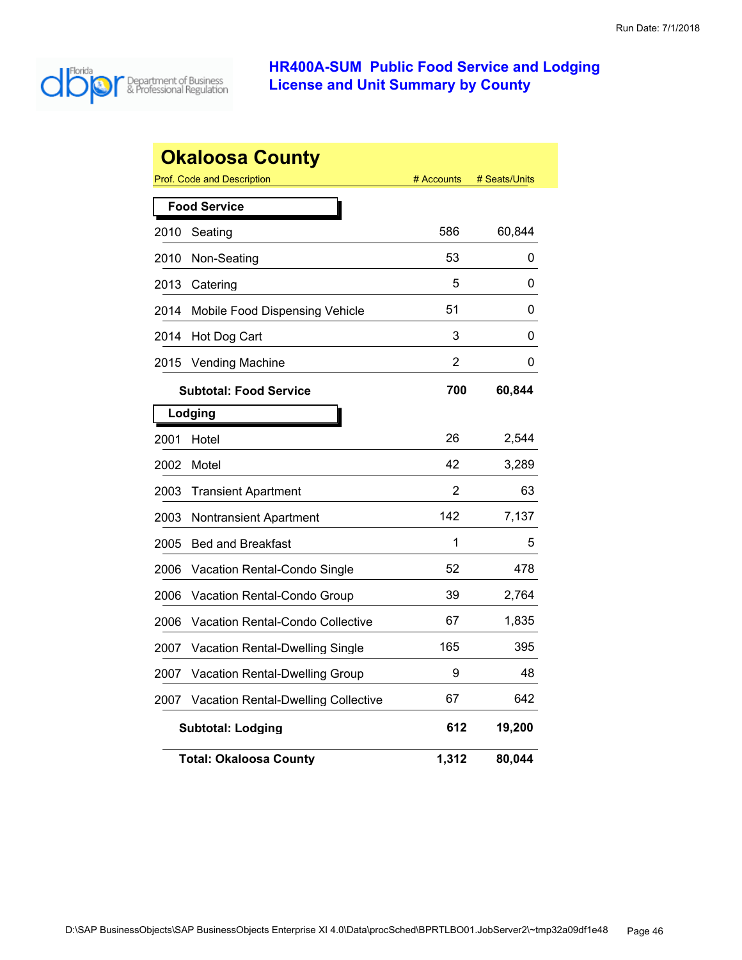

|      | <b>Okaloosa County</b>                     |            |               |
|------|--------------------------------------------|------------|---------------|
|      | Prof. Code and Description                 | # Accounts | # Seats/Units |
|      | <b>Food Service</b>                        |            |               |
| 2010 | Seating                                    | 586        | 60,844        |
| 2010 | Non-Seating                                | 53         | 0             |
| 2013 | Catering                                   | 5          | 0             |
| 2014 | Mobile Food Dispensing Vehicle             | 51         | 0             |
| 2014 | Hot Dog Cart                               | 3          | 0             |
| 2015 | <b>Vending Machine</b>                     | 2          | 0             |
|      | <b>Subtotal: Food Service</b>              | 700        | 60,844        |
|      | Lodging                                    |            |               |
| 2001 | Hotel                                      | 26         | 2,544         |
| 2002 | Motel                                      | 42         | 3,289         |
| 2003 | <b>Transient Apartment</b>                 | 2          | 63            |
| 2003 | Nontransient Apartment                     | 142        | 7,137         |
| 2005 | <b>Bed and Breakfast</b>                   | 1          | 5             |
| 2006 | Vacation Rental-Condo Single               | 52         | 478           |
| 2006 | Vacation Rental-Condo Group                | 39         | 2,764         |
| 2006 | Vacation Rental-Condo Collective           | 67         | 1,835         |
| 2007 | Vacation Rental-Dwelling Single            | 165        | 395           |
| 2007 | Vacation Rental-Dwelling Group             | 9          | 48            |
| 2007 | <b>Vacation Rental-Dwelling Collective</b> | 67         | 642           |
|      | <b>Subtotal: Lodging</b>                   | 612        | 19,200        |
|      | <b>Total: Okaloosa County</b>              | 1,312      | 80,044        |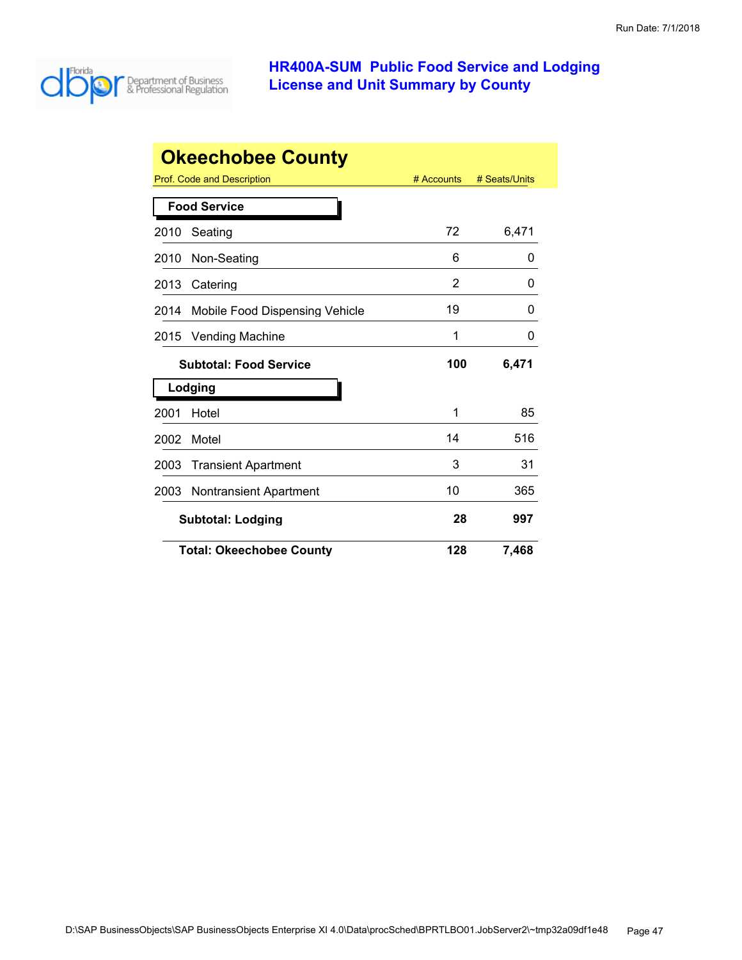

| <b>Okeechobee County</b> |                                       |            |               |  |
|--------------------------|---------------------------------------|------------|---------------|--|
|                          | Prof. Code and Description            | # Accounts | # Seats/Units |  |
|                          | <b>Food Service</b>                   |            |               |  |
| 2010                     | Seating                               | 72         | 6,471         |  |
| 2010                     | Non-Seating                           | 6          | 0             |  |
| 2013                     | Catering                              | 2          | O             |  |
| 2014                     | Mobile Food Dispensing Vehicle        | 19         | 0             |  |
| 2015                     | <b>Vending Machine</b>                | 1          | 0             |  |
|                          | <b>Subtotal: Food Service</b>         | 100        | 6,471         |  |
|                          | Lodging                               |            |               |  |
| 2001                     | Hotel                                 | 1          | 85            |  |
| 2002                     | Motel                                 | 14         | 516           |  |
| 2003                     | <b>Transient Apartment</b>            | 3          | 31            |  |
| 2003                     | <b>Nontransient Apartment</b>         | 10         | 365           |  |
|                          | 28<br><b>Subtotal: Lodging</b><br>997 |            |               |  |
|                          | <b>Total: Okeechobee County</b>       | 128        | 7,468         |  |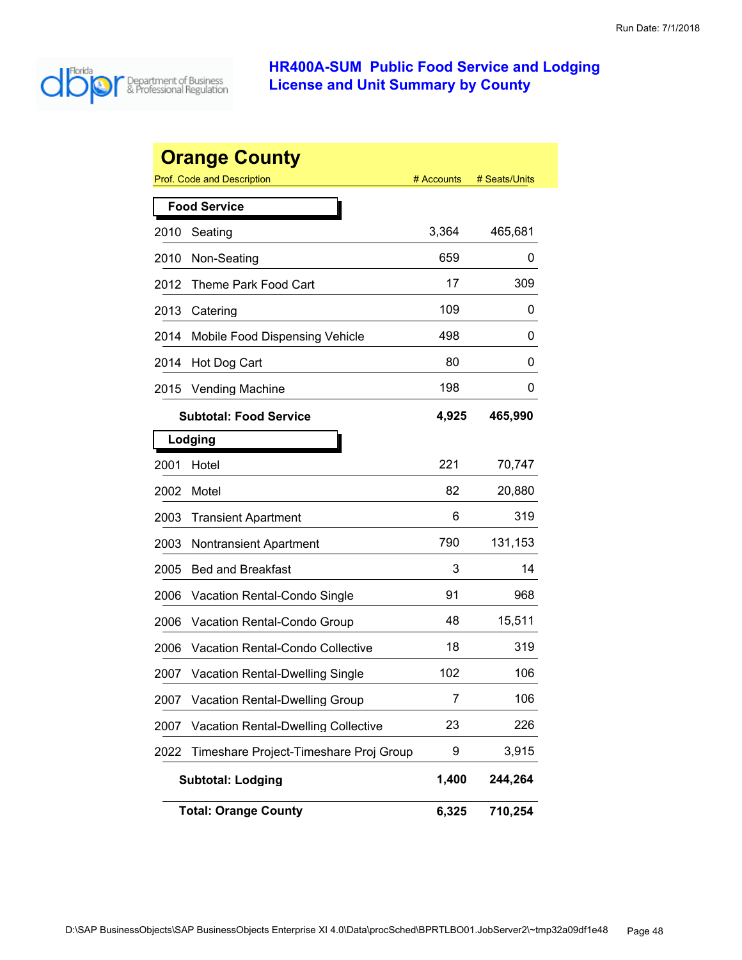

|      | <b>Orange County</b><br><b>Prof. Code and Description</b> | # Accounts | # Seats/Units |
|------|-----------------------------------------------------------|------------|---------------|
|      | <b>Food Service</b>                                       |            |               |
| 2010 | Seating                                                   | 3,364      | 465,681       |
| 2010 | Non-Seating                                               | 659        | 0             |
| 2012 | Theme Park Food Cart                                      | 17         | 309           |
| 2013 | Catering                                                  | 109        | 0             |
| 2014 | Mobile Food Dispensing Vehicle                            | 498        | 0             |
| 2014 | Hot Dog Cart                                              | 80         | 0             |
| 2015 | <b>Vending Machine</b>                                    | 198        | 0             |
|      | <b>Subtotal: Food Service</b>                             | 4,925      | 465,990       |
|      | Lodging                                                   |            |               |
| 2001 | Hotel                                                     | 221        | 70,747        |
| 2002 | Motel                                                     | 82         | 20,880        |
| 2003 | <b>Transient Apartment</b>                                | 6          | 319           |
| 2003 | <b>Nontransient Apartment</b>                             | 790        | 131,153       |
| 2005 | <b>Bed and Breakfast</b>                                  | 3          | 14            |
| 2006 | Vacation Rental-Condo Single                              | 91         | 968           |
| 2006 | Vacation Rental-Condo Group                               | 48         | 15,511        |
| 2006 | Vacation Rental-Condo Collective                          | 18         | 319           |
| 2007 | <b>Vacation Rental-Dwelling Single</b>                    | 102        | 106           |
| 2007 | <b>Vacation Rental-Dwelling Group</b>                     | 7          | 106           |
| 2007 | <b>Vacation Rental-Dwelling Collective</b>                | 23         | 226           |
| 2022 | Timeshare Project-Timeshare Proj Group                    | 9          | 3,915         |
|      | <b>Subtotal: Lodging</b>                                  | 1,400      | 244,264       |
|      | <b>Total: Orange County</b>                               | 6,325      | 710,254       |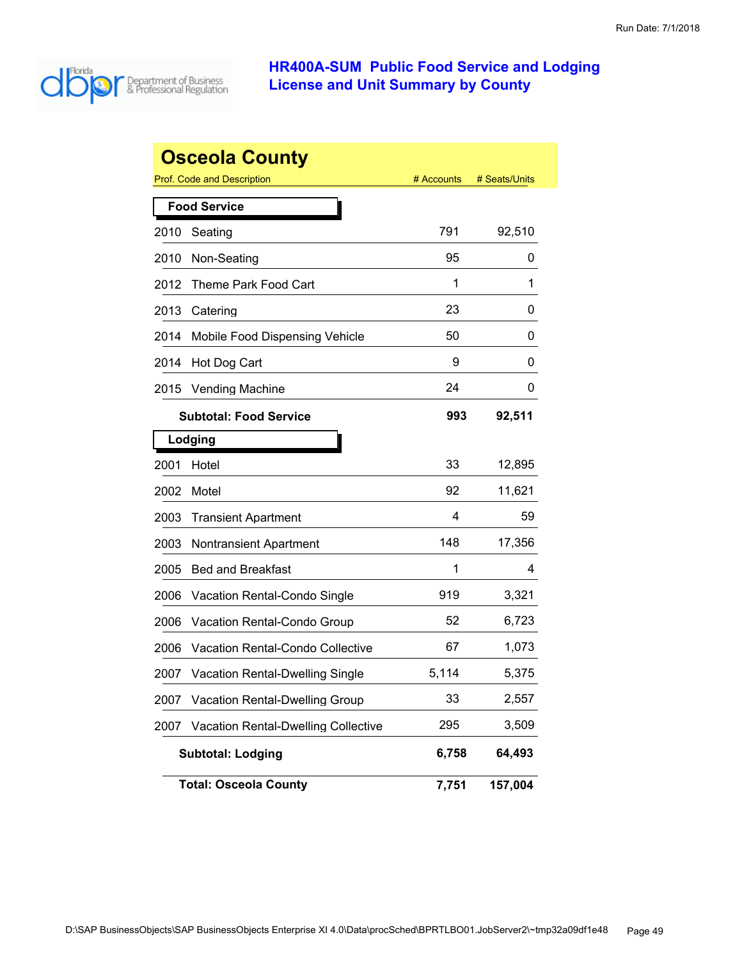

|      | <b>Osceola County</b>                      |            |               |
|------|--------------------------------------------|------------|---------------|
|      | <b>Prof. Code and Description</b>          | # Accounts | # Seats/Units |
|      | <b>Food Service</b>                        |            |               |
| 2010 | Seating                                    | 791        | 92,510        |
| 2010 | Non-Seating                                | 95         | 0             |
| 2012 | Theme Park Food Cart                       | 1          | 1             |
| 2013 | Catering                                   | 23         | 0             |
| 2014 | Mobile Food Dispensing Vehicle             | 50         | 0             |
| 2014 | Hot Dog Cart                               | 9          | 0             |
| 2015 | <b>Vending Machine</b>                     | 24         | 0             |
|      | <b>Subtotal: Food Service</b>              | 993        | 92,511        |
|      | Lodging                                    |            |               |
| 2001 | Hotel                                      | 33         | 12,895        |
| 2002 | Motel                                      | 92         | 11,621        |
| 2003 | <b>Transient Apartment</b>                 | 4          | 59            |
| 2003 | Nontransient Apartment                     | 148        | 17,356        |
| 2005 | <b>Bed and Breakfast</b>                   | 1          | 4             |
| 2006 | Vacation Rental-Condo Single               | 919        | 3,321         |
| 2006 | Vacation Rental-Condo Group                | 52         | 6,723         |
| 2006 | Vacation Rental-Condo Collective           | 67         | 1,073         |
| 2007 | <b>Vacation Rental-Dwelling Single</b>     | 5,114      | 5,375         |
| 2007 | Vacation Rental-Dwelling Group             | 33         | 2,557         |
| 2007 | <b>Vacation Rental-Dwelling Collective</b> | 295        | 3,509         |
|      | <b>Subtotal: Lodging</b>                   | 6,758      | 64,493        |
|      | <b>Total: Osceola County</b>               | 7,751      | 157,004       |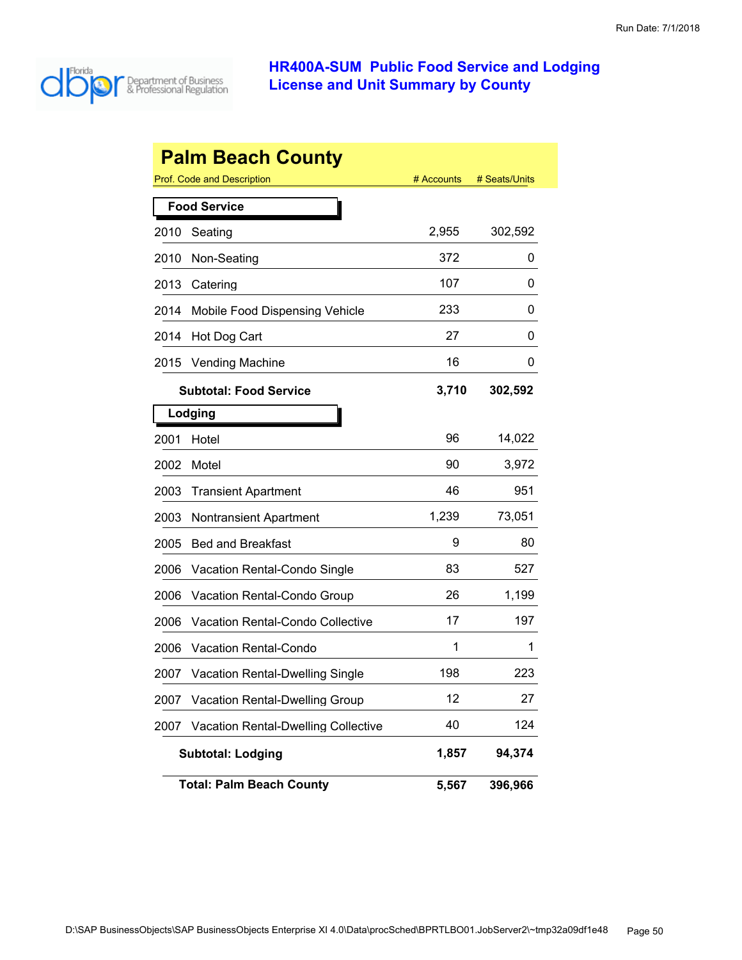

|      | <b>Palm Beach County</b>                   |            |               |
|------|--------------------------------------------|------------|---------------|
|      | <b>Prof. Code and Description</b>          | # Accounts | # Seats/Units |
|      | <b>Food Service</b>                        |            |               |
| 2010 | Seating                                    | 2,955      | 302,592       |
| 2010 | Non-Seating                                | 372        | 0             |
| 2013 | Catering                                   | 107        | 0             |
| 2014 | Mobile Food Dispensing Vehicle             | 233        | 0             |
| 2014 | Hot Dog Cart                               | 27         | 0             |
| 2015 | <b>Vending Machine</b>                     | 16         | 0             |
|      | <b>Subtotal: Food Service</b>              | 3,710      | 302,592       |
|      | Lodging                                    |            |               |
| 2001 | Hotel                                      | 96         | 14,022        |
| 2002 | Motel                                      | 90         | 3,972         |
| 2003 | <b>Transient Apartment</b>                 | 46         | 951           |
| 2003 | <b>Nontransient Apartment</b>              | 1,239      | 73,051        |
| 2005 | <b>Bed and Breakfast</b>                   | 9          | 80            |
| 2006 | Vacation Rental-Condo Single               | 83         | 527           |
| 2006 | Vacation Rental-Condo Group                | 26         | 1,199         |
| 2006 | Vacation Rental-Condo Collective           | 17         | 197           |
| 2006 | <b>Vacation Rental-Condo</b>               | 1          | 1             |
| 2007 | <b>Vacation Rental-Dwelling Single</b>     | 198        | 223           |
| 2007 | Vacation Rental-Dwelling Group             | 12         | 27            |
| 2007 | <b>Vacation Rental-Dwelling Collective</b> | 40         | 124           |
|      | <b>Subtotal: Lodging</b>                   | 1,857      | 94,374        |
|      | <b>Total: Palm Beach County</b>            | 5,567      | 396,966       |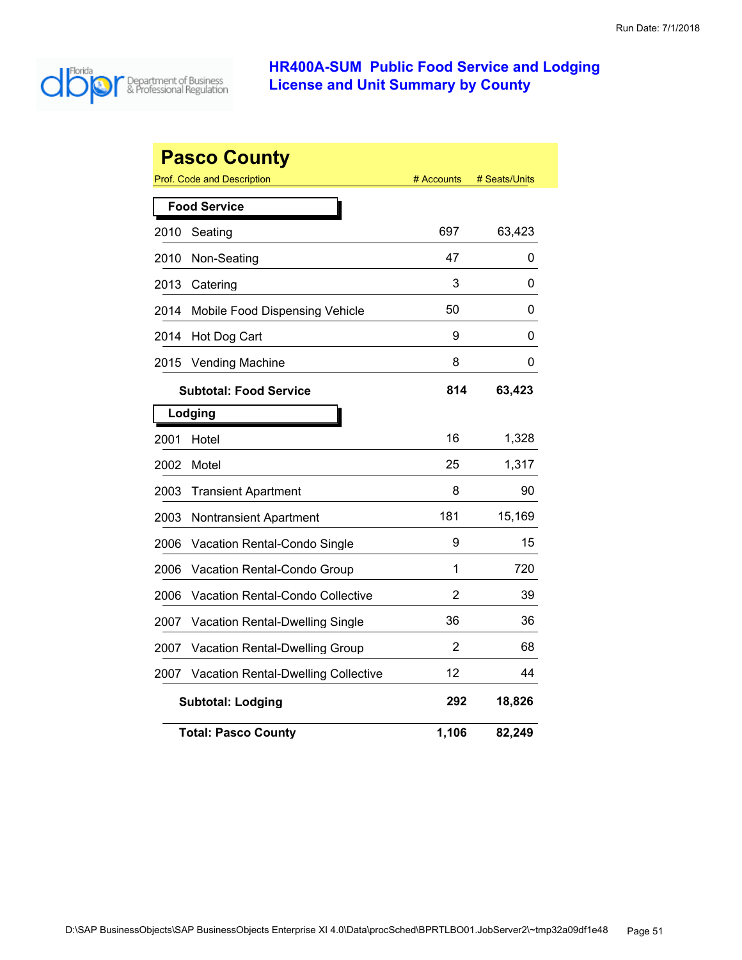

|      | <b>Pasco County</b><br>Prof. Code and Description | # Accounts | # Seats/Units |  |  |
|------|---------------------------------------------------|------------|---------------|--|--|
|      | <b>Food Service</b>                               |            |               |  |  |
| 2010 | Seating                                           | 697        | 63,423        |  |  |
| 2010 | Non-Seating                                       | 47         | 0             |  |  |
| 2013 | Catering                                          | 3          | 0             |  |  |
| 2014 | Mobile Food Dispensing Vehicle                    | 50         | 0             |  |  |
| 2014 | Hot Dog Cart                                      | 9          | 0             |  |  |
| 2015 | <b>Vending Machine</b>                            | 8          | 0             |  |  |
|      | <b>Subtotal: Food Service</b>                     | 814        | 63,423        |  |  |
|      | Lodging                                           |            |               |  |  |
| 2001 | Hotel                                             | 16         | 1,328         |  |  |
| 2002 | Motel                                             | 25         | 1,317         |  |  |
| 2003 | <b>Transient Apartment</b>                        | 8          | 90            |  |  |
| 2003 | Nontransient Apartment                            | 181        | 15,169        |  |  |
| 2006 | Vacation Rental-Condo Single                      | 9          | 15            |  |  |
| 2006 | <b>Vacation Rental-Condo Group</b>                | 1          | 720           |  |  |
| 2006 | <b>Vacation Rental-Condo Collective</b>           | 2          | 39            |  |  |
| 2007 | Vacation Rental-Dwelling Single                   | 36         | 36            |  |  |
| 2007 | Vacation Rental-Dwelling Group                    | 2          | 68            |  |  |
| 2007 | <b>Vacation Rental-Dwelling Collective</b>        | 12         | 44            |  |  |
|      | <b>Subtotal: Lodging</b>                          | 292        | 18,826        |  |  |
|      | <b>Total: Pasco County</b>                        | 1,106      | 82,249        |  |  |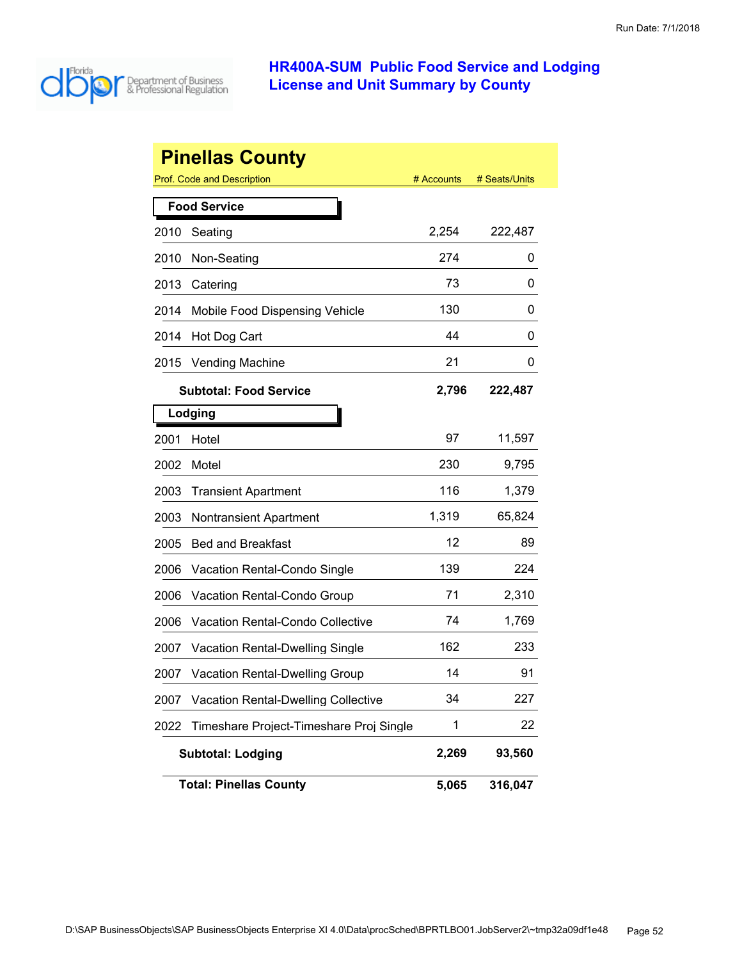

|      | <b>Pinellas County</b>                     |            |               |
|------|--------------------------------------------|------------|---------------|
|      | <b>Prof. Code and Description</b>          | # Accounts | # Seats/Units |
|      | <b>Food Service</b>                        |            |               |
| 2010 | Seating                                    | 2,254      | 222,487       |
| 2010 | Non-Seating                                | 274        | 0             |
| 2013 | Catering                                   | 73         | 0             |
| 2014 | Mobile Food Dispensing Vehicle             | 130        | 0             |
| 2014 | Hot Dog Cart                               | 44         | 0             |
| 2015 | <b>Vending Machine</b>                     | 21         | 0             |
|      | <b>Subtotal: Food Service</b>              | 2,796      | 222,487       |
|      | Lodging                                    |            |               |
| 2001 | Hotel                                      | 97         | 11,597        |
| 2002 | Motel                                      | 230        | 9,795         |
| 2003 | <b>Transient Apartment</b>                 | 116        | 1,379         |
| 2003 | <b>Nontransient Apartment</b>              | 1,319      | 65,824        |
| 2005 | <b>Bed and Breakfast</b>                   | 12         | 89            |
| 2006 | Vacation Rental-Condo Single               | 139        | 224           |
| 2006 | Vacation Rental-Condo Group                | 71         | 2,310         |
| 2006 | Vacation Rental-Condo Collective           | 74         | 1,769         |
| 2007 | <b>Vacation Rental-Dwelling Single</b>     | 162        | 233           |
| 2007 | <b>Vacation Rental-Dwelling Group</b>      | 14         | 91            |
| 2007 | <b>Vacation Rental-Dwelling Collective</b> | 34         | 227           |
| 2022 | Timeshare Project-Timeshare Proj Single    | 1          | 22            |
|      | <b>Subtotal: Lodging</b>                   | 2,269      | 93,560        |
|      | <b>Total: Pinellas County</b>              | 5,065      | 316,047       |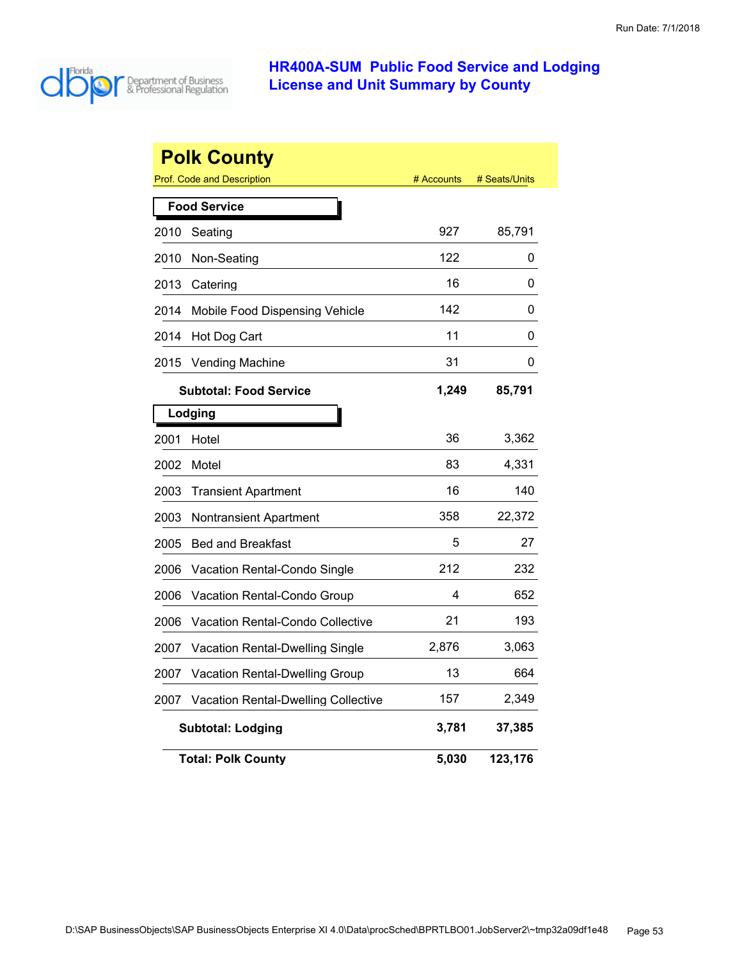

| <b>Polk County</b> |                                            |            |               |  |
|--------------------|--------------------------------------------|------------|---------------|--|
|                    | <b>Prof. Code and Description</b>          | # Accounts | # Seats/Units |  |
|                    | <b>Food Service</b>                        |            |               |  |
| 2010               | Seating                                    | 927        | 85,791        |  |
| 2010               | Non-Seating                                | 122        | 0             |  |
| 2013               | Catering                                   | 16         | 0             |  |
| 2014               | Mobile Food Dispensing Vehicle             | 142        | 0             |  |
| 2014               | Hot Dog Cart                               | 11         | 0             |  |
| 2015               | <b>Vending Machine</b>                     | 31         | 0             |  |
|                    | <b>Subtotal: Food Service</b>              | 1,249      | 85,791        |  |
|                    | Lodging                                    |            |               |  |
| 2001               | Hotel                                      | 36         | 3,362         |  |
| 2002               | Motel                                      | 83         | 4,331         |  |
| 2003               | <b>Transient Apartment</b>                 | 16         | 140           |  |
| 2003               | Nontransient Apartment                     | 358        | 22,372        |  |
| 2005               | <b>Bed and Breakfast</b>                   | 5          | 27            |  |
| 2006               | Vacation Rental-Condo Single               | 212        | 232           |  |
| 2006               | Vacation Rental-Condo Group                | 4          | 652           |  |
| 2006               | Vacation Rental-Condo Collective           | 21         | 193           |  |
| 2007               | Vacation Rental-Dwelling Single            | 2,876      | 3,063         |  |
| 2007               | Vacation Rental-Dwelling Group             | 13         | 664           |  |
| 2007               | <b>Vacation Rental-Dwelling Collective</b> | 157        | 2,349         |  |
|                    | <b>Subtotal: Lodging</b>                   | 3,781      | 37,385        |  |
|                    | <b>Total: Polk County</b>                  | 5,030      | 123,176       |  |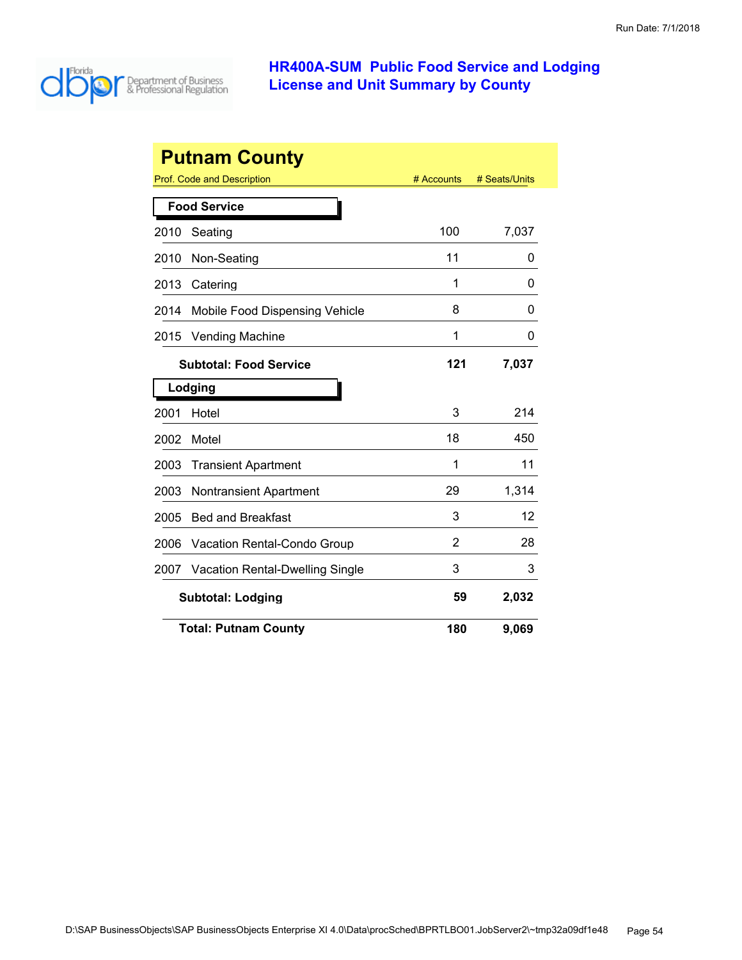

| <b>Putnam County</b> |                                         |            |               |  |  |
|----------------------|-----------------------------------------|------------|---------------|--|--|
|                      | Prof. Code and Description              | # Accounts | # Seats/Units |  |  |
|                      | <b>Food Service</b>                     |            |               |  |  |
| 2010                 | Seating                                 | 100        | 7,037         |  |  |
| 2010                 | Non-Seating                             | 11         | 0             |  |  |
| 2013                 | Catering                                | 1          | 0             |  |  |
| 2014                 | Mobile Food Dispensing Vehicle          | 8          | 0             |  |  |
| 2015                 | <b>Vending Machine</b>                  | 1          | 0             |  |  |
|                      | <b>Subtotal: Food Service</b>           | 121        | 7,037         |  |  |
|                      | Lodging                                 |            |               |  |  |
| 2001                 | Hotel                                   | 3          | 214           |  |  |
| 2002                 | Motel                                   | 18         | 450           |  |  |
| 2003                 | <b>Transient Apartment</b>              | 1          | 11            |  |  |
| 2003                 | Nontransient Apartment                  | 29         | 1,314         |  |  |
| 2005                 | <b>Bed and Breakfast</b>                | 3          | 12            |  |  |
| 2006                 | <b>Vacation Rental-Condo Group</b>      | 2          | 28            |  |  |
| 2007                 | <b>Vacation Rental-Dwelling Single</b>  | 3          | 3             |  |  |
|                      | 59<br>2,032<br><b>Subtotal: Lodging</b> |            |               |  |  |
|                      | <b>Total: Putnam County</b>             | 180        | 9,069         |  |  |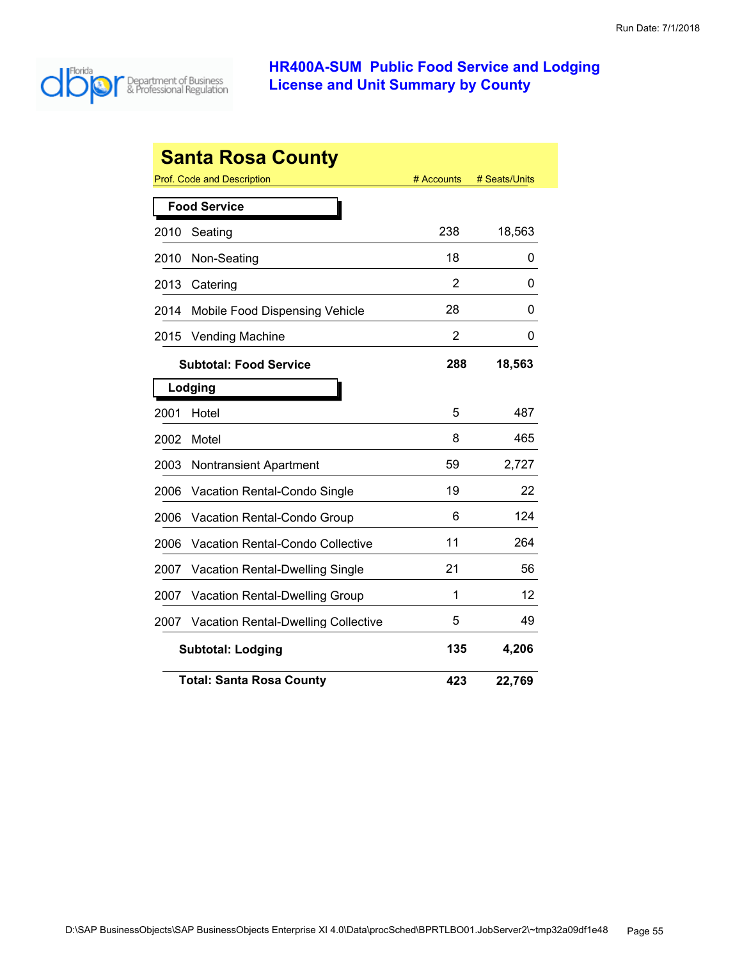

|      | <b>Santa Rosa County</b>                   |            |               |
|------|--------------------------------------------|------------|---------------|
|      | Prof. Code and Description                 | # Accounts | # Seats/Units |
|      | <b>Food Service</b>                        |            |               |
| 2010 | Seating                                    | 238        | 18,563        |
| 2010 | Non-Seating                                | 18         | 0             |
| 2013 | Catering                                   | 2          | 0             |
| 2014 | Mobile Food Dispensing Vehicle             | 28         | 0             |
| 2015 | <b>Vending Machine</b>                     | 2          | 0             |
|      | <b>Subtotal: Food Service</b>              | 288        | 18,563        |
|      | Lodging                                    |            |               |
| 2001 | Hotel                                      | 5          | 487           |
| 2002 | Motel                                      | 8          | 465           |
| 2003 | <b>Nontransient Apartment</b>              | 59         | 2,727         |
| 2006 | Vacation Rental-Condo Single               | 19         | 22            |
| 2006 | Vacation Rental-Condo Group                | 6          | 124           |
| 2006 | Vacation Rental-Condo Collective           | 11         | 264           |
| 2007 | <b>Vacation Rental-Dwelling Single</b>     | 21         | 56            |
| 2007 | Vacation Rental-Dwelling Group             | 1          | 12            |
| 2007 | <b>Vacation Rental-Dwelling Collective</b> | 5          | 49            |
|      | <b>Subtotal: Lodging</b>                   | 135        | 4,206         |
|      | <b>Total: Santa Rosa County</b>            | 423        | 22,769        |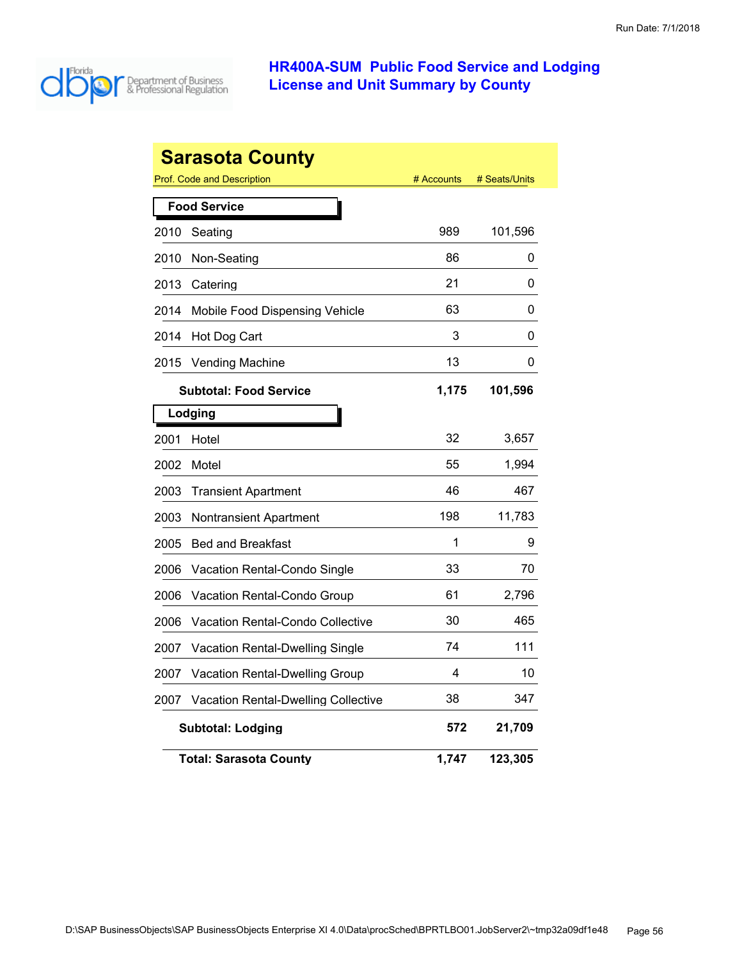

| Sarasota County |                                            |            |               |  |
|-----------------|--------------------------------------------|------------|---------------|--|
|                 | Prof. Code and Description                 | # Accounts | # Seats/Units |  |
|                 | <b>Food Service</b>                        |            |               |  |
| 2010            | Seating                                    | 989        | 101,596       |  |
| 2010            | Non-Seating                                | 86         | 0             |  |
| 2013            | Catering                                   | 21         | 0             |  |
| 2014            | Mobile Food Dispensing Vehicle             | 63         | 0             |  |
| 2014            | Hot Dog Cart                               | 3          | 0             |  |
| 2015            | <b>Vending Machine</b>                     | 13         | 0             |  |
|                 | <b>Subtotal: Food Service</b>              | 1,175      | 101,596       |  |
|                 | Lodging                                    |            |               |  |
| 2001            | Hotel                                      | 32         | 3,657         |  |
| 2002            | Motel                                      | 55         | 1,994         |  |
| 2003            | <b>Transient Apartment</b>                 | 46         | 467           |  |
| 2003            | Nontransient Apartment                     | 198        | 11,783        |  |
| 2005            | <b>Bed and Breakfast</b>                   | 1          | 9             |  |
| 2006            | <b>Vacation Rental-Condo Single</b>        | 33         | 70            |  |
| 2006            | <b>Vacation Rental-Condo Group</b>         | 61         | 2,796         |  |
| 2006            | Vacation Rental-Condo Collective           | 30         | 465           |  |
| 2007            | Vacation Rental-Dwelling Single            | 74         | 111           |  |
| 2007            | <b>Vacation Rental-Dwelling Group</b>      | 4          | 10            |  |
| 2007            | <b>Vacation Rental-Dwelling Collective</b> | 38         | 347           |  |
|                 | <b>Subtotal: Lodging</b>                   | 572        | 21,709        |  |
|                 | <b>Total: Sarasota County</b>              | 1,747      | 123,305       |  |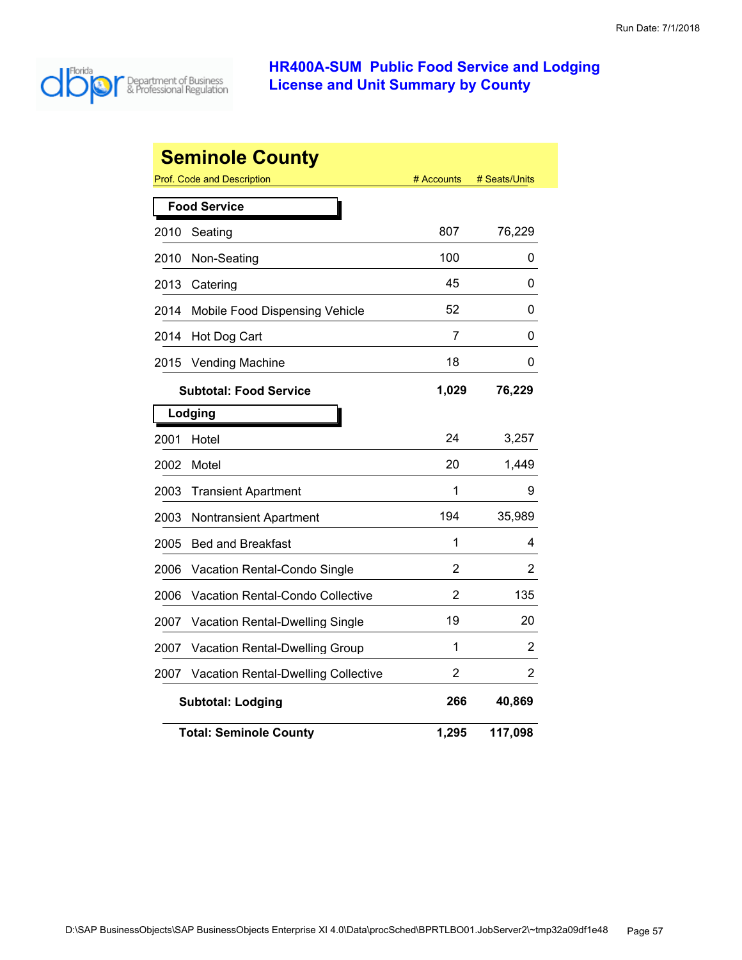

| <b>Seminole County</b> |                                            |            |               |  |
|------------------------|--------------------------------------------|------------|---------------|--|
|                        | Prof. Code and Description                 | # Accounts | # Seats/Units |  |
|                        | <b>Food Service</b>                        |            |               |  |
| 2010                   | Seating                                    | 807        | 76,229        |  |
| 2010                   | Non-Seating                                | 100        | 0             |  |
| 2013                   | Catering                                   | 45         | 0             |  |
| 2014                   | Mobile Food Dispensing Vehicle             | 52         | 0             |  |
| 2014                   | Hot Dog Cart                               | 7          | 0             |  |
| 2015                   | <b>Vending Machine</b>                     | 18         | 0             |  |
|                        | <b>Subtotal: Food Service</b>              | 1,029      | 76,229        |  |
|                        | Lodging                                    |            |               |  |
| 2001                   | Hotel                                      | 24         | 3,257         |  |
| 2002                   | Motel                                      | 20         | 1,449         |  |
| 2003                   | <b>Transient Apartment</b>                 | 1          | 9             |  |
| 2003                   | <b>Nontransient Apartment</b>              | 194        | 35,989        |  |
| 2005                   | <b>Bed and Breakfast</b>                   | 1          | 4             |  |
| 2006                   | Vacation Rental-Condo Single               | 2          | 2             |  |
| 2006                   | Vacation Rental-Condo Collective           | 2          | 135           |  |
| 2007                   | Vacation Rental-Dwelling Single            | 19         | 20            |  |
| 2007                   | Vacation Rental-Dwelling Group             | 1          | 2             |  |
| 2007                   | <b>Vacation Rental-Dwelling Collective</b> | 2          | 2             |  |
|                        | 266<br>40,869<br><b>Subtotal: Lodging</b>  |            |               |  |
|                        | <b>Total: Seminole County</b>              | 1,295      | 117,098       |  |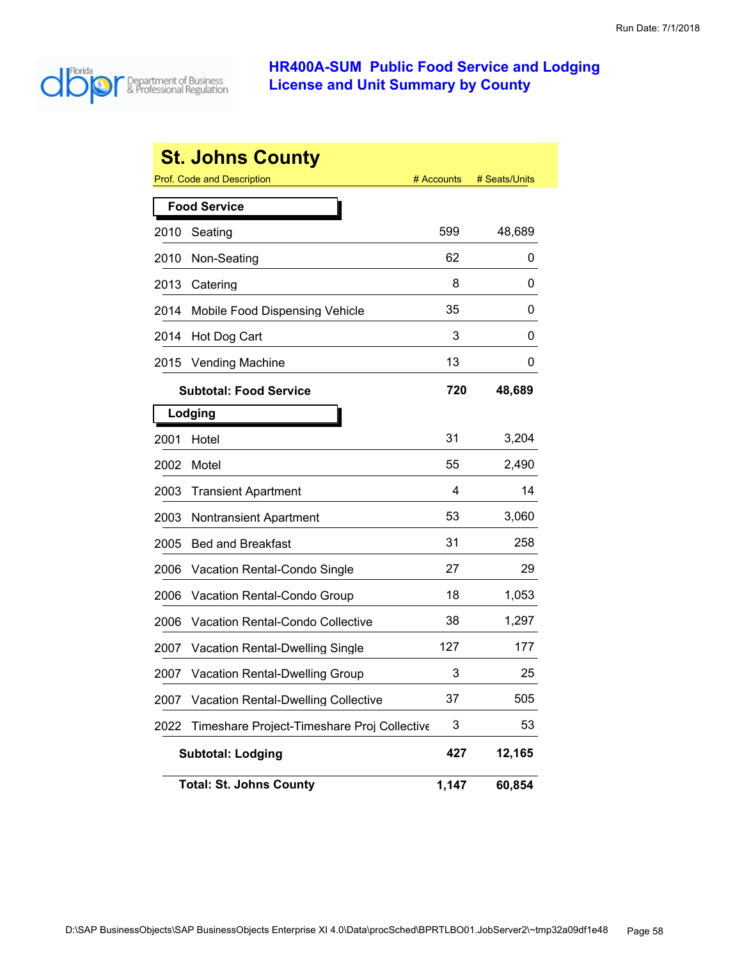

|      | <b>St. Johns County</b>                     |            |               |
|------|---------------------------------------------|------------|---------------|
|      | <b>Prof. Code and Description</b>           | # Accounts | # Seats/Units |
|      | <b>Food Service</b>                         |            |               |
| 2010 | Seating                                     | 599        | 48,689        |
| 2010 | Non-Seating                                 | 62         | 0             |
| 2013 | Catering                                    | 8          | 0             |
| 2014 | Mobile Food Dispensing Vehicle              | 35         | 0             |
| 2014 | Hot Dog Cart                                | 3          | 0             |
| 2015 | <b>Vending Machine</b>                      | 13         | 0             |
|      | <b>Subtotal: Food Service</b>               | 720        | 48,689        |
|      | Lodging                                     |            |               |
| 2001 | Hotel                                       | 31         | 3,204         |
| 2002 | Motel                                       | 55         | 2,490         |
| 2003 | <b>Transient Apartment</b>                  | 4          | 14            |
| 2003 | <b>Nontransient Apartment</b>               | 53         | 3,060         |
| 2005 | <b>Bed and Breakfast</b>                    | 31         | 258           |
| 2006 | Vacation Rental-Condo Single                | 27         | 29            |
| 2006 | Vacation Rental-Condo Group                 | 18         | 1,053         |
| 2006 | <b>Vacation Rental-Condo Collective</b>     | 38         | 1,297         |
| 2007 | <b>Vacation Rental-Dwelling Single</b>      | 127        | 177           |
| 2007 | <b>Vacation Rental-Dwelling Group</b>       | 3          | 25            |
| 2007 | <b>Vacation Rental-Dwelling Collective</b>  | 37         | 505           |
| 2022 | Timeshare Project-Timeshare Proj Collective | 3          | 53            |
|      | <b>Subtotal: Lodging</b>                    | 427        | 12,165        |
|      | <b>Total: St. Johns County</b>              | 1,147      | 60,854        |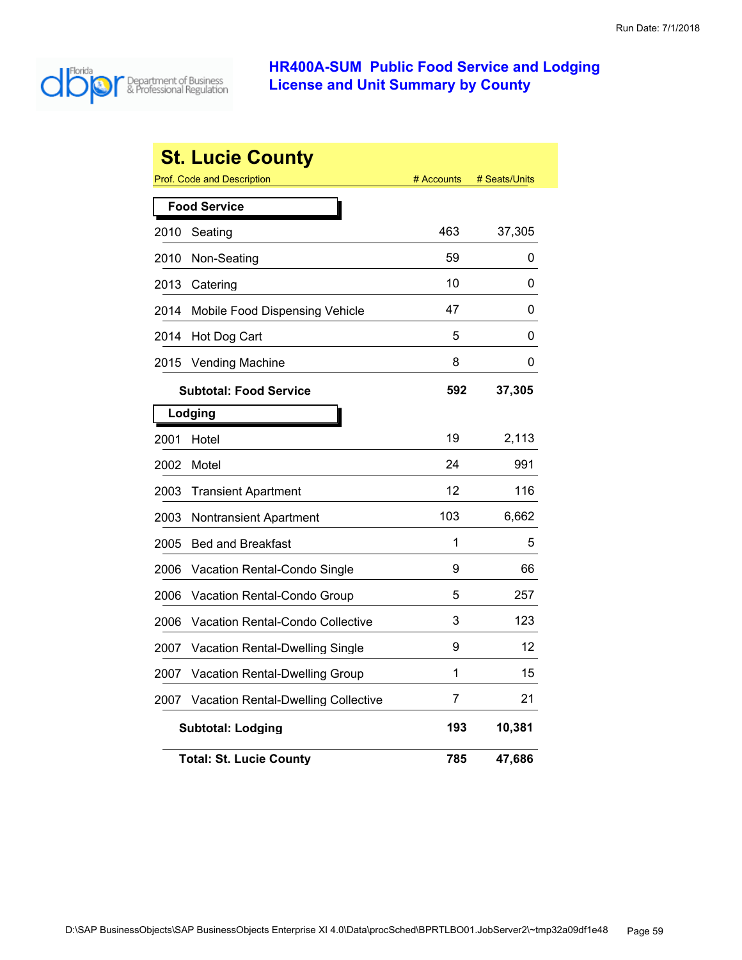

|      | <b>St. Lucie County</b>                    |            |               |
|------|--------------------------------------------|------------|---------------|
|      | <b>Prof. Code and Description</b>          | # Accounts | # Seats/Units |
|      | <b>Food Service</b>                        |            |               |
| 2010 | Seating                                    | 463        | 37,305        |
| 2010 | Non-Seating                                | 59         | 0             |
| 2013 | Catering                                   | 10         | 0             |
| 2014 | Mobile Food Dispensing Vehicle             | 47         | 0             |
| 2014 | Hot Dog Cart                               | 5          | 0             |
| 2015 | <b>Vending Machine</b>                     | 8          | 0             |
|      | <b>Subtotal: Food Service</b>              | 592        | 37,305        |
|      | Lodging                                    |            |               |
| 2001 | Hotel                                      | 19         | 2,113         |
| 2002 | Motel                                      | 24         | 991           |
| 2003 | <b>Transient Apartment</b>                 | 12         | 116           |
| 2003 | Nontransient Apartment                     | 103        | 6,662         |
| 2005 | <b>Bed and Breakfast</b>                   | 1          | 5             |
| 2006 | Vacation Rental-Condo Single               | 9          | 66            |
| 2006 | Vacation Rental-Condo Group                | 5          | 257           |
| 2006 | <b>Vacation Rental-Condo Collective</b>    | 3          | 123           |
| 2007 | <b>Vacation Rental-Dwelling Single</b>     | 9          | 12            |
| 2007 | Vacation Rental-Dwelling Group             | 1          | 15            |
| 2007 | <b>Vacation Rental-Dwelling Collective</b> | 7          | 21            |
|      | <b>Subtotal: Lodging</b>                   | 193        | 10,381        |
|      | <b>Total: St. Lucie County</b>             | 785        | 47,686        |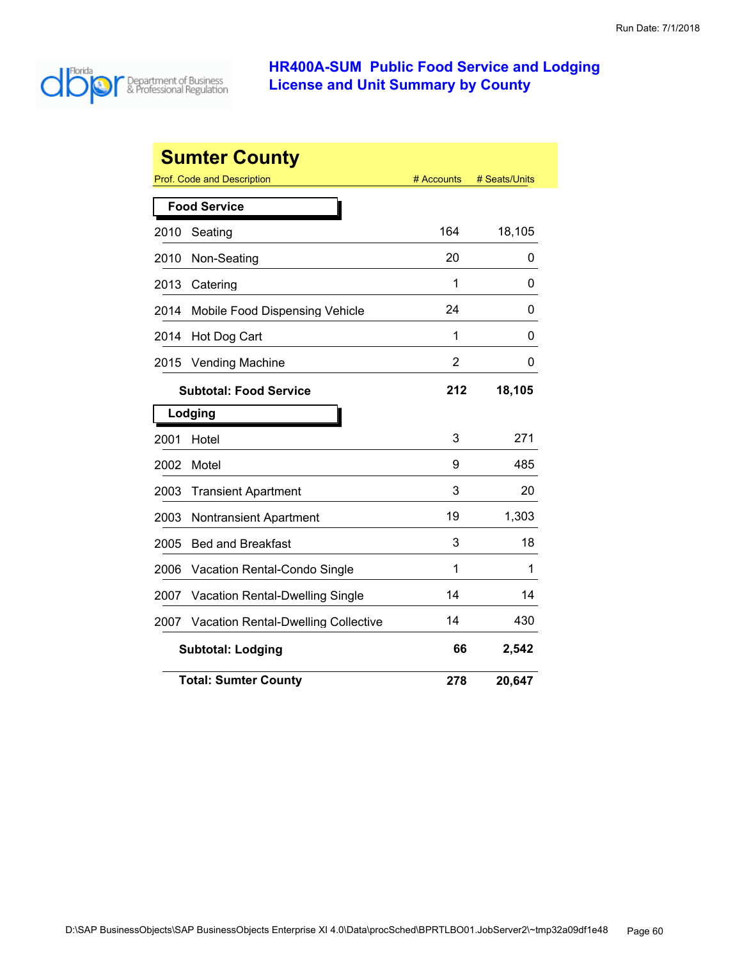

|      | <b>Sumter County</b>                       |                |               |
|------|--------------------------------------------|----------------|---------------|
|      | Prof. Code and Description                 | # Accounts     | # Seats/Units |
|      | <b>Food Service</b>                        |                |               |
| 2010 | Seating                                    | 164            | 18,105        |
| 2010 | Non-Seating                                | 20             | 0             |
| 2013 | Catering                                   | 1              | 0             |
| 2014 | Mobile Food Dispensing Vehicle             | 24             | 0             |
| 2014 | Hot Dog Cart                               | 1              | 0             |
| 2015 | <b>Vending Machine</b>                     | $\overline{2}$ | 0             |
|      | <b>Subtotal: Food Service</b>              | 212            | 18,105        |
|      | Lodging                                    |                |               |
| 2001 | Hotel                                      | 3              | 271           |
| 2002 | Motel                                      | 9              | 485           |
| 2003 | <b>Transient Apartment</b>                 | 3              | 20            |
| 2003 | <b>Nontransient Apartment</b>              | 19             | 1,303         |
| 2005 | <b>Bed and Breakfast</b>                   | 3              | 18            |
| 2006 | Vacation Rental-Condo Single               | 1              | 1             |
| 2007 | <b>Vacation Rental-Dwelling Single</b>     | 14             | 14            |
| 2007 | <b>Vacation Rental-Dwelling Collective</b> | 14             | 430           |
|      | <b>Subtotal: Lodging</b>                   | 66             | 2,542         |
|      | <b>Total: Sumter County</b>                | 278            | 20,647        |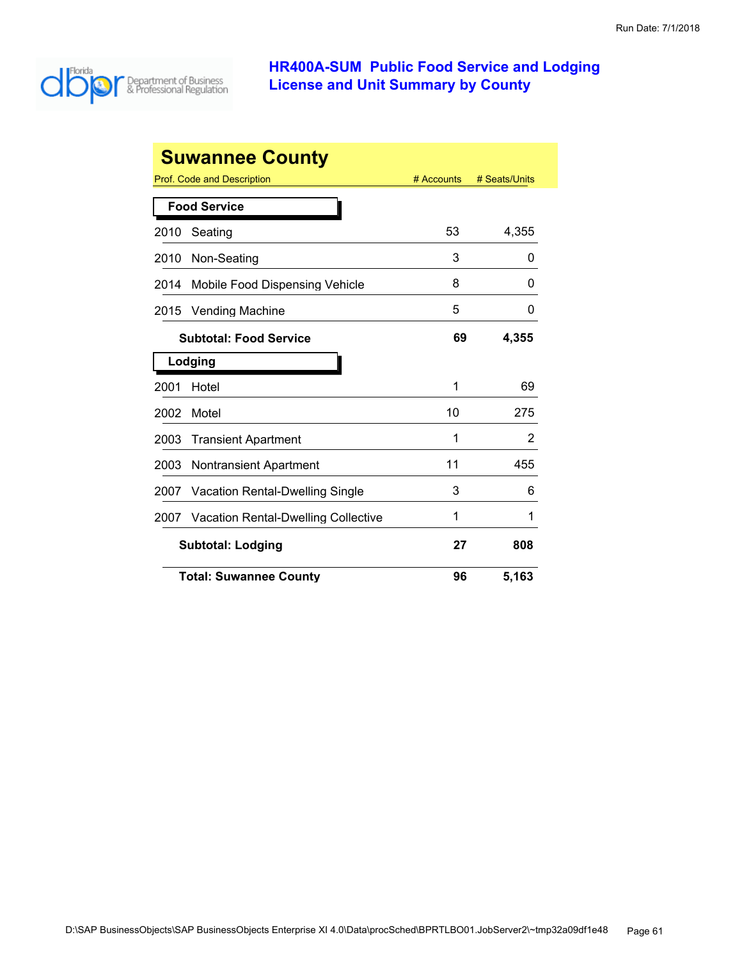

|      | <b>Suwannee County</b>                     |            |               |
|------|--------------------------------------------|------------|---------------|
|      | Prof. Code and Description                 | # Accounts | # Seats/Units |
|      | <b>Food Service</b>                        |            |               |
| 2010 | Seating                                    | 53         | 4,355         |
| 2010 | Non-Seating                                | 3          | O             |
| 2014 | Mobile Food Dispensing Vehicle             | 8          | 0             |
| 2015 | <b>Vending Machine</b>                     | 5          | 0             |
|      | <b>Subtotal: Food Service</b>              | 69         | 4,355         |
|      | Lodging                                    |            |               |
| 2001 | Hotel                                      | 1          | 69            |
| 2002 | Motel                                      | 10         | 275           |
| 2003 | <b>Transient Apartment</b>                 | 1          | 2             |
| 2003 | <b>Nontransient Apartment</b>              | 11         | 455           |
| 2007 | <b>Vacation Rental-Dwelling Single</b>     | 3          | 6             |
| 2007 | <b>Vacation Rental-Dwelling Collective</b> | 1          | 1             |
|      | <b>Subtotal: Lodging</b>                   |            | 808           |
|      | <b>Total: Suwannee County</b>              | 96         | 5,163         |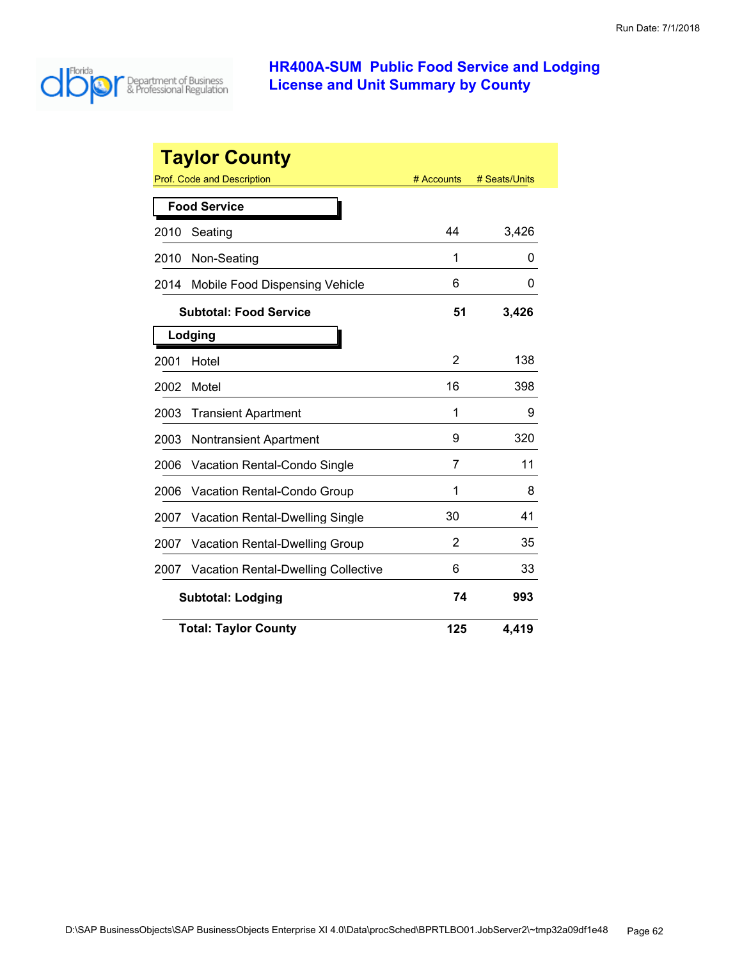

|      | <b>Taylor County</b>                       |                |               |
|------|--------------------------------------------|----------------|---------------|
|      | Prof. Code and Description                 | # Accounts     | # Seats/Units |
|      | <b>Food Service</b>                        |                |               |
| 2010 | Seating                                    | 44             | 3,426         |
| 2010 | Non-Seating                                | 1              | 0             |
| 2014 | Mobile Food Dispensing Vehicle             | 6              | O             |
|      | <b>Subtotal: Food Service</b>              | 51             | 3,426         |
|      | Lodging                                    |                |               |
| 2001 | Hotel                                      | 2              | 138           |
| 2002 | Motel                                      | 16             | 398           |
| 2003 | <b>Transient Apartment</b>                 | 1              | 9             |
| 2003 | <b>Nontransient Apartment</b>              | 9              | 320           |
| 2006 | <b>Vacation Rental-Condo Single</b>        | 7              | 11            |
| 2006 | <b>Vacation Rental-Condo Group</b>         | 1              | 8             |
| 2007 | <b>Vacation Rental-Dwelling Single</b>     | 30             | 41            |
| 2007 | <b>Vacation Rental-Dwelling Group</b>      | $\overline{2}$ | 35            |
| 2007 | <b>Vacation Rental-Dwelling Collective</b> | 6              | 33            |
|      | <b>Subtotal: Lodging</b>                   | 74             | 993           |
|      | <b>Total: Taylor County</b>                | 125            | 4,419         |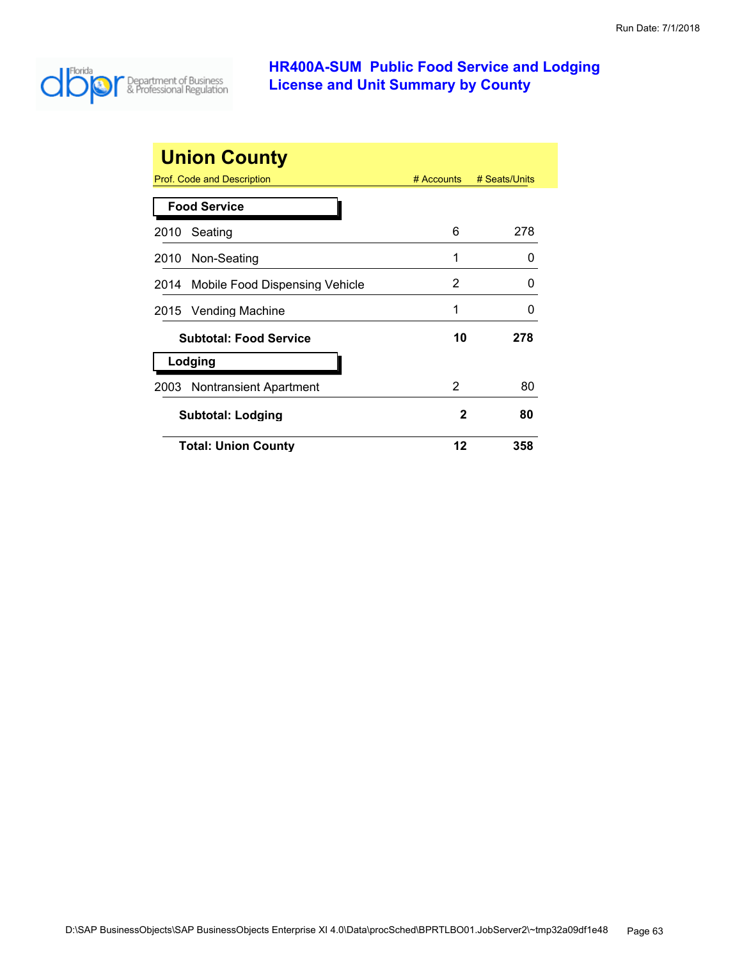

| <b>Union County</b>                   |            |               |
|---------------------------------------|------------|---------------|
| Prof. Code and Description            | # Accounts | # Seats/Units |
| <b>Food Service</b>                   |            |               |
| Seating<br>2010                       | 6          | 278           |
| 2010 Non-Seating                      | 1          | 0             |
| 2014 Mobile Food Dispensing Vehicle   | 2          | 0             |
| 2015 Vending Machine                  | 1          | 0             |
| <b>Subtotal: Food Service</b>         | 10         | 278           |
| Lodging                               |            |               |
| <b>Nontransient Apartment</b><br>2003 | 2          | 80            |
| <b>Subtotal: Lodging</b>              | 2          | 80            |
| <b>Total: Union County</b>            | 12         | 358           |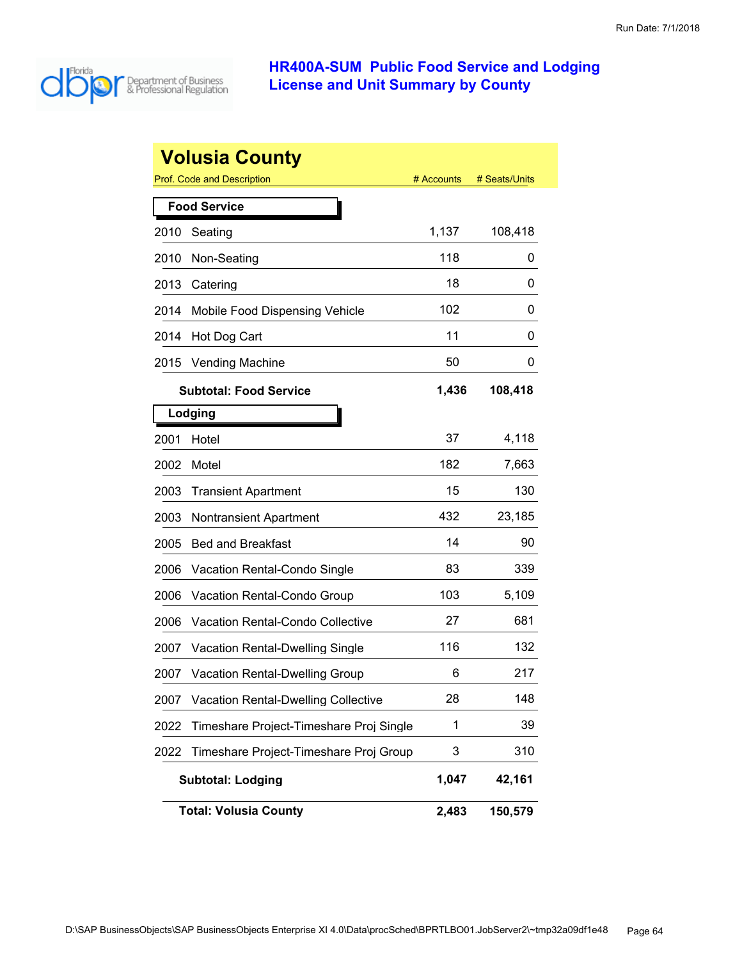

|      | <b>Volusia County</b>                      |            |               |
|------|--------------------------------------------|------------|---------------|
|      | Prof. Code and Description                 | # Accounts | # Seats/Units |
|      | <b>Food Service</b>                        |            |               |
| 2010 | Seating                                    | 1,137      | 108,418       |
| 2010 | Non-Seating                                | 118        | 0             |
| 2013 | Catering                                   | 18         | 0             |
| 2014 | Mobile Food Dispensing Vehicle             | 102        | 0             |
| 2014 | Hot Dog Cart                               | 11         | 0             |
| 2015 | <b>Vending Machine</b>                     | 50         | 0             |
|      | <b>Subtotal: Food Service</b>              | 1,436      | 108,418       |
|      | Lodging                                    |            |               |
| 2001 | Hotel                                      | 37         | 4,118         |
| 2002 | Motel                                      | 182        | 7,663         |
| 2003 | <b>Transient Apartment</b>                 | 15         | 130           |
| 2003 | <b>Nontransient Apartment</b>              | 432        | 23,185        |
| 2005 | <b>Bed and Breakfast</b>                   | 14         | 90            |
| 2006 | Vacation Rental-Condo Single               | 83         | 339           |
| 2006 | Vacation Rental-Condo Group                | 103        | 5,109         |
| 2006 | <b>Vacation Rental-Condo Collective</b>    | 27         | 681           |
| 2007 | <b>Vacation Rental-Dwelling Single</b>     | 116        | 132           |
| 2007 | <b>Vacation Rental-Dwelling Group</b>      | 6          | 217           |
| 2007 | <b>Vacation Rental-Dwelling Collective</b> | 28         | 148           |
| 2022 | Timeshare Project-Timeshare Proj Single    | 1          | 39            |
| 2022 | Timeshare Project-Timeshare Proj Group     | 3          | 310           |
|      | <b>Subtotal: Lodging</b>                   | 1,047      | 42,161        |
|      | <b>Total: Volusia County</b>               | 2,483      | 150,579       |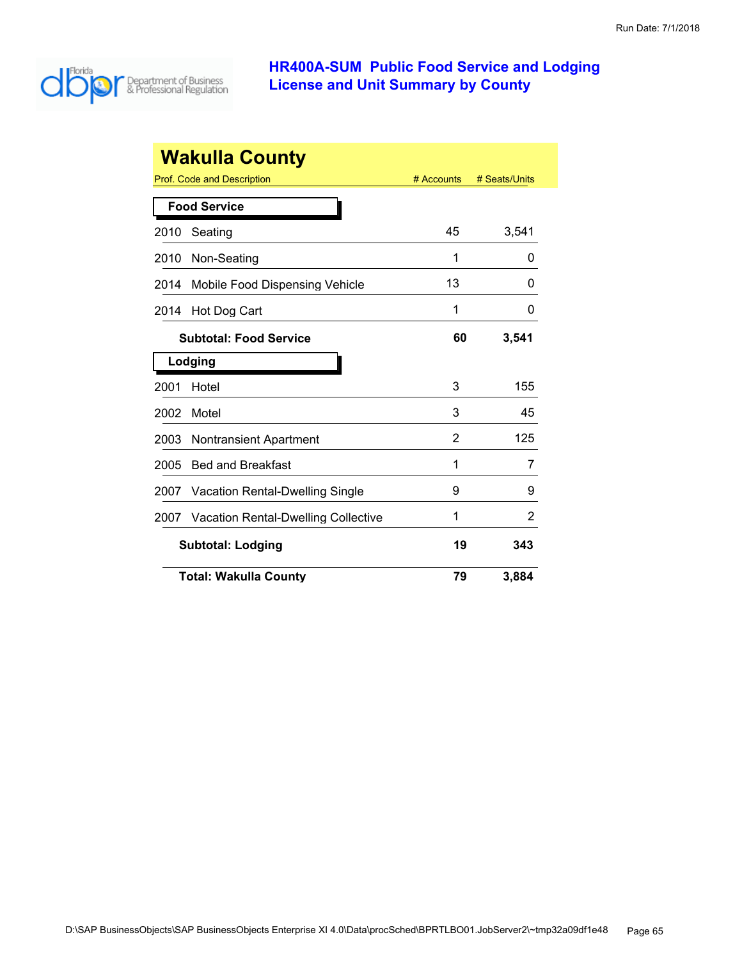

|      | <b>Wakulla County</b>                      |            |               |
|------|--------------------------------------------|------------|---------------|
|      | Prof. Code and Description                 | # Accounts | # Seats/Units |
|      | <b>Food Service</b>                        |            |               |
| 2010 | Seating                                    | 45         | 3,541         |
| 2010 | Non-Seating                                | 1          | 0             |
| 2014 | Mobile Food Dispensing Vehicle             | 13         | O             |
| 2014 | Hot Dog Cart                               | 1          | 0             |
|      | <b>Subtotal: Food Service</b>              | 60         | 3,541         |
|      | Lodging                                    |            |               |
| 2001 | Hotel                                      | 3          | 155           |
| 2002 | Motel                                      | 3          | 45            |
| 2003 | <b>Nontransient Apartment</b>              | 2          | 125           |
| 2005 | <b>Bed and Breakfast</b>                   | 1          | 7             |
| 2007 | Vacation Rental-Dwelling Single            | 9          | 9             |
| 2007 | <b>Vacation Rental-Dwelling Collective</b> | 1          | 2             |
|      | <b>Subtotal: Lodging</b>                   | 19         | 343           |
|      | <b>Total: Wakulla County</b>               | 79         | 3,884         |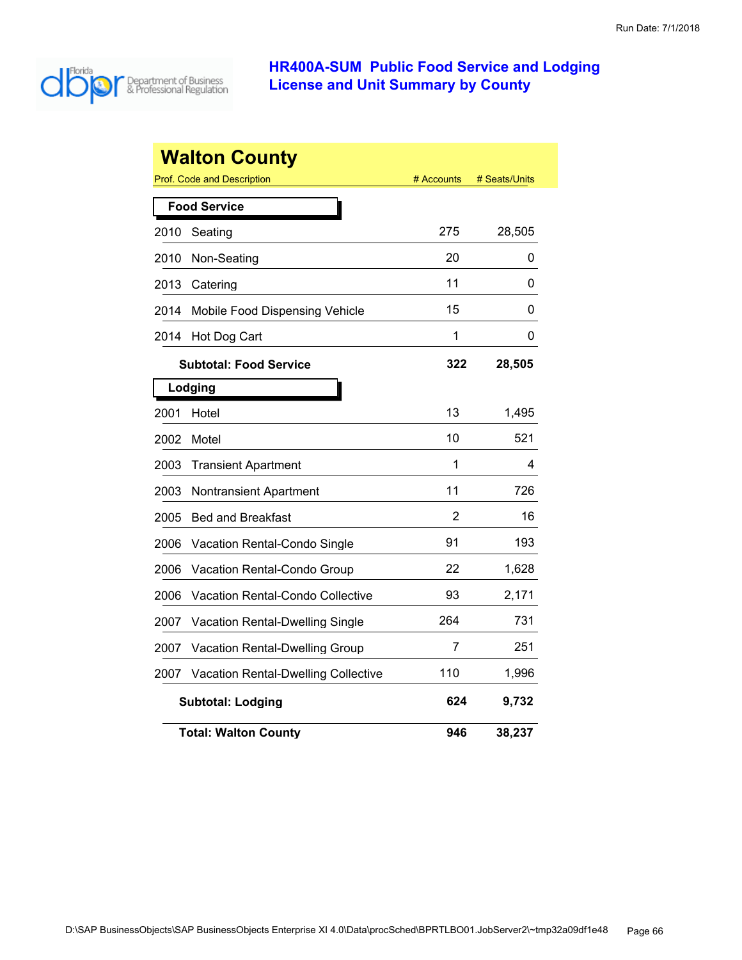

|      | <b>Walton County</b>                       |            |               |
|------|--------------------------------------------|------------|---------------|
|      | Prof. Code and Description                 | # Accounts | # Seats/Units |
|      | <b>Food Service</b>                        |            |               |
| 2010 | Seating                                    | 275        | 28,505        |
| 2010 | Non-Seating                                | 20         | 0             |
| 2013 | Catering                                   | 11         | 0             |
| 2014 | Mobile Food Dispensing Vehicle             | 15         | 0             |
| 2014 | Hot Dog Cart                               | 1          | 0             |
|      | <b>Subtotal: Food Service</b>              | 322        | 28,505        |
|      | Lodging                                    |            |               |
| 2001 | Hotel                                      | 13         | 1,495         |
| 2002 | Motel                                      | 10         | 521           |
| 2003 | <b>Transient Apartment</b>                 | 1          | 4             |
| 2003 | <b>Nontransient Apartment</b>              | 11         | 726           |
| 2005 | <b>Bed and Breakfast</b>                   | 2          | 16            |
| 2006 | Vacation Rental-Condo Single               | 91         | 193           |
| 2006 | Vacation Rental-Condo Group                | 22         | 1,628         |
| 2006 | <b>Vacation Rental-Condo Collective</b>    | 93         | 2,171         |
| 2007 | Vacation Rental-Dwelling Single            | 264        | 731           |
| 2007 | Vacation Rental-Dwelling Group             | 7          | 251           |
| 2007 | <b>Vacation Rental-Dwelling Collective</b> | 110        | 1,996         |
|      | <b>Subtotal: Lodging</b>                   | 624        | 9,732         |
|      | <b>Total: Walton County</b>                | 946        | 38,237        |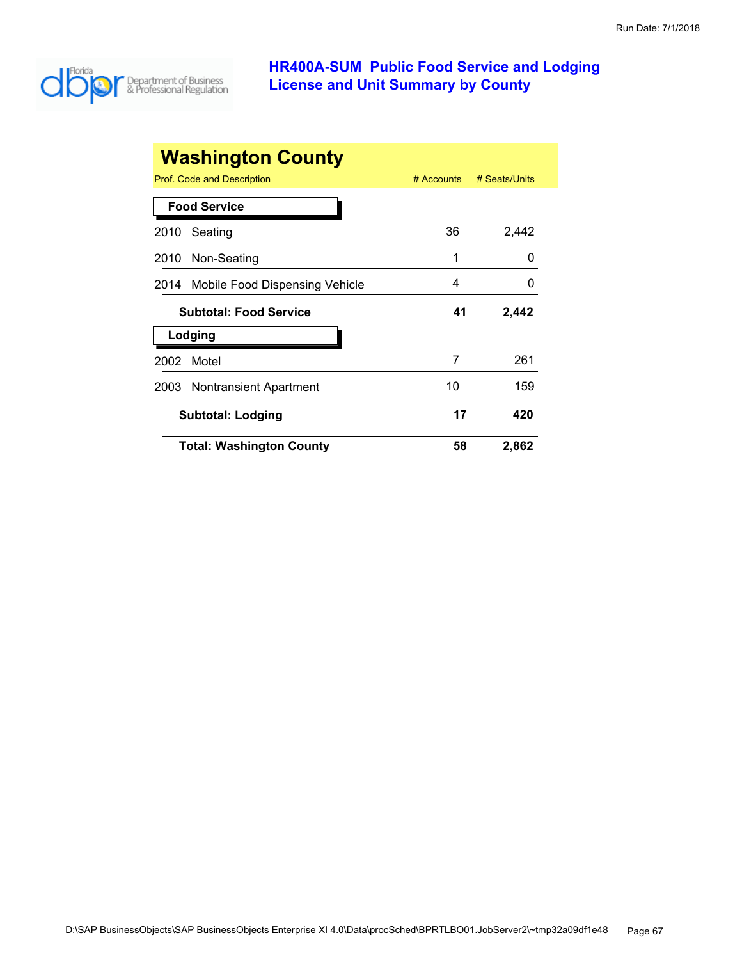

| <b>Washington County</b>               |              |               |
|----------------------------------------|--------------|---------------|
| Prof. Code and Description             | $#$ Accounts | # Seats/Units |
| <b>Food Service</b>                    |              |               |
| Seating<br>2010                        | 36           | 2,442         |
| Non-Seating<br>2010                    | 1            | O             |
| Mobile Food Dispensing Vehicle<br>2014 | 4            |               |
| <b>Subtotal: Food Service</b>          | 41           | 2,442         |
| Lodging                                |              |               |
| 2002<br>Motel                          | 7            | 261           |
| <b>Nontransient Apartment</b><br>2003  | 10           | 159           |
| <b>Subtotal: Lodging</b>               | 17           | 420           |
| <b>Total: Washington County</b>        | 58           | 2,862         |